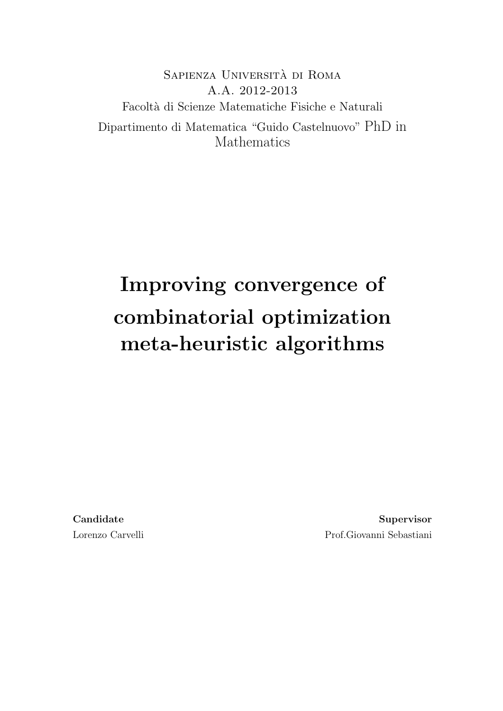Sapienza Universita di Roma ` A.A. 2012-2013 Facolt`a di Scienze Matematiche Fisiche e Naturali Dipartimento di Matematica "Guido Castelnuovo" PhD in Mathematics

# Improving convergence of combinatorial optimization meta-heuristic algorithms

Candidate Lorenzo Carvelli

Supervisor Prof.Giovanni Sebastiani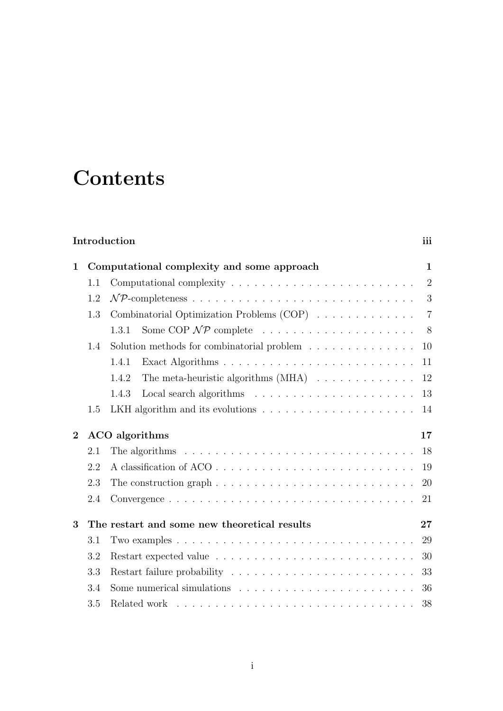# **Contents**

### Introduction iii

|     |                                                                                        | $\mathbf{1}$                                                                                                 |
|-----|----------------------------------------------------------------------------------------|--------------------------------------------------------------------------------------------------------------|
| 1.1 |                                                                                        | $\overline{2}$                                                                                               |
| 1.2 |                                                                                        | 3                                                                                                            |
| 1.3 | Combinatorial Optimization Problems (COP)                                              | $\overline{7}$                                                                                               |
|     | 1.3.1                                                                                  | 8 <sup>8</sup>                                                                                               |
| 1.4 | Solution methods for combinatorial problem $\ldots \ldots \ldots \ldots$               | 10                                                                                                           |
|     | 1.4.1                                                                                  | 11                                                                                                           |
|     | The meta-heuristic algorithms $(MHA) \dots \dots \dots \dots \dots$<br>1.4.2           | 12                                                                                                           |
|     | 1.4.3                                                                                  | 13                                                                                                           |
| 1.5 |                                                                                        | 14                                                                                                           |
|     |                                                                                        | 17                                                                                                           |
| 2.1 | The algorithms $\ldots \ldots \ldots \ldots \ldots \ldots \ldots \ldots \ldots \ldots$ | 18                                                                                                           |
| 2.2 | A classification of ACO                                                                | 19                                                                                                           |
| 2.3 |                                                                                        | <b>20</b>                                                                                                    |
| 2.4 |                                                                                        | 21                                                                                                           |
|     |                                                                                        | 27                                                                                                           |
| 3.1 |                                                                                        | 29                                                                                                           |
| 3.2 |                                                                                        | 30                                                                                                           |
| 3.3 |                                                                                        |                                                                                                              |
| 3.4 |                                                                                        | 36                                                                                                           |
| 3.5 |                                                                                        | 38                                                                                                           |
|     |                                                                                        | Computational complexity and some approach<br>ACO algorithms<br>The restart and some new theoretical results |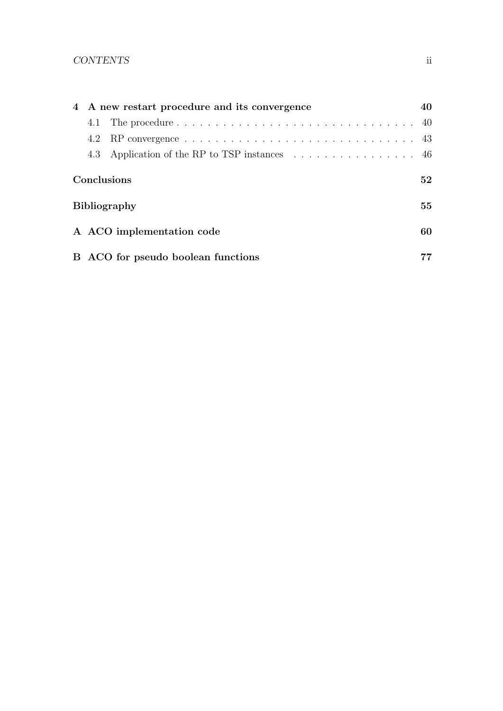### CONTENTS ii

| 4 A new restart procedure and its convergence |                                                                                | 40 |
|-----------------------------------------------|--------------------------------------------------------------------------------|----|
|                                               |                                                                                |    |
|                                               |                                                                                |    |
| 4.3                                           | Application of the RP to TSP instances $\ldots \ldots \ldots \ldots \ldots$ 46 |    |
| Conclusions                                   |                                                                                |    |
| <b>Bibliography</b>                           |                                                                                |    |
| A ACO implementation code                     |                                                                                | 60 |
|                                               | B ACO for pseudo boolean functions                                             | 77 |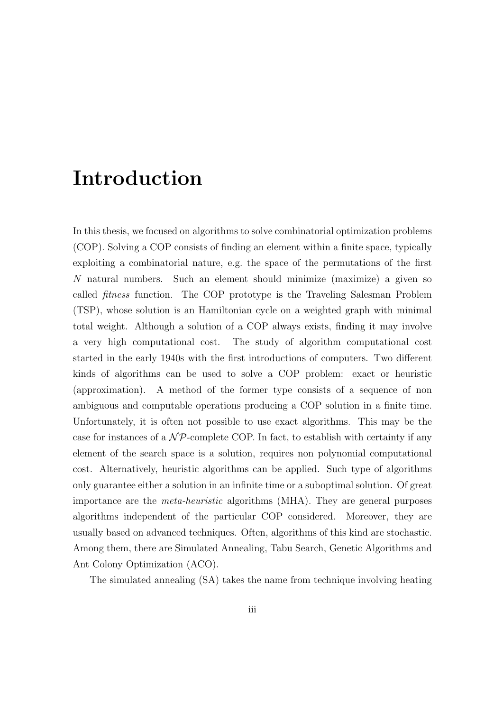# Introduction

In this thesis, we focused on algorithms to solve combinatorial optimization problems (COP). Solving a COP consists of finding an element within a finite space, typically exploiting a combinatorial nature, e.g. the space of the permutations of the first N natural numbers. Such an element should minimize (maximize) a given so called fitness function. The COP prototype is the Traveling Salesman Problem (TSP), whose solution is an Hamiltonian cycle on a weighted graph with minimal total weight. Although a solution of a COP always exists, finding it may involve a very high computational cost. The study of algorithm computational cost started in the early 1940s with the first introductions of computers. Two different kinds of algorithms can be used to solve a COP problem: exact or heuristic (approximation). A method of the former type consists of a sequence of non ambiguous and computable operations producing a COP solution in a finite time. Unfortunately, it is often not possible to use exact algorithms. This may be the case for instances of a  $\mathcal{NP}$ -complete COP. In fact, to establish with certainty if any element of the search space is a solution, requires non polynomial computational cost. Alternatively, heuristic algorithms can be applied. Such type of algorithms only guarantee either a solution in an infinite time or a suboptimal solution. Of great importance are the meta-heuristic algorithms (MHA). They are general purposes algorithms independent of the particular COP considered. Moreover, they are usually based on advanced techniques. Often, algorithms of this kind are stochastic. Among them, there are Simulated Annealing, Tabu Search, Genetic Algorithms and Ant Colony Optimization (ACO).

The simulated annealing (SA) takes the name from technique involving heating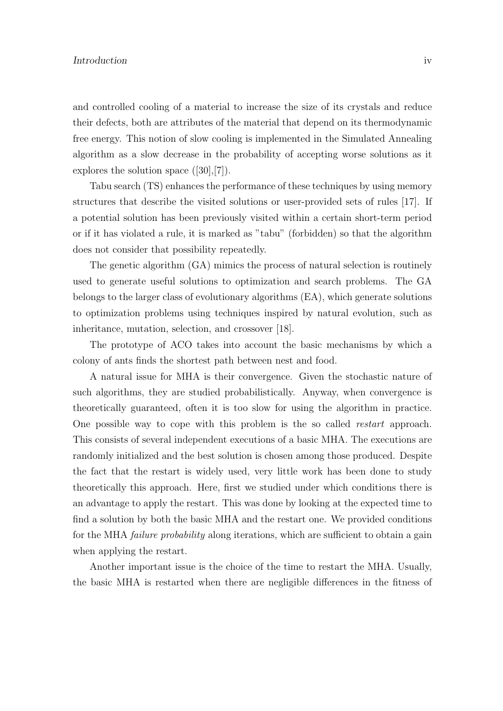#### **Introduction** iv

and controlled cooling of a material to increase the size of its crystals and reduce their defects, both are attributes of the material that depend on its thermodynamic free energy. This notion of slow cooling is implemented in the Simulated Annealing algorithm as a slow decrease in the probability of accepting worse solutions as it explores the solution space ([30],[7]).

Tabu search (TS) enhances the performance of these techniques by using memory structures that describe the visited solutions or user-provided sets of rules [17]. If a potential solution has been previously visited within a certain short-term period or if it has violated a rule, it is marked as "tabu" (forbidden) so that the algorithm does not consider that possibility repeatedly.

The genetic algorithm (GA) mimics the process of natural selection is routinely used to generate useful solutions to optimization and search problems. The GA belongs to the larger class of evolutionary algorithms (EA), which generate solutions to optimization problems using techniques inspired by natural evolution, such as inheritance, mutation, selection, and crossover [18].

The prototype of ACO takes into account the basic mechanisms by which a colony of ants finds the shortest path between nest and food.

A natural issue for MHA is their convergence. Given the stochastic nature of such algorithms, they are studied probabilistically. Anyway, when convergence is theoretically guaranteed, often it is too slow for using the algorithm in practice. One possible way to cope with this problem is the so called restart approach. This consists of several independent executions of a basic MHA. The executions are randomly initialized and the best solution is chosen among those produced. Despite the fact that the restart is widely used, very little work has been done to study theoretically this approach. Here, first we studied under which conditions there is an advantage to apply the restart. This was done by looking at the expected time to find a solution by both the basic MHA and the restart one. We provided conditions for the MHA *failure probability* along iterations, which are sufficient to obtain a gain when applying the restart.

Another important issue is the choice of the time to restart the MHA. Usually, the basic MHA is restarted when there are negligible differences in the fitness of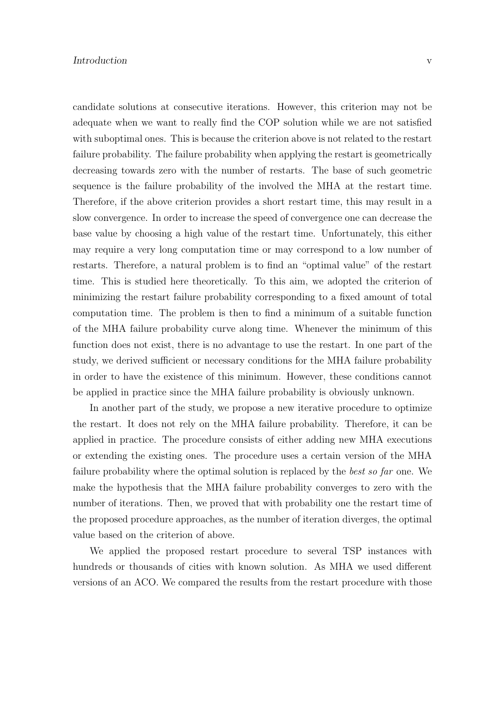candidate solutions at consecutive iterations. However, this criterion may not be adequate when we want to really find the COP solution while we are not satisfied with suboptimal ones. This is because the criterion above is not related to the restart failure probability. The failure probability when applying the restart is geometrically decreasing towards zero with the number of restarts. The base of such geometric sequence is the failure probability of the involved the MHA at the restart time. Therefore, if the above criterion provides a short restart time, this may result in a slow convergence. In order to increase the speed of convergence one can decrease the base value by choosing a high value of the restart time. Unfortunately, this either may require a very long computation time or may correspond to a low number of restarts. Therefore, a natural problem is to find an "optimal value" of the restart time. This is studied here theoretically. To this aim, we adopted the criterion of minimizing the restart failure probability corresponding to a fixed amount of total computation time. The problem is then to find a minimum of a suitable function of the MHA failure probability curve along time. Whenever the minimum of this function does not exist, there is no advantage to use the restart. In one part of the study, we derived sufficient or necessary conditions for the MHA failure probability in order to have the existence of this minimum. However, these conditions cannot be applied in practice since the MHA failure probability is obviously unknown.

In another part of the study, we propose a new iterative procedure to optimize the restart. It does not rely on the MHA failure probability. Therefore, it can be applied in practice. The procedure consists of either adding new MHA executions or extending the existing ones. The procedure uses a certain version of the MHA failure probability where the optimal solution is replaced by the *best so far* one. We make the hypothesis that the MHA failure probability converges to zero with the number of iterations. Then, we proved that with probability one the restart time of the proposed procedure approaches, as the number of iteration diverges, the optimal value based on the criterion of above.

We applied the proposed restart procedure to several TSP instances with hundreds or thousands of cities with known solution. As MHA we used different versions of an ACO. We compared the results from the restart procedure with those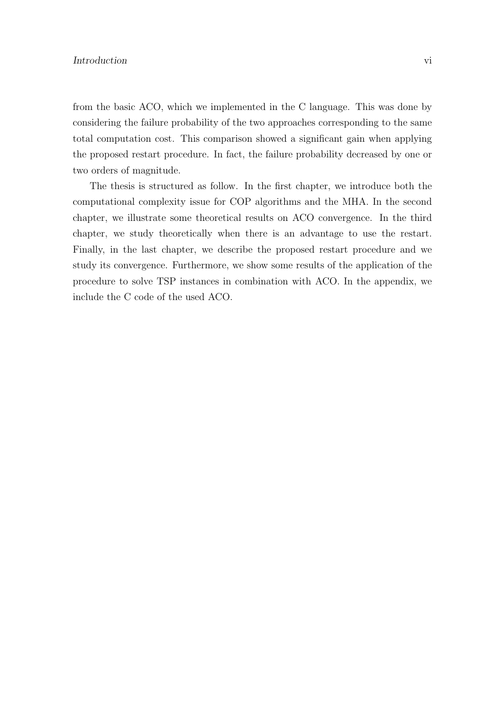from the basic ACO, which we implemented in the C language. This was done by considering the failure probability of the two approaches corresponding to the same total computation cost. This comparison showed a significant gain when applying the proposed restart procedure. In fact, the failure probability decreased by one or two orders of magnitude.

The thesis is structured as follow. In the first chapter, we introduce both the computational complexity issue for COP algorithms and the MHA. In the second chapter, we illustrate some theoretical results on ACO convergence. In the third chapter, we study theoretically when there is an advantage to use the restart. Finally, in the last chapter, we describe the proposed restart procedure and we study its convergence. Furthermore, we show some results of the application of the procedure to solve TSP instances in combination with ACO. In the appendix, we include the C code of the used ACO.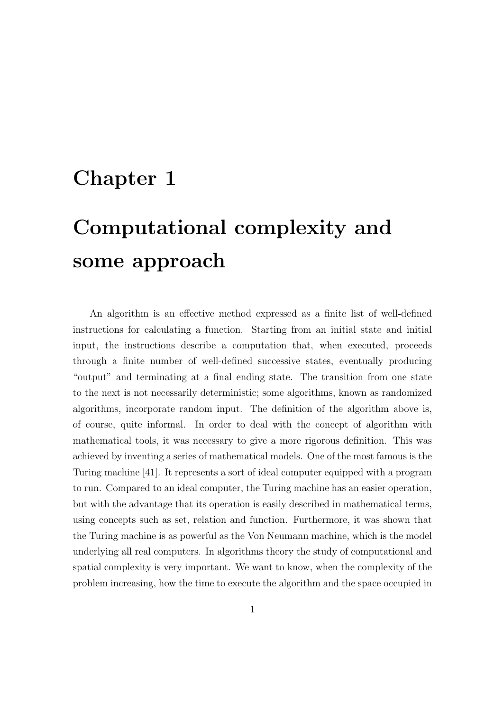# Chapter 1

# Computational complexity and some approach

An algorithm is an effective method expressed as a finite list of well-defined instructions for calculating a function. Starting from an initial state and initial input, the instructions describe a computation that, when executed, proceeds through a finite number of well-defined successive states, eventually producing "output" and terminating at a final ending state. The transition from one state to the next is not necessarily deterministic; some algorithms, known as randomized algorithms, incorporate random input. The definition of the algorithm above is, of course, quite informal. In order to deal with the concept of algorithm with mathematical tools, it was necessary to give a more rigorous definition. This was achieved by inventing a series of mathematical models. One of the most famous is the Turing machine [41]. It represents a sort of ideal computer equipped with a program to run. Compared to an ideal computer, the Turing machine has an easier operation, but with the advantage that its operation is easily described in mathematical terms, using concepts such as set, relation and function. Furthermore, it was shown that the Turing machine is as powerful as the Von Neumann machine, which is the model underlying all real computers. In algorithms theory the study of computational and spatial complexity is very important. We want to know, when the complexity of the problem increasing, how the time to execute the algorithm and the space occupied in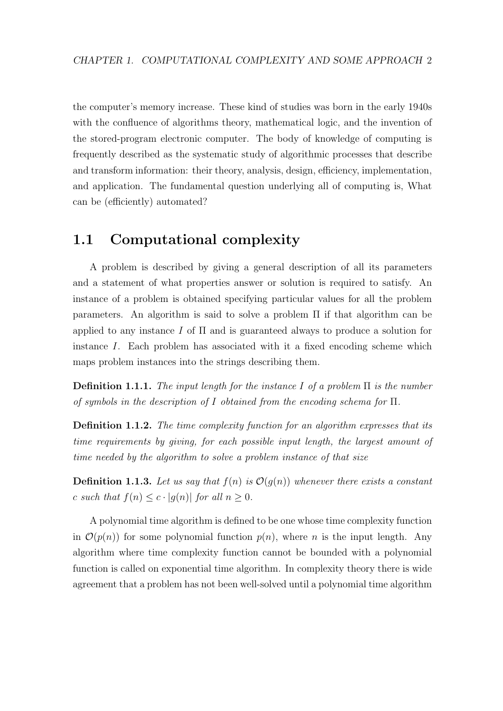the computer's memory increase. These kind of studies was born in the early 1940s with the confluence of algorithms theory, mathematical logic, and the invention of the stored-program electronic computer. The body of knowledge of computing is frequently described as the systematic study of algorithmic processes that describe and transform information: their theory, analysis, design, efficiency, implementation, and application. The fundamental question underlying all of computing is, What can be (efficiently) automated?

### 1.1 Computational complexity

A problem is described by giving a general description of all its parameters and a statement of what properties answer or solution is required to satisfy. An instance of a problem is obtained specifying particular values for all the problem parameters. An algorithm is said to solve a problem Π if that algorithm can be applied to any instance I of  $\Pi$  and is guaranteed always to produce a solution for instance I. Each problem has associated with it a fixed encoding scheme which maps problem instances into the strings describing them.

**Definition 1.1.1.** The input length for the instance I of a problem  $\Pi$  is the number of symbols in the description of I obtained from the encoding schema for Π.

Definition 1.1.2. The time complexity function for an algorithm expresses that its time requirements by giving, for each possible input length, the largest amount of time needed by the algorithm to solve a problem instance of that size

**Definition 1.1.3.** Let us say that  $f(n)$  is  $\mathcal{O}(g(n))$  whenever there exists a constant c such that  $f(n) \leq c \cdot |g(n)|$  for all  $n \geq 0$ .

A polynomial time algorithm is defined to be one whose time complexity function in  $\mathcal{O}(p(n))$  for some polynomial function  $p(n)$ , where n is the input length. Any algorithm where time complexity function cannot be bounded with a polynomial function is called on exponential time algorithm. In complexity theory there is wide agreement that a problem has not been well-solved until a polynomial time algorithm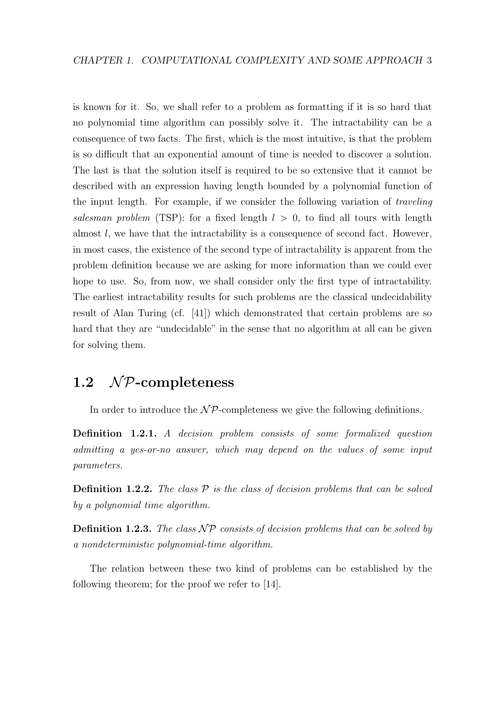is known for it. So, we shall refer to a problem as formatting if it is so hard that no polynomial time algorithm can possibly solve it. The intractability can be a consequence of two facts. The first, which is the most intuitive, is that the problem is so difficult that an exponential amount of time is needed to discover a solution. The last is that the solution itself is required to be so extensive that it cannot be described with an expression having length bounded by a polynomial function of the input length. For example, if we consider the following variation of traveling salesman problem (TSP): for a fixed length  $l > 0$ , to find all tours with length almost l, we have that the intractability is a consequence of second fact. However, in most cases, the existence of the second type of intractability is apparent from the problem definition because we are asking for more information than we could ever hope to use. So, from now, we shall consider only the first type of intractability. The earliest intractability results for such problems are the classical undecidability result of Alan Turing (cf. [41]) which demonstrated that certain problems are so hard that they are "undecidable" in the sense that no algorithm at all can be given for solving them.

## 1.2  $\mathcal{NP}$ -completeness

In order to introduce the  $\mathcal{NP}$ -completeness we give the following definitions.

Definition 1.2.1. A decision problem consists of some formalized question admitting a yes-or-no answer, which may depend on the values of some input parameters.

**Definition 1.2.2.** The class  $P$  is the class of decision problems that can be solved by a polynomial time algorithm.

**Definition 1.2.3.** The class  $\mathcal{NP}$  consists of decision problems that can be solved by a nondeterministic polynomial-time algorithm.

The relation between these two kind of problems can be established by the following theorem; for the proof we refer to [14].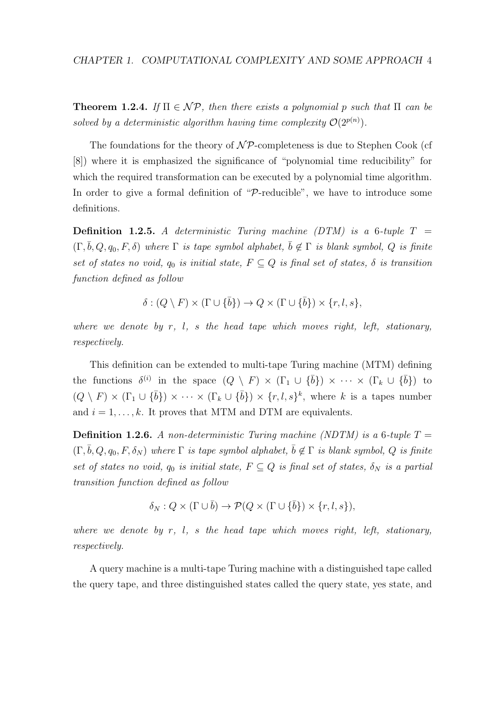**Theorem 1.2.4.** If  $\Pi \in \mathcal{NP}$ , then there exists a polynomial p such that  $\Pi$  can be solved by a deterministic algorithm having time complexity  $\mathcal{O}(2^{p(n)})$ .

The foundations for the theory of  $\mathcal{NP}$ -completeness is due to Stephen Cook (cf [8]) where it is emphasized the significance of "polynomial time reducibility" for which the required transformation can be executed by a polynomial time algorithm. In order to give a formal definition of "P-reducible", we have to introduce some definitions.

**Definition 1.2.5.** A deterministic Turing machine (DTM) is a 6-tuple  $T =$  $(\Gamma, \bar{b}, Q, q_0, F, \delta)$  where  $\Gamma$  is tape symbol alphabet,  $\bar{b} \notin \Gamma$  is blank symbol, Q is finite set of states no void,  $q_0$  is initial state,  $F \subseteq Q$  is final set of states,  $\delta$  is transition function defined as follow

$$
\delta : (Q \setminus F) \times (\Gamma \cup \{\bar{b}\}) \to Q \times (\Gamma \cup \{\bar{b}\}) \times \{r, l, s\},
$$

where we denote by  $r$ ,  $l$ ,  $s$  the head tape which moves right, left, stationary, respectively.

This definition can be extended to multi-tape Turing machine (MTM) defining the functions  $\delta^{(i)}$  in the space  $(Q \setminus F) \times (\Gamma_1 \cup {\overline{b}}) \times \cdots \times (\Gamma_k \cup {\overline{b}})$  to  $(Q \setminus F) \times (\Gamma_1 \cup \{\overline{b}\}) \times \cdots \times (\Gamma_k \cup \{\overline{b}\}) \times \{r, l, s\}^k$ , where k is a tapes number and  $i = 1, \ldots, k$ . It proves that MTM and DTM are equivalents.

**Definition 1.2.6.** A non-deterministic Turing machine (NDTM) is a 6-tuple  $T =$  $(\Gamma, \bar{b}, Q, q_0, F, \delta_N)$  where  $\Gamma$  is tape symbol alphabet,  $\bar{b} \notin \Gamma$  is blank symbol, Q is finite set of states no void,  $q_0$  is initial state,  $F \subseteq Q$  is final set of states,  $\delta_N$  is a partial transition function defined as follow

$$
\delta_N: Q \times (\Gamma \cup \overline{b}) \to \mathcal{P}(Q \times (\Gamma \cup \{\overline{b}\}) \times \{r, l, s\}),
$$

where we denote by  $r, l, s$  the head tape which moves right, left, stationary, respectively.

A query machine is a multi-tape Turing machine with a distinguished tape called the query tape, and three distinguished states called the query state, yes state, and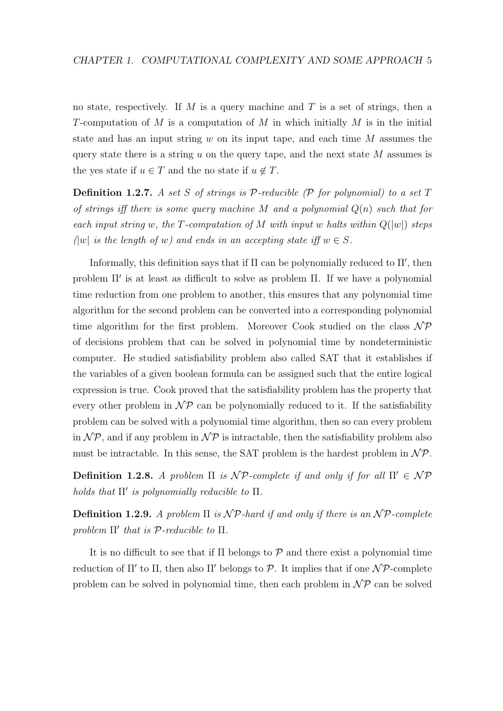no state, respectively. If M is a query machine and T is a set of strings, then a T-computation of M is a computation of M in which initially M is in the initial state and has an input string  $w$  on its input tape, and each time  $M$  assumes the query state there is a string u on the query tape, and the next state  $M$  assumes is the yes state if  $u \in T$  and the no state if  $u \notin T$ .

**Definition 1.2.7.** A set S of strings is  $P$ -reducible ( $P$  for polynomial) to a set T of strings iff there is some query machine M and a polynomial  $Q(n)$  such that for each input string w, the T-computation of M with input w halts within  $Q(|w|)$  steps  $(|w|$  is the length of w) and ends in an accepting state iff  $w \in S$ .

Informally, this definition says that if  $\Pi$  can be polynomially reduced to  $\Pi'$ , then problem  $\Pi'$  is at least as difficult to solve as problem  $\Pi$ . If we have a polynomial time reduction from one problem to another, this ensures that any polynomial time algorithm for the second problem can be converted into a corresponding polynomial time algorithm for the first problem. Moreover Cook studied on the class  $\mathcal{NP}$ of decisions problem that can be solved in polynomial time by nondeterministic computer. He studied satisfiability problem also called SAT that it establishes if the variables of a given boolean formula can be assigned such that the entire logical expression is true. Cook proved that the satisfiability problem has the property that every other problem in  $\mathcal{NP}$  can be polynomially reduced to it. If the satisfiability problem can be solved with a polynomial time algorithm, then so can every problem in  $\mathcal{NP}$ , and if any problem in  $\mathcal{NP}$  is intractable, then the satisfiability problem also must be intractable. In this sense, the SAT problem is the hardest problem in  $\mathcal{NP}$ .

Definition 1.2.8. A problem  $\Pi$  is  $\mathcal{NP}$ -complete if and only if for all  $\Pi' \in \mathcal{NP}$ holds that  $\Pi'$  is polynomially reducible to  $\Pi$ .

Definition 1.2.9. A problem  $\Pi$  is  $\mathcal{NP}$ -hard if and only if there is an  $\mathcal{NP}$ -complete problem  $\Pi'$  that is  $P$ -reducible to  $\Pi$ .

It is no difficult to see that if  $\Pi$  belongs to  $P$  and there exist a polynomial time reduction of  $\Pi'$  to  $\Pi$ , then also  $\Pi'$  belongs to  $P$ . It implies that if one  $\mathcal{NP}$ -complete problem can be solved in polynomial time, then each problem in  $\mathcal{NP}$  can be solved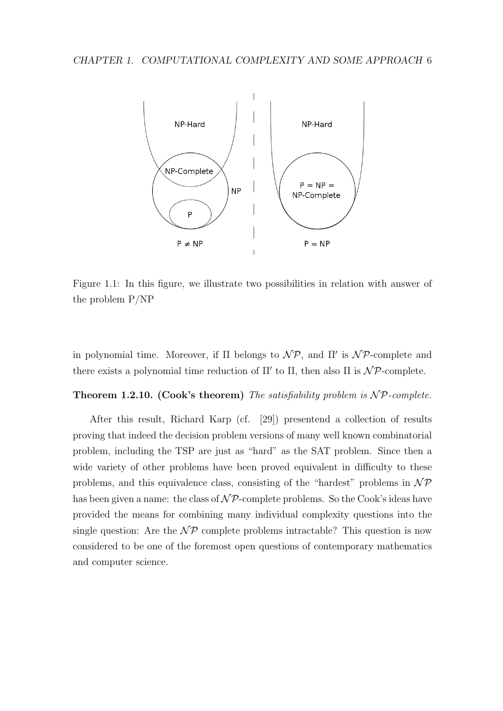

Figure 1.1: In this figure, we illustrate two possibilities in relation with answer of the problem P/NP

in polynomial time. Moreover, if  $\Pi$  belongs to  $\mathcal{NP}$ , and  $\Pi'$  is  $\mathcal{NP}$ -complete and there exists a polynomial time reduction of  $\Pi'$  to  $\Pi$ , then also  $\Pi$  is  $\mathcal{NP}$ -complete.

Theorem 1.2.10. (Cook's theorem) The satisfiability problem is  $\mathcal{NP}\text{-complete}$ .

After this result, Richard Karp (cf. [29]) presentend a collection of results proving that indeed the decision problem versions of many well known combinatorial problem, including the TSP are just as "hard" as the SAT problem. Since then a wide variety of other problems have been proved equivalent in difficulty to these problems, and this equivalence class, consisting of the "hardest" problems in  $\mathcal{NP}$ has been given a name: the class of  $N\mathcal{P}$ -complete problems. So the Cook's ideas have provided the means for combining many individual complexity questions into the single question: Are the  $\mathcal{NP}$  complete problems intractable? This question is now considered to be one of the foremost open questions of contemporary mathematics and computer science.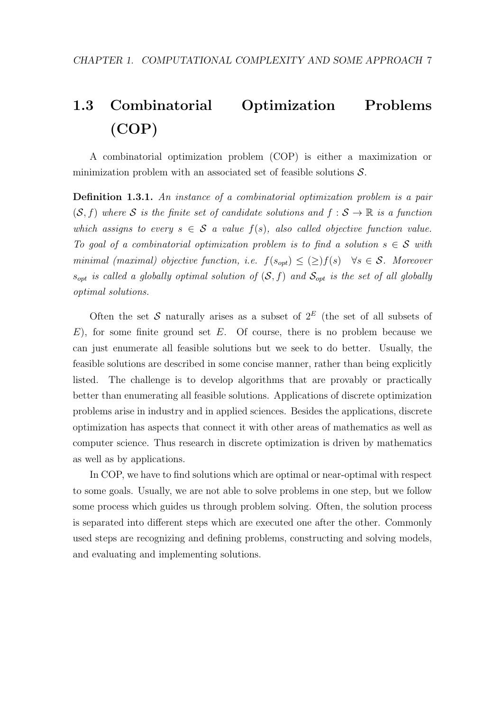# 1.3 Combinatorial Optimization Problems (COP)

A combinatorial optimization problem (COP) is either a maximization or minimization problem with an associated set of feasible solutions S.

Definition 1.3.1. An instance of a combinatorial optimization problem is a pair  $(S, f)$  where S is the finite set of candidate solutions and  $f : S \to \mathbb{R}$  is a function which assigns to every  $s \in \mathcal{S}$  a value  $f(s)$ , also called objective function value. To goal of a combinatorial optimization problem is to find a solution  $s \in \mathcal{S}$  with minimal (maximal) objective function, i.e.  $f(s_{opt}) \leq (\geq) f(s)$   $\forall s \in S$ . Moreover  $s_{opt}$  is called a globally optimal solution of  $(S, f)$  and  $S_{opt}$  is the set of all globally optimal solutions.

Often the set S naturally arises as a subset of  $2^E$  (the set of all subsets of  $E$ ), for some finite ground set E. Of course, there is no problem because we can just enumerate all feasible solutions but we seek to do better. Usually, the feasible solutions are described in some concise manner, rather than being explicitly listed. The challenge is to develop algorithms that are provably or practically better than enumerating all feasible solutions. Applications of discrete optimization problems arise in industry and in applied sciences. Besides the applications, discrete optimization has aspects that connect it with other areas of mathematics as well as computer science. Thus research in discrete optimization is driven by mathematics as well as by applications.

In COP, we have to find solutions which are optimal or near-optimal with respect to some goals. Usually, we are not able to solve problems in one step, but we follow some process which guides us through problem solving. Often, the solution process is separated into different steps which are executed one after the other. Commonly used steps are recognizing and defining problems, constructing and solving models, and evaluating and implementing solutions.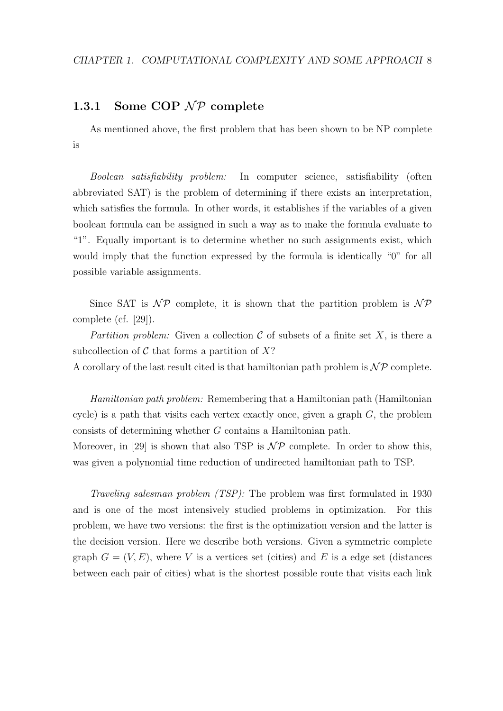### 1.3.1 Some COP  $\mathcal{NP}$  complete

As mentioned above, the first problem that has been shown to be NP complete is

Boolean satisfiability problem: In computer science, satisfiability (often abbreviated SAT) is the problem of determining if there exists an interpretation, which satisfies the formula. In other words, it establishes if the variables of a given boolean formula can be assigned in such a way as to make the formula evaluate to "1". Equally important is to determine whether no such assignments exist, which would imply that the function expressed by the formula is identically "0" for all possible variable assignments.

Since SAT is  $\mathcal{NP}$  complete, it is shown that the partition problem is  $\mathcal{NP}$ complete (cf. [29]).

Partition problem: Given a collection  $\mathcal C$  of subsets of a finite set X, is there a subcollection of  $\mathcal C$  that forms a partition of  $X$ ?

A corollary of the last result cited is that hamiltonian path problem is  $\mathcal{NP}$  complete.

Hamiltonian path problem: Remembering that a Hamiltonian path (Hamiltonian cycle) is a path that visits each vertex exactly once, given a graph  $G$ , the problem consists of determining whether G contains a Hamiltonian path.

Moreover, in [29] is shown that also TSP is  $\mathcal{NP}$  complete. In order to show this, was given a polynomial time reduction of undirected hamiltonian path to TSP.

Traveling salesman problem (TSP): The problem was first formulated in 1930 and is one of the most intensively studied problems in optimization. For this problem, we have two versions: the first is the optimization version and the latter is the decision version. Here we describe both versions. Given a symmetric complete graph  $G = (V, E)$ , where V is a vertices set (cities) and E is a edge set (distances between each pair of cities) what is the shortest possible route that visits each link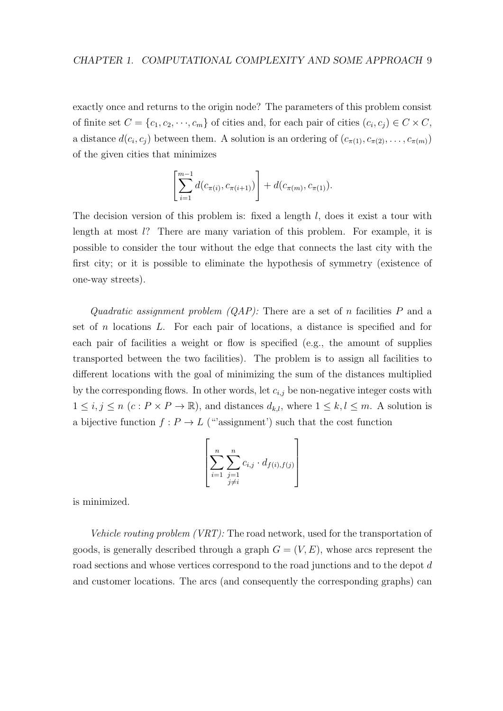exactly once and returns to the origin node? The parameters of this problem consist of finite set  $C = \{c_1, c_2, \dots, c_m\}$  of cities and, for each pair of cities  $(c_i, c_j) \in C \times C$ , a distance  $d(c_i, c_j)$  between them. A solution is an ordering of  $(c_{\pi(1)}, c_{\pi(2)}, \ldots, c_{\pi(m)})$ of the given cities that minimizes

$$
\left[\sum_{i=1}^{m-1} d(c_{\pi(i)}, c_{\pi(i+1)})\right] + d(c_{\pi(m)}, c_{\pi(1)}).
$$

The decision version of this problem is: fixed a length  $l$ , does it exist a tour with length at most l? There are many variation of this problem. For example, it is possible to consider the tour without the edge that connects the last city with the first city; or it is possible to eliminate the hypothesis of symmetry (existence of one-way streets).

Quadratic assignment problem  $(QAP)$ : There are a set of n facilities P and a set of n locations L. For each pair of locations, a distance is specified and for each pair of facilities a weight or flow is specified (e.g., the amount of supplies transported between the two facilities). The problem is to assign all facilities to different locations with the goal of minimizing the sum of the distances multiplied by the corresponding flows. In other words, let  $c_{i,j}$  be non-negative integer costs with  $1 \leq i, j \leq n \ (c : P \times P \to \mathbb{R})$ , and distances  $d_{k,l}$ , where  $1 \leq k, l \leq m$ . A solution is a bijective function  $f: P \to L$  ("assignment") such that the cost function

$$
\left[\sum_{i=1}^n \sum_{\substack{j=1 \ j \neq i}}^n c_{i,j} \cdot d_{f(i),f(j)}\right]
$$

is minimized.

Vehicle routing problem (VRT): The road network, used for the transportation of goods, is generally described through a graph  $G = (V, E)$ , whose arcs represent the road sections and whose vertices correspond to the road junctions and to the depot d and customer locations. The arcs (and consequently the corresponding graphs) can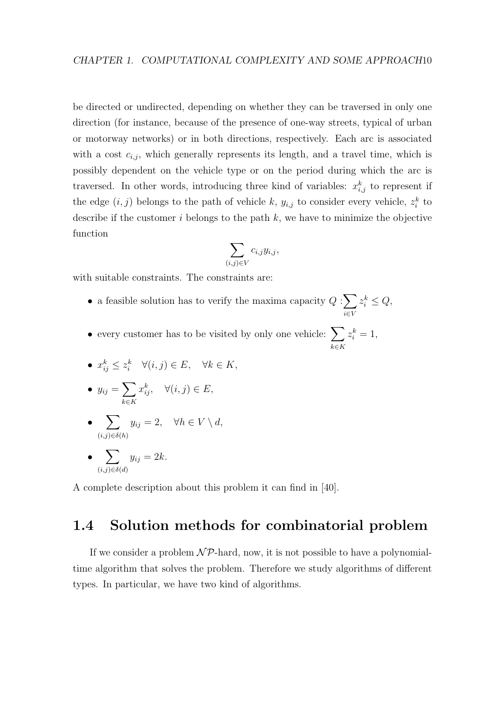be directed or undirected, depending on whether they can be traversed in only one direction (for instance, because of the presence of one-way streets, typical of urban or motorway networks) or in both directions, respectively. Each arc is associated with a cost  $c_{i,j}$ , which generally represents its length, and a travel time, which is possibly dependent on the vehicle type or on the period during which the arc is traversed. In other words, introducing three kind of variables:  $x_{i,j}^k$  to represent if the edge  $(i, j)$  belongs to the path of vehicle k,  $y_{i,j}$  to consider every vehicle,  $z_i^k$  to describe if the customer  $i$  belongs to the path  $k$ , we have to minimize the objective function

$$
\sum_{(i,j)\in V} c_{i,j} y_{i,j},
$$

with suitable constraints. The constraints are:

- a feasible solution has to verify the maxima capacity  $Q:\sum$ i∈V  $z_i^k \leq Q,$
- every customer has to be visited by only one vehicle:  $\sum$ k∈K  $z_i^k=1,$

• 
$$
x_{ij}^k \leq z_i^k \quad \forall (i,j) \in E, \quad \forall k \in K,
$$

• 
$$
y_{ij} = \sum_{k \in K} x_{ij}^k, \quad \forall (i, j) \in E,
$$

• 
$$
\sum_{(i,j)\in\delta(h)} y_{ij} = 2, \quad \forall h \in V \setminus d,
$$

$$
\bullet \sum_{(i,j)\in \delta(d)} y_{ij} = 2k.
$$

A complete description about this problem it can find in [40].

## 1.4 Solution methods for combinatorial problem

If we consider a problem  $N\mathcal{P}$ -hard, now, it is not possible to have a polynomialtime algorithm that solves the problem. Therefore we study algorithms of different types. In particular, we have two kind of algorithms.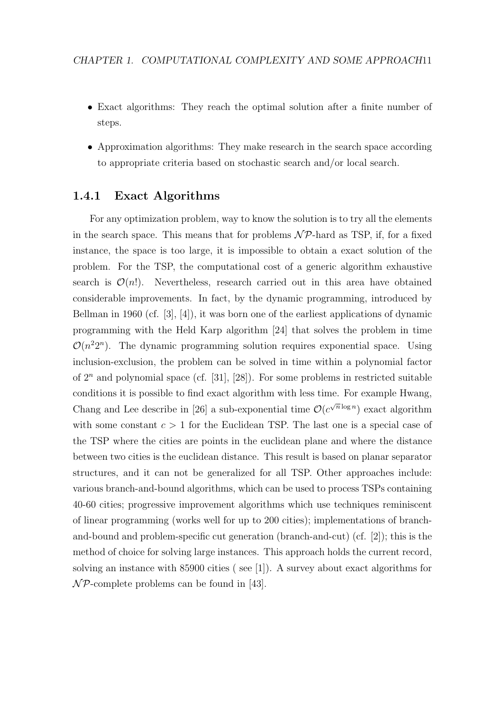- Exact algorithms: They reach the optimal solution after a finite number of steps.
- Approximation algorithms: They make research in the search space according to appropriate criteria based on stochastic search and/or local search.

#### 1.4.1 Exact Algorithms

For any optimization problem, way to know the solution is to try all the elements in the search space. This means that for problems  $N\mathcal{P}$ -hard as TSP, if, for a fixed instance, the space is too large, it is impossible to obtain a exact solution of the problem. For the TSP, the computational cost of a generic algorithm exhaustive search is  $\mathcal{O}(n!)$ . Nevertheless, research carried out in this area have obtained considerable improvements. In fact, by the dynamic programming, introduced by Bellman in 1960 (cf. [3], [4]), it was born one of the earliest applications of dynamic programming with the Held Karp algorithm [24] that solves the problem in time  $\mathcal{O}(n^22^n)$ . The dynamic programming solution requires exponential space. Using inclusion-exclusion, the problem can be solved in time within a polynomial factor of  $2^n$  and polynomial space (cf. [31], [28]). For some problems in restricted suitable conditions it is possible to find exact algorithm with less time. For example Hwang, Chang and Lee describe in [26] a sub-exponential time  $\mathcal{O}(c^{\sqrt{n}\log n})$  exact algorithm with some constant  $c > 1$  for the Euclidean TSP. The last one is a special case of the TSP where the cities are points in the euclidean plane and where the distance between two cities is the euclidean distance. This result is based on planar separator structures, and it can not be generalized for all TSP. Other approaches include: various branch-and-bound algorithms, which can be used to process TSPs containing 40-60 cities; progressive improvement algorithms which use techniques reminiscent of linear programming (works well for up to 200 cities); implementations of branchand-bound and problem-specific cut generation (branch-and-cut) (cf. [2]); this is the method of choice for solving large instances. This approach holds the current record, solving an instance with 85900 cities ( see [1]). A survey about exact algorithms for  $\mathcal{NP}$ -complete problems can be found in [43].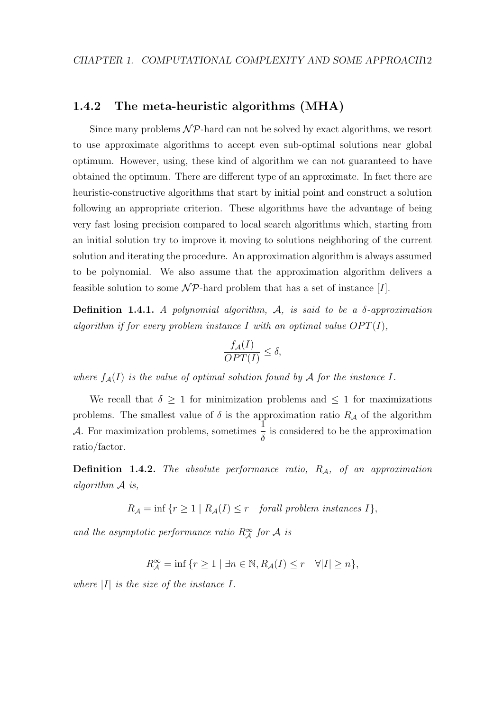#### 1.4.2 The meta-heuristic algorithms (MHA)

Since many problems  $N\mathcal{P}$ -hard can not be solved by exact algorithms, we resort to use approximate algorithms to accept even sub-optimal solutions near global optimum. However, using, these kind of algorithm we can not guaranteed to have obtained the optimum. There are different type of an approximate. In fact there are heuristic-constructive algorithms that start by initial point and construct a solution following an appropriate criterion. These algorithms have the advantage of being very fast losing precision compared to local search algorithms which, starting from an initial solution try to improve it moving to solutions neighboring of the current solution and iterating the procedure. An approximation algorithm is always assumed to be polynomial. We also assume that the approximation algorithm delivers a feasible solution to some  $\mathcal{NP}$ -hard problem that has a set of instance [I].

**Definition 1.4.1.** A polynomial algorithm,  $A$ , is said to be a  $\delta$ -approximation algorithm if for every problem instance I with an optimal value  $OPT(I)$ ,

$$
\frac{f_{\mathcal{A}}(I)}{OPT(I)} \le \delta,
$$

where  $f_{\mathcal{A}}(I)$  is the value of optimal solution found by A for the instance I.

We recall that  $\delta \geq 1$  for minimization problems and  $\leq 1$  for maximizations problems. The smallest value of  $\delta$  is the approximation ratio  $R_{\mathcal{A}}$  of the algorithm  $\mathcal{A}$ . For maximization problems, sometimes  $\frac{1}{5}$ δ is considered to be the approximation ratio/factor.

**Definition 1.4.2.** The absolute performance ratio,  $R_A$ , of an approximation algorithm A is,

$$
R_{\mathcal{A}} = \inf \{ r \ge 1 \mid R_{\mathcal{A}}(I) \le r \quad \text{for all problem instances } I \},
$$

and the asymptotic performance ratio  $R_A^{\infty}$  for A is

$$
R_{\mathcal{A}}^{\infty} = \inf \{ r \ge 1 \mid \exists n \in \mathbb{N}, R_{\mathcal{A}}(I) \le r \quad \forall |I| \ge n \},\
$$

where  $|I|$  is the size of the instance I.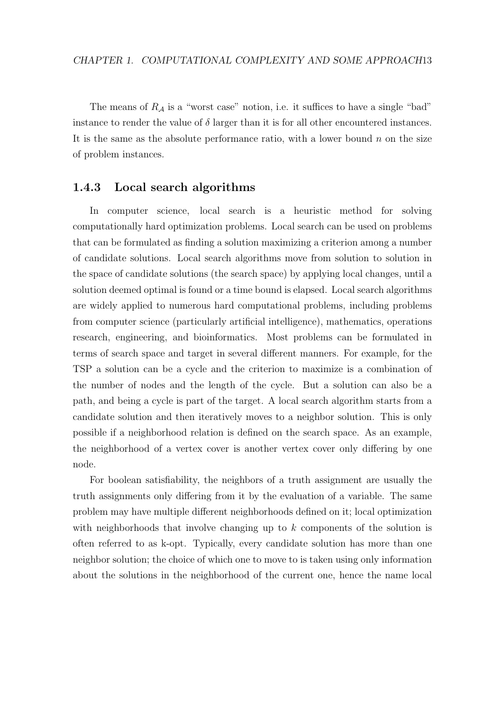The means of  $R_A$  is a "worst case" notion, i.e. it suffices to have a single "bad" instance to render the value of  $\delta$  larger than it is for all other encountered instances. It is the same as the absolute performance ratio, with a lower bound  $n$  on the size of problem instances.

#### 1.4.3 Local search algorithms

In computer science, local search is a heuristic method for solving computationally hard optimization problems. Local search can be used on problems that can be formulated as finding a solution maximizing a criterion among a number of candidate solutions. Local search algorithms move from solution to solution in the space of candidate solutions (the search space) by applying local changes, until a solution deemed optimal is found or a time bound is elapsed. Local search algorithms are widely applied to numerous hard computational problems, including problems from computer science (particularly artificial intelligence), mathematics, operations research, engineering, and bioinformatics. Most problems can be formulated in terms of search space and target in several different manners. For example, for the TSP a solution can be a cycle and the criterion to maximize is a combination of the number of nodes and the length of the cycle. But a solution can also be a path, and being a cycle is part of the target. A local search algorithm starts from a candidate solution and then iteratively moves to a neighbor solution. This is only possible if a neighborhood relation is defined on the search space. As an example, the neighborhood of a vertex cover is another vertex cover only differing by one node.

For boolean satisfiability, the neighbors of a truth assignment are usually the truth assignments only differing from it by the evaluation of a variable. The same problem may have multiple different neighborhoods defined on it; local optimization with neighborhoods that involve changing up to  $k$  components of the solution is often referred to as k-opt. Typically, every candidate solution has more than one neighbor solution; the choice of which one to move to is taken using only information about the solutions in the neighborhood of the current one, hence the name local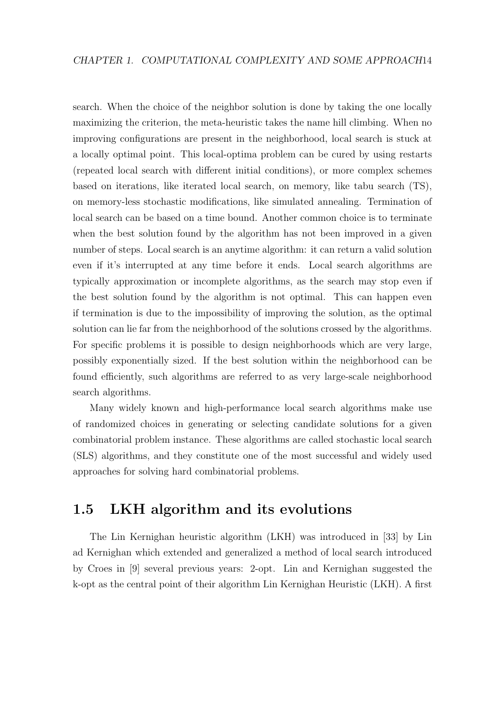search. When the choice of the neighbor solution is done by taking the one locally maximizing the criterion, the meta-heuristic takes the name hill climbing. When no improving configurations are present in the neighborhood, local search is stuck at a locally optimal point. This local-optima problem can be cured by using restarts (repeated local search with different initial conditions), or more complex schemes based on iterations, like iterated local search, on memory, like tabu search (TS), on memory-less stochastic modifications, like simulated annealing. Termination of local search can be based on a time bound. Another common choice is to terminate when the best solution found by the algorithm has not been improved in a given number of steps. Local search is an anytime algorithm: it can return a valid solution even if it's interrupted at any time before it ends. Local search algorithms are typically approximation or incomplete algorithms, as the search may stop even if the best solution found by the algorithm is not optimal. This can happen even if termination is due to the impossibility of improving the solution, as the optimal solution can lie far from the neighborhood of the solutions crossed by the algorithms. For specific problems it is possible to design neighborhoods which are very large, possibly exponentially sized. If the best solution within the neighborhood can be found efficiently, such algorithms are referred to as very large-scale neighborhood search algorithms.

Many widely known and high-performance local search algorithms make use of randomized choices in generating or selecting candidate solutions for a given combinatorial problem instance. These algorithms are called stochastic local search (SLS) algorithms, and they constitute one of the most successful and widely used approaches for solving hard combinatorial problems.

### 1.5 LKH algorithm and its evolutions

The Lin Kernighan heuristic algorithm (LKH) was introduced in [33] by Lin ad Kernighan which extended and generalized a method of local search introduced by Croes in [9] several previous years: 2-opt. Lin and Kernighan suggested the k-opt as the central point of their algorithm Lin Kernighan Heuristic (LKH). A first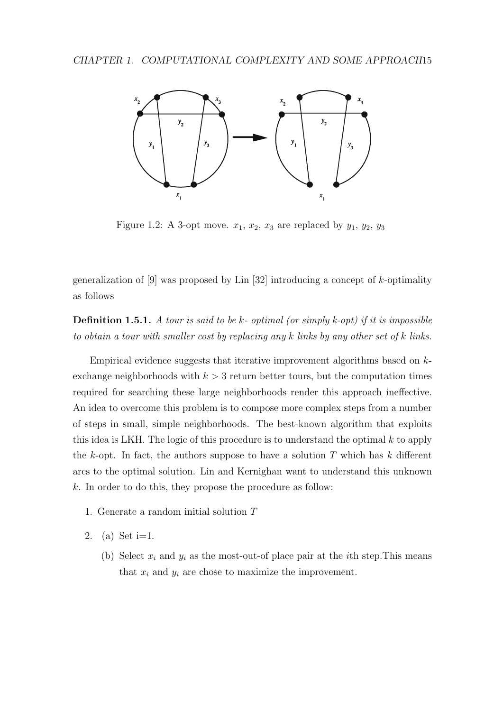

Figure 1.2: A 3-opt move.  $x_1, x_2, x_3$  are replaced by  $y_1, y_2, y_3$ 

on of  $[0]$  was proposed by Lin  $[32]$ generalization of [9] was proposed by Lin [32] introducing a concept of  $k$ -optimality as follows

following. **Definition 1.5.1.** A tour is said to be k- optimal (or simply k-opt) if it is impossible to obtain a tour with smaller cost by replacing any  $k$  links by any other set of  $k$  links.

Empirical evidence suggests that iterative improvement algorithms based on kempty. In step *i* a pair of edges, *xi* and *yi* , are added to *X* and *Y* , respectively. Figure 1 exchange neighborhoods with  $k > 3$  return better tours, but the computation times  $\begin{bmatrix} 1 & 0 & 1 \end{bmatrix}$  efficiently efficiently efficiently efficiently efficiently effects that fulfill the fulfill the fulfill the fulfill the fulfill the fulfill the fulfill the fulfill the fulfill the fulfill the fulfi required for searching these large neighborhoods render this approach ineffective. An idea to overcome this problem is to compose more complex steps from a number of steps in small, simple neighborhoods. The best-known algorithm that exploits *xi* = (*t*2*i*−1, *t*2*i*), *yi* = (*t*2*i*, *t*2*i*+1) and *xi*+<sup>1</sup> = (*t*2*i*+1, *t*2*i*+2) for *i* ≥ 1 (see Fig. 2). this idea is LKH. The logic of this procedure is to understand the optimal  $k$  to apply ing edges. A necessary (but not sufficient) condition that the exchange of edges *X* the k-opt. In fact, the authors suppose to have a solution  $T$  which has k different extimal solution Lin and Kernighan want to understand the chain of the contract of the contract of the contract o arcs to the optimal solution. Lin and Kernighan want to understand this unknown k. In order to do this, they propose the procedure as follow:  $\mathcal{L}$  affected edges. However, this is not always the affected edges. However, this is not always the case.

- 1. Generate a random initial solution  $T$
- 2. (a) Set  $i=1$ .
	- (b) Select  $x_i$  and  $y_i$  as the most-out-of place pair at the *i*th step. This means that  $x_i$  and  $y_i$  are chose to maximize the improvement.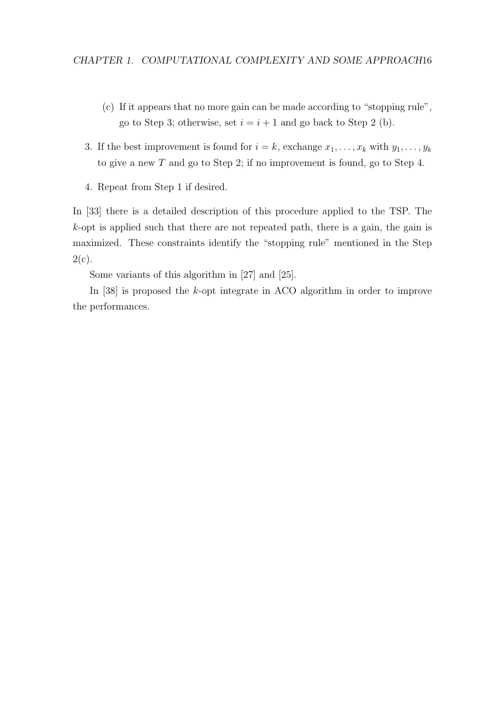- (c) If it appears that no more gain can be made according to "stopping rule", go to Step 3; otherwise, set  $i = i + 1$  and go back to Step 2 (b).
- 3. If the best improvement is found for  $i = k$ , exchange  $x_1, \ldots, x_k$  with  $y_1, \ldots, y_k$ to give a new T and go to Step 2; if no improvement is found, go to Step 4.
- 4. Repeat from Step 1 if desired.

In [33] there is a detailed description of this procedure applied to the TSP. The k-opt is applied such that there are not repeated path, there is a gain, the gain is maximized. These constraints identify the "stopping rule" mentioned in the Step  $2(c).$ 

Some variants of this algorithm in [27] and [25].

In [38] is proposed the k-opt integrate in ACO algorithm in order to improve the performances.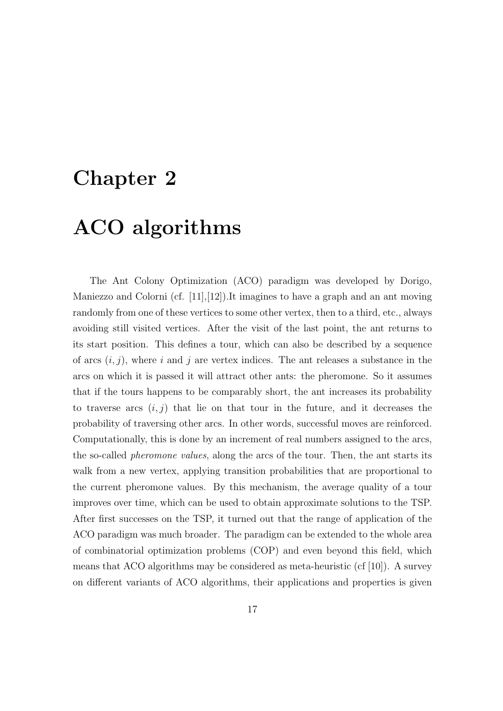# Chapter 2

# ACO algorithms

The Ant Colony Optimization (ACO) paradigm was developed by Dorigo, Maniezzo and Colorni (cf.  $[11],[12]$ ).It imagines to have a graph and an ant moving randomly from one of these vertices to some other vertex, then to a third, etc., always avoiding still visited vertices. After the visit of the last point, the ant returns to its start position. This defines a tour, which can also be described by a sequence of arcs  $(i, j)$ , where i and j are vertex indices. The ant releases a substance in the arcs on which it is passed it will attract other ants: the pheromone. So it assumes that if the tours happens to be comparably short, the ant increases its probability to traverse arcs  $(i, j)$  that lie on that tour in the future, and it decreases the probability of traversing other arcs. In other words, successful moves are reinforced. Computationally, this is done by an increment of real numbers assigned to the arcs, the so-called pheromone values, along the arcs of the tour. Then, the ant starts its walk from a new vertex, applying transition probabilities that are proportional to the current pheromone values. By this mechanism, the average quality of a tour improves over time, which can be used to obtain approximate solutions to the TSP. After first successes on the TSP, it turned out that the range of application of the ACO paradigm was much broader. The paradigm can be extended to the whole area of combinatorial optimization problems (COP) and even beyond this field, which means that ACO algorithms may be considered as meta-heuristic (cf [10]). A survey on different variants of ACO algorithms, their applications and properties is given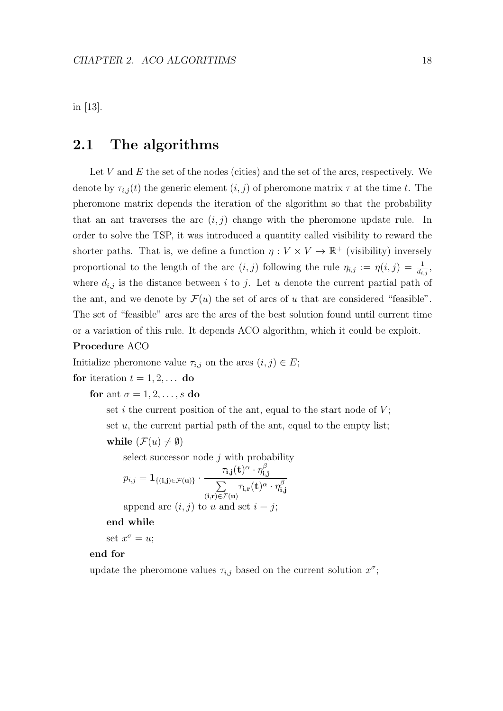in [13].

### 2.1 The algorithms

Let  $V$  and  $E$  the set of the nodes (cities) and the set of the arcs, respectively. We denote by  $\tau_{i,j}(t)$  the generic element  $(i, j)$  of pheromone matrix  $\tau$  at the time t. The pheromone matrix depends the iteration of the algorithm so that the probability that an ant traverses the arc  $(i, j)$  change with the pheromone update rule. In order to solve the TSP, it was introduced a quantity called visibility to reward the shorter paths. That is, we define a function  $\eta: V \times V \to \mathbb{R}^+$  (visibility) inversely proportional to the length of the arc  $(i, j)$  following the rule  $\eta_{i,j} := \eta(i, j) = \frac{1}{d_{i,j}},$ where  $d_{i,j}$  is the distance between i to j. Let u denote the current partial path of the ant, and we denote by  $\mathcal{F}(u)$  the set of arcs of u that are considered "feasible". The set of "feasible" arcs are the arcs of the best solution found until current time or a variation of this rule. It depends ACO algorithm, which it could be exploit.

#### Procedure ACO

Initialize pheromone value  $\tau_{i,j}$  on the arcs  $(i, j) \in E$ ;

for iteration 
$$
t = 1, 2, \ldots
$$
 do

for ant  $\sigma = 1, 2, \ldots, s$  do

set i the current position of the ant, equal to the start node of  $V$ ; set  $u$ , the current partial path of the ant, equal to the empty list; while  $(\mathcal{F}(u) \neq \emptyset)$ 

select successor node  $j$  with probability  $p_{i,j} = \mathbf{1}_{\{(\mathbf{i}, \mathbf{j}) \in \mathcal{F}(\mathbf{u})\}}$  .  $\tau_{\mathbf{i},\mathbf{j}}(\mathbf{t})^\alpha\cdot\eta_{\mathbf{i},\mathbf{j}}^\beta$ i,j  $\sum$  $(i,r)\in \mathcal{F}(\mathbf{u})$  $\tau_{\mathbf{i},\mathbf{r}}(\mathbf{t})^\alpha\cdot\eta_{\mathbf{i},\mathbf{r}}^\beta$ i,j append arc  $(i, j)$  to u and set  $i = j$ ;

end while

set  $x^{\sigma} = u$ ;

#### end for

update the pheromone values  $\tau_{i,j}$  based on the current solution  $x^{\sigma}$ ;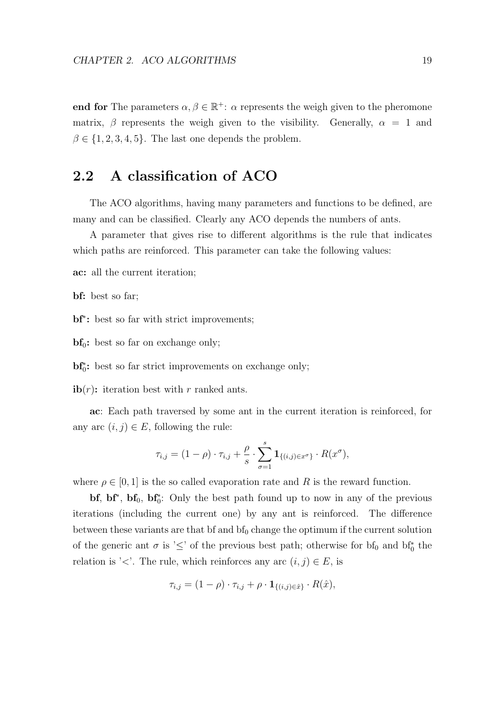end for The parameters  $\alpha, \beta \in \mathbb{R}^+$ :  $\alpha$  represents the weigh given to the pheromone matrix,  $\beta$  represents the weigh given to the visibility. Generally,  $\alpha = 1$  and  $\beta \in \{1, 2, 3, 4, 5\}$ . The last one depends the problem.

## 2.2 A classification of ACO

The ACO algorithms, having many parameters and functions to be defined, are many and can be classified. Clearly any ACO depends the numbers of ants.

A parameter that gives rise to different algorithms is the rule that indicates which paths are reinforced. This parameter can take the following values:

ac: all the current iteration;

bf: best so far;

bf<sup>\*</sup>: best so far with strict improvements;

 $bf_0$ : best so far on exchange only;

bf<sub>0</sub><sup>\*</sup>: best so far strict improvements on exchange only;

ib $(r)$ : iteration best with r ranked ants.

ac: Each path traversed by some ant in the current iteration is reinforced, for any arc  $(i, j) \in E$ , following the rule:

$$
\tau_{i,j} = (1 - \rho) \cdot \tau_{i,j} + \frac{\rho}{s} \cdot \sum_{\sigma=1}^s \mathbf{1}_{\{(i,j)\in x^{\sigma}\}} \cdot R(x^{\sigma}),
$$

where  $\rho \in [0, 1]$  is the so called evaporation rate and R is the reward function.

 $bf, bf^*, bf_0, bf_0^*$ : Only the best path found up to now in any of the previous iterations (including the current one) by any ant is reinforced. The difference between these variants are that  $\mathbf{b}$  f and  $\mathbf{b}$  f<sub>0</sub> change the optimum if the current solution of the generic ant  $\sigma$  is ' $\leq$ ' of the previous best path; otherwise for bf<sub>0</sub> and bf<sub>0</sub><sup>\*</sup> the relation is '<'. The rule, which reinforces any arc  $(i, j) \in E$ , is

$$
\tau_{i,j} = (1 - \rho) \cdot \tau_{i,j} + \rho \cdot \mathbf{1}_{\{(i,j)\in\hat{x}\}} \cdot R(\hat{x}),
$$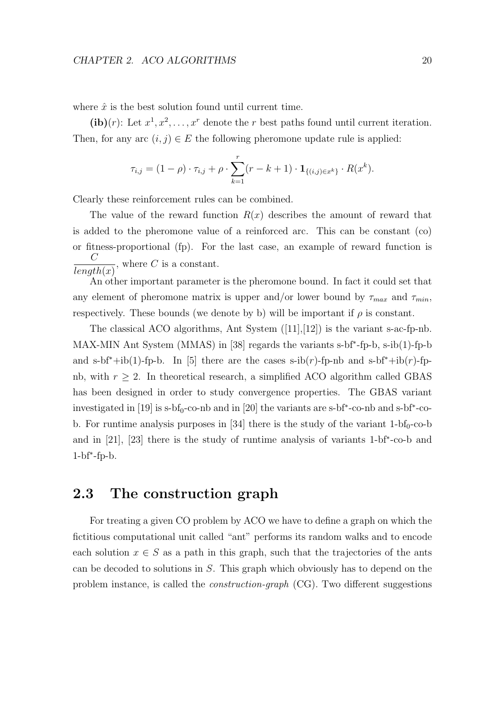where  $\hat{x}$  is the best solution found until current time.

(ib)(r): Let  $x^1, x^2, \ldots, x^r$  denote the r best paths found until current iteration. Then, for any arc  $(i, j) \in E$  the following pheromone update rule is applied:

$$
\tau_{i,j} = (1 - \rho) \cdot \tau_{i,j} + \rho \cdot \sum_{k=1}^r (r - k + 1) \cdot \mathbf{1}_{\{(i,j)\in x^k\}} \cdot R(x^k).
$$

Clearly these reinforcement rules can be combined.

The value of the reward function  $R(x)$  describes the amount of reward that is added to the pheromone value of a reinforced arc. This can be constant (co) or fitness-proportional (fp). For the last case, an example of reward function is  $\mathcal{C}$  $length(x)$ , where  $C$  is a constant.

An other important parameter is the pheromone bound. In fact it could set that any element of pheromone matrix is upper and/or lower bound by  $\tau_{max}$  and  $\tau_{min}$ , respectively. These bounds (we denote by b) will be important if  $\rho$  is constant.

The classical ACO algorithms, Ant System  $([11],[12])$  is the variant s-ac-fp-nb. MAX-MIN Ant System (MMAS) in [38] regards the variants s-bf<sup>∗</sup> -fp-b, s-ib(1)-fp-b and s-bf<sup>\*</sup>+ib(1)-fp-b. In [5] there are the cases s-ib(r)-fp-nb and s-bf<sup>\*</sup>+ib(r)-fpnb, with  $r \geq 2$ . In theoretical research, a simplified ACO algorithm called GBAS has been designed in order to study convergence properties. The GBAS variant investigated in  $[19]$  is s-bf<sub>0</sub>-co-nb and in  $[20]$  the variants are s-bf<sup>\*</sup>-co-nb and s-bf<sup>\*</sup>-cob. For runtime analysis purposes in [34] there is the study of the variant  $1-bf_0$ -co-b and in [21], [23] there is the study of runtime analysis of variants 1-bf<sup>∗</sup> -co-b and 1-bf<sup>∗</sup> -fp-b.

### 2.3 The construction graph

For treating a given CO problem by ACO we have to define a graph on which the fictitious computational unit called "ant" performs its random walks and to encode each solution  $x \in S$  as a path in this graph, such that the trajectories of the ants can be decoded to solutions in S. This graph which obviously has to depend on the problem instance, is called the construction-graph (CG). Two different suggestions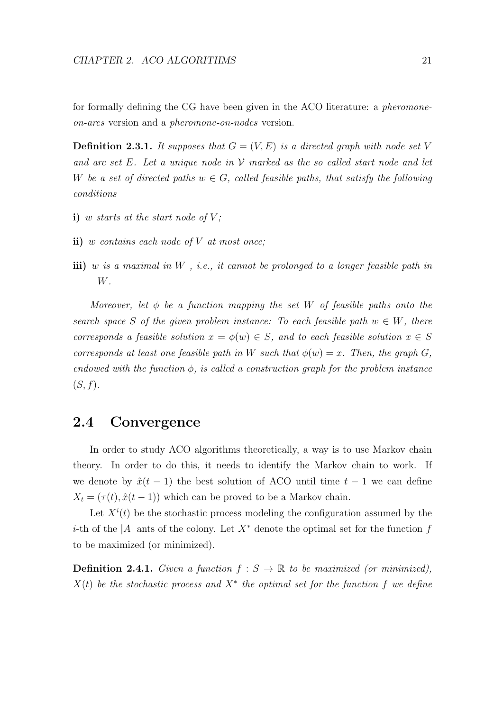for formally defining the CG have been given in the ACO literature: a pheromoneon-arcs version and a pheromone-on-nodes version.

**Definition 2.3.1.** It supposes that  $G = (V, E)$  is a directed graph with node set V and arc set E. Let a unique node in  $\mathcal V$  marked as the so called start node and let W be a set of directed paths  $w \in G$ , called feasible paths, that satisfy the following conditions

- i) w starts at the start node of  $V$ ;
- ii) w contains each node of  $V$  at most once;
- iii) w is a maximal in  $W$ , i.e., it cannot be prolonged to a longer feasible path in W.

Moreover, let  $\phi$  be a function mapping the set W of feasible paths onto the search space S of the given problem instance: To each feasible path  $w \in W$ , there corresponds a feasible solution  $x = \phi(w) \in S$ , and to each feasible solution  $x \in S$ corresponds at least one feasible path in W such that  $\phi(w) = x$ . Then, the graph G, endowed with the function  $\phi$ , is called a construction graph for the problem instance  $(S, f).$ 

### 2.4 Convergence

In order to study ACO algorithms theoretically, a way is to use Markov chain theory. In order to do this, it needs to identify the Markov chain to work. If we denote by  $\hat{x}(t-1)$  the best solution of ACO until time  $t-1$  we can define  $X_t = (\tau(t), \hat{x}(t-1))$  which can be proved to be a Markov chain.

Let  $X^{i}(t)$  be the stochastic process modeling the configuration assumed by the *i*-th of the  $|A|$  ants of the colony. Let  $X^*$  denote the optimal set for the function f to be maximized (or minimized).

**Definition 2.4.1.** Given a function  $f : S \to \mathbb{R}$  to be maximized (or minimized),  $X(t)$  be the stochastic process and  $X^*$  the optimal set for the function f we define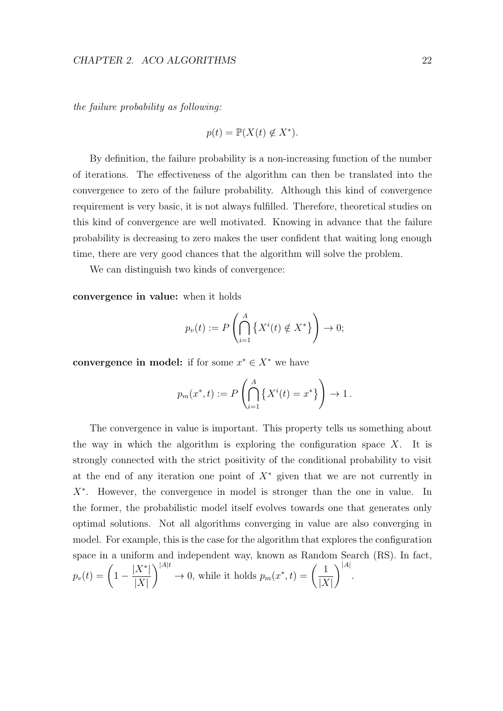the failure probability as following:

$$
p(t) = \mathbb{P}(X(t) \notin X^*).
$$

By definition, the failure probability is a non-increasing function of the number of iterations. The effectiveness of the algorithm can then be translated into the convergence to zero of the failure probability. Although this kind of convergence requirement is very basic, it is not always fulfilled. Therefore, theoretical studies on this kind of convergence are well motivated. Knowing in advance that the failure probability is decreasing to zero makes the user confident that waiting long enough time, there are very good chances that the algorithm will solve the problem.

We can distinguish two kinds of convergence:

convergence in value: when it holds

$$
p_v(t) := P\left(\bigcap_{i=1}^A \left\{ X^i(t) \notin X^* \right\} \right) \to 0;
$$

convergence in model: if for some  $x^* \in X^*$  we have

$$
p_m(x^*, t) := P\left(\bigcap_{i=1}^A \left\{ X^i(t) = x^* \right\} \right) \to 1.
$$

The convergence in value is important. This property tells us something about the way in which the algorithm is exploring the configuration space  $X$ . It is strongly connected with the strict positivity of the conditional probability to visit at the end of any iteration one point of  $X^*$  given that we are not currently in X<sup>∗</sup> . However, the convergence in model is stronger than the one in value. In the former, the probabilistic model itself evolves towards one that generates only optimal solutions. Not all algorithms converging in value are also converging in model. For example, this is the case for the algorithm that explores the configuration space in a uniform and independent way, known as Random Search (RS). In fact,  $p_v(t) = \bigg(1 |X^*|$  $|X|$  $\bigwedge |A|t$  $\to 0$ , while it holds  $p_m(x^*, t) = \left(\frac{1}{\sqrt{N}}\right)^m$  $|X|$  $\setminus$   $^{|A|}$ .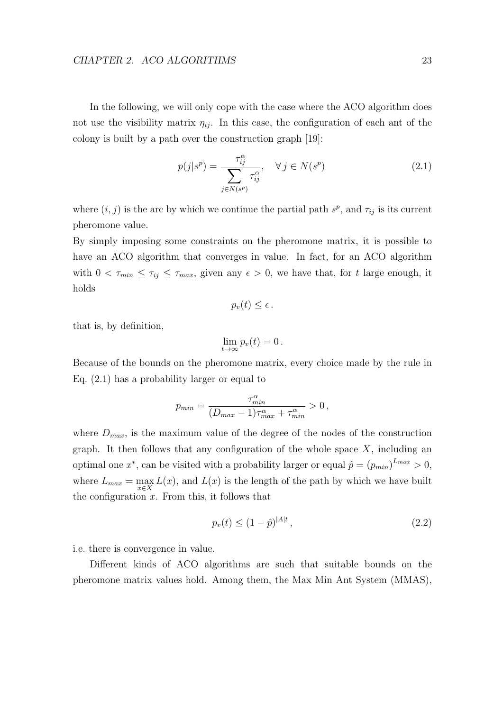#### CHAPTER 2. ACO ALGORITHMS 23

In the following, we will only cope with the case where the ACO algorithm does not use the visibility matrix  $\eta_{ij}$ . In this case, the configuration of each ant of the colony is built by a path over the construction graph [19]:

$$
p(j|s^p) = \frac{\tau_{ij}^{\alpha}}{\sum_{j \in N(s^p)} \tau_{ij}^{\alpha}}, \quad \forall j \in N(s^p)
$$
\n(2.1)

where  $(i, j)$  is the arc by which we continue the partial path  $s^p$ , and  $\tau_{ij}$  is its current pheromone value.

By simply imposing some constraints on the pheromone matrix, it is possible to have an ACO algorithm that converges in value. In fact, for an ACO algorithm with  $0 < \tau_{min} \leq \tau_{ij} \leq \tau_{max}$ , given any  $\epsilon > 0$ , we have that, for t large enough, it holds

$$
p_v(t)\leq \epsilon.
$$

that is, by definition,

$$
\lim_{t\to\infty}p_v(t)=0.
$$

Because of the bounds on the pheromone matrix, every choice made by the rule in Eq. (2.1) has a probability larger or equal to

$$
p_{min} = \frac{\tau_{min}^{\alpha}}{(D_{max} - 1)\tau_{max}^{\alpha} + \tau_{min}^{\alpha}} > 0,
$$

where  $D_{max}$ , is the maximum value of the degree of the nodes of the construction graph. It then follows that any configuration of the whole space  $X$ , including an optimal one  $x^*$ , can be visited with a probability larger or equal  $\hat{p} = (p_{min})^{L_{max}} > 0$ , where  $L_{max} = \max_{x \in X} L(x)$ , and  $L(x)$  is the length of the path by which we have built the configuration  $x$ . From this, it follows that

$$
p_v(t) \le (1 - \hat{p})^{|A|t},\tag{2.2}
$$

i.e. there is convergence in value.

Different kinds of ACO algorithms are such that suitable bounds on the pheromone matrix values hold. Among them, the Max Min Ant System (MMAS),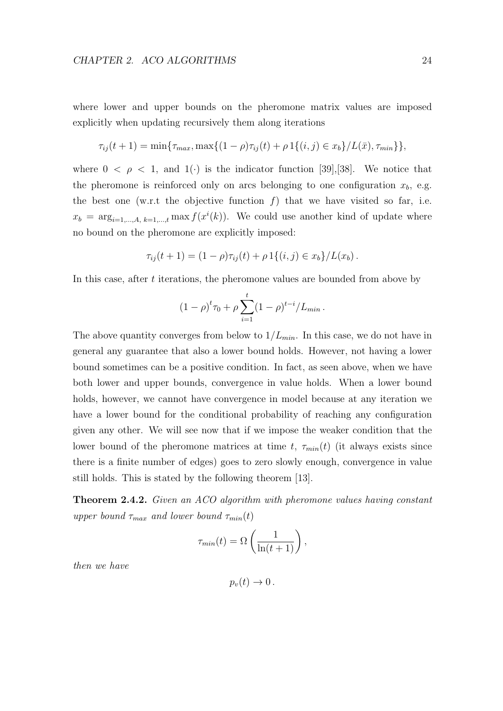where lower and upper bounds on the pheromone matrix values are imposed explicitly when updating recursively them along iterations

$$
\tau_{ij}(t+1) = \min\{\tau_{max}, \max\{(1-\rho)\tau_{ij}(t) + \rho \mathbb{1}\{(i,j) \in x_b\}/L(\bar{x}), \tau_{min}\}\},\
$$

where  $0 < \rho < 1$ , and  $1(\cdot)$  is the indicator function [39], [38]. We notice that the pheromone is reinforced only on arcs belonging to one configuration  $x_b$ , e.g. the best one (w.r.t the objective function  $f$ ) that we have visited so far, i.e.  $x_b = \arg_{i=1,\dots,A,\ k=1,\dots,t} \max f(x^i(k))$ . We could use another kind of update where no bound on the pheromone are explicitly imposed:

$$
\tau_{ij}(t+1) = (1-\rho)\tau_{ij}(t) + \rho \, 1\{(i,j) \in x_b\}/L(x_b).
$$

In this case, after t iterations, the pheromone values are bounded from above by

$$
(1 - \rho)^t \tau_0 + \rho \sum_{i=1}^t (1 - \rho)^{t-i} / L_{min} \, .
$$

The above quantity converges from below to  $1/L_{min}$ . In this case, we do not have in general any guarantee that also a lower bound holds. However, not having a lower bound sometimes can be a positive condition. In fact, as seen above, when we have both lower and upper bounds, convergence in value holds. When a lower bound holds, however, we cannot have convergence in model because at any iteration we have a lower bound for the conditional probability of reaching any configuration given any other. We will see now that if we impose the weaker condition that the lower bound of the pheromone matrices at time t,  $\tau_{min}(t)$  (it always exists since there is a finite number of edges) goes to zero slowly enough, convergence in value still holds. This is stated by the following theorem [13].

Theorem 2.4.2. Given an ACO algorithm with pheromone values having constant upper bound  $\tau_{max}$  and lower bound  $\tau_{min}(t)$ 

$$
\tau_{min}(t) = \Omega\left(\frac{1}{\ln(t+1)}\right),\,
$$

then we have

 $p_v(t) \rightarrow 0$ .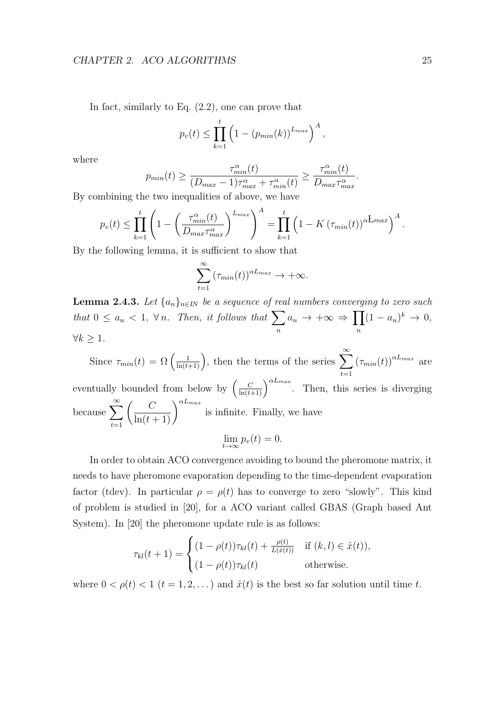In fact, similarly to Eq.  $(2.2)$ , one can prove that

$$
p_v(t) \leq \prod_{k=1}^t \left(1 - (p_{min}(k))^{L_{max}}\right)^A,
$$

where

$$
p_{min}(t) \ge \frac{\tau_{min}^{\alpha}(t)}{(D_{max} - 1)\tau_{max}^{\alpha} + \tau_{min}^{\alpha}(t)} \ge \frac{\tau_{min}^{\alpha}(t)}{D_{max}\tau_{max}^{\alpha}}.
$$

By combining the two inequalities of above, we have

$$
p_v(t) \le \prod_{k=1}^t \left( 1 - \left( \frac{\tau_{min}^{\alpha}(t)}{D_{max} \tau_{max}^{\alpha}} \right)^{L_{max}} \right)^A = \prod_{k=1}^t \left( 1 - K \left( \tau_{min}(t) \right)^{\alpha L_{max}} \right)^A.
$$

By the following lemma, it is sufficient to show that

$$
\sum_{t=1}^{\infty} \left(\tau_{min}(t)\right)^{\alpha L_{max}} \to +\infty.
$$

**Lemma 2.4.3.** Let  $\{a_n\}_{n\in\mathbb{N}}$  be a sequence of real numbers converging to zero such that  $0 \leq a_n < 1$ ,  $\forall n$ . Then, it follows that  $\sum$ n  $a_n \to +\infty \Rightarrow \prod$ n  $(1-a_n)^k \rightarrow 0,$  $\forall k > 1.$ 

Since  $\tau_{min}(t) = \Omega\left(\frac{1}{\ln(t+1)}\right)$ , then the terms of the series  $\sum_{n=1}^{\infty}$  $t=1$  $(\tau_{min}(t))^{\alpha L_{max}}$  are eventually bounded from below by  $\left(\frac{C}{\ln(t+1)}\right)^{\alpha L_{max}}$ . Then, this series is diverging because  $\sum_{n=1}^{\infty}$  $t=1$  $\left(\frac{C}{\ln(t+1)}\right)^{\alpha L_{max}}$ is infinite. Finally, we have  $\lim_{t\to\infty} p_v(t) = 0.$ 

In order to obtain ACO convergence avoiding to bound the pheromone matrix, it needs to have pheromone evaporation depending to the time-dependent evaporation factor (tdev). In particular  $\rho = \rho(t)$  has to converge to zero "slowly". This kind of problem is studied in [20], for a ACO variant called GBAS (Graph based Ant System). In [20] the pheromone update rule is as follows:

$$
\tau_{kl}(t+1) = \begin{cases}\n(1-\rho(t))\tau_{kl}(t) + \frac{\rho(t)}{L(\hat{x}(t))} & \text{if } (k,l) \in \hat{x}(t)), \\
(1-\rho(t))\tau_{kl}(t) & \text{otherwise.} \n\end{cases}
$$

where  $0 < \rho(t) < 1$   $(t = 1, 2, ...)$  and  $\hat{x}(t)$  is the best so far solution until time t.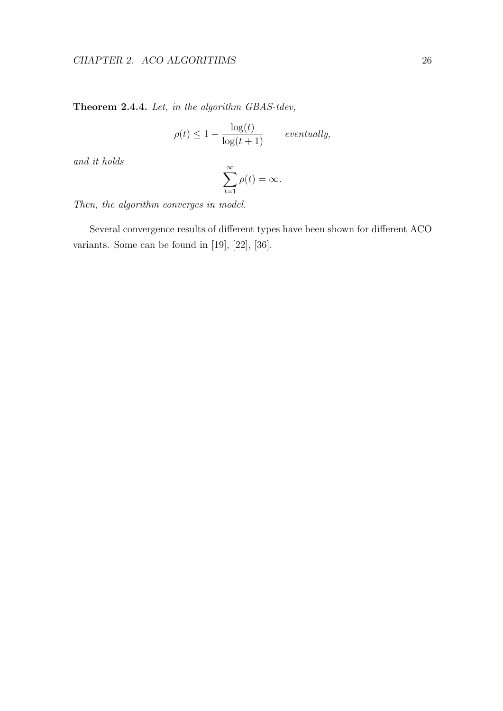### CHAPTER 2. ACO ALGORITHMS 26

Theorem 2.4.4. Let, in the algorithm GBAS-tdev,

$$
\rho(t) \le 1 - \frac{\log(t)}{\log(t+1)} \qquad eventually,
$$

and it holds

$$
\sum_{t=1}^{\infty} \rho(t) = \infty.
$$

Then, the algorithm converges in model.

Several convergence results of different types have been shown for different ACO variants. Some can be found in [19], [22], [36].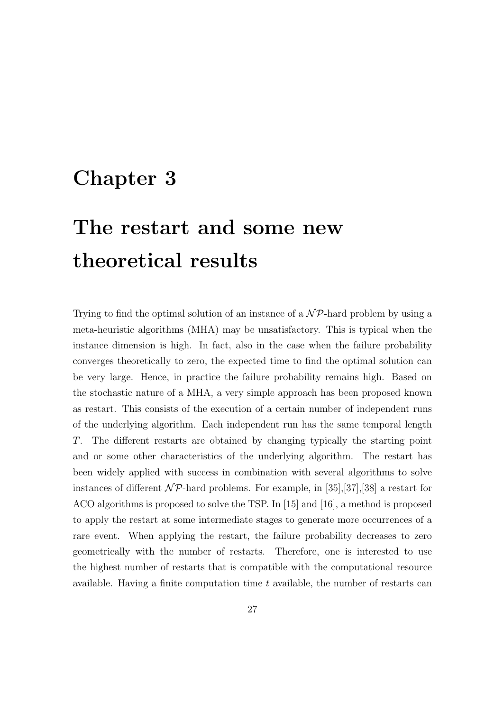# Chapter 3

# The restart and some new theoretical results

Trying to find the optimal solution of an instance of a  $\mathcal{NP}$ -hard problem by using a meta-heuristic algorithms (MHA) may be unsatisfactory. This is typical when the instance dimension is high. In fact, also in the case when the failure probability converges theoretically to zero, the expected time to find the optimal solution can be very large. Hence, in practice the failure probability remains high. Based on the stochastic nature of a MHA, a very simple approach has been proposed known as restart. This consists of the execution of a certain number of independent runs of the underlying algorithm. Each independent run has the same temporal length T. The different restarts are obtained by changing typically the starting point and or some other characteristics of the underlying algorithm. The restart has been widely applied with success in combination with several algorithms to solve instances of different  $\mathcal{NP}$ -hard problems. For example, in [35],[37],[38] a restart for ACO algorithms is proposed to solve the TSP. In [15] and [16], a method is proposed to apply the restart at some intermediate stages to generate more occurrences of a rare event. When applying the restart, the failure probability decreases to zero geometrically with the number of restarts. Therefore, one is interested to use the highest number of restarts that is compatible with the computational resource available. Having a finite computation time  $t$  available, the number of restarts can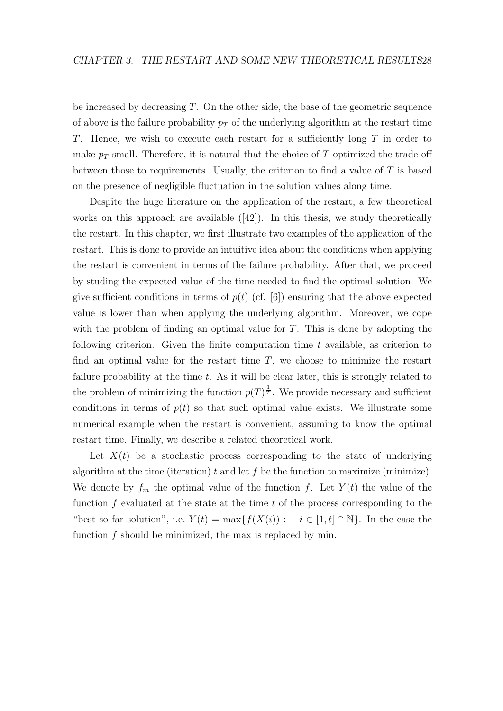be increased by decreasing  $T$ . On the other side, the base of the geometric sequence of above is the failure probability  $p<sub>T</sub>$  of the underlying algorithm at the restart time T. Hence, we wish to execute each restart for a sufficiently long T in order to make  $p_T$  small. Therefore, it is natural that the choice of T optimized the trade off between those to requirements. Usually, the criterion to find a value of  $T$  is based on the presence of negligible fluctuation in the solution values along time.

Despite the huge literature on the application of the restart, a few theoretical works on this approach are available  $(42)$ . In this thesis, we study theoretically the restart. In this chapter, we first illustrate two examples of the application of the restart. This is done to provide an intuitive idea about the conditions when applying the restart is convenient in terms of the failure probability. After that, we proceed by studing the expected value of the time needed to find the optimal solution. We give sufficient conditions in terms of  $p(t)$  (cf. [6]) ensuring that the above expected value is lower than when applying the underlying algorithm. Moreover, we cope with the problem of finding an optimal value for  $T$ . This is done by adopting the following criterion. Given the finite computation time  $t$  available, as criterion to find an optimal value for the restart time  $T$ , we choose to minimize the restart failure probability at the time  $t$ . As it will be clear later, this is strongly related to the problem of minimizing the function  $p(T)^{\frac{1}{T}}$ . We provide necessary and sufficient conditions in terms of  $p(t)$  so that such optimal value exists. We illustrate some numerical example when the restart is convenient, assuming to know the optimal restart time. Finally, we describe a related theoretical work.

Let  $X(t)$  be a stochastic process corresponding to the state of underlying algorithm at the time (iteration) t and let f be the function to maximize (minimize). We denote by  $f_m$  the optimal value of the function f. Let  $Y(t)$  the value of the function  $f$  evaluated at the state at the time  $t$  of the process corresponding to the "best so far solution", i.e.  $Y(t) = \max\{f(X(i)) : i \in [1, t] \cap \mathbb{N}\}\.$  In the case the function f should be minimized, the max is replaced by min.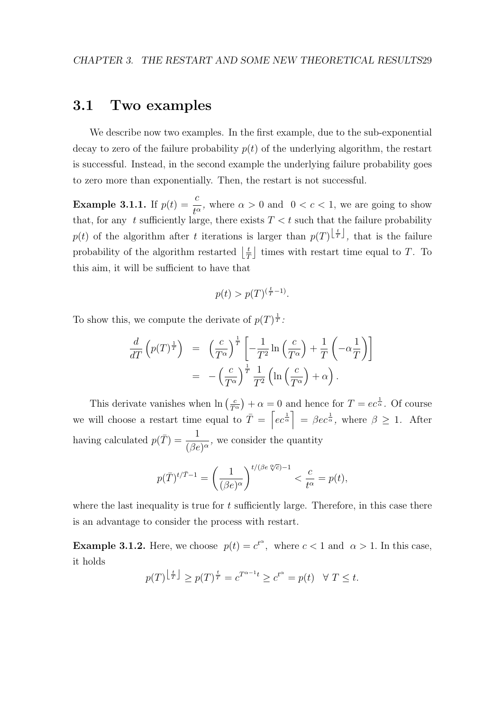# 3.1 Two examples

We describe now two examples. In the first example, due to the sub-exponential decay to zero of the failure probability  $p(t)$  of the underlying algorithm, the restart is successful. Instead, in the second example the underlying failure probability goes to zero more than exponentially. Then, the restart is not successful.

**Example 3.1.1.** If  $p(t) = \frac{c}{c}$  $\frac{\epsilon}{t^{\alpha}}$ , where  $\alpha > 0$  and  $0 < c < 1$ , we are going to show that, for any t sufficiently large, there exists  $T < t$  such that the failure probability  $p(t)$  of the algorithm after t iterations is larger than  $p(T)^{\lfloor \frac{t}{T} \rfloor}$ , that is the failure probability of the algorithm restarted  $\frac{1}{7}$  $\frac{t}{T}$  times with restart time equal to T. To this aim, it will be sufficient to have that

$$
p(t) > p(T)^{(\frac{t}{T} - 1)}.
$$

To show this, we compute the derivate of  $p(T)^{\frac{1}{T}}$ :

$$
\frac{d}{dT}\left(p(T)^{\frac{1}{T}}\right) = \left(\frac{c}{T^{\alpha}}\right)^{\frac{1}{T}} \left[-\frac{1}{T^2}\ln\left(\frac{c}{T^{\alpha}}\right) + \frac{1}{T}\left(-\alpha\frac{1}{T}\right)\right]
$$
\n
$$
= -\left(\frac{c}{T^{\alpha}}\right)^{\frac{1}{T}} \frac{1}{T^2}\left(\ln\left(\frac{c}{T^{\alpha}}\right) + \alpha\right).
$$

This derivate vanishes when  $\ln\left(\frac{c}{T} \right)$  $\frac{c}{T^{\alpha}}$  +  $\alpha = 0$  and hence for  $T = ec^{\frac{1}{\alpha}}$ . Of course we will choose a restart time equal to  $\overline{T} = \left[ec^{\frac{1}{\alpha}}\right] = \beta ec^{\frac{1}{\alpha}}$ , where  $\beta \geq 1$ . After having calculated  $p(\bar{T}) = \frac{1}{\sqrt{2}}$  $\frac{1}{(\beta e)^{\alpha}}$ , we consider the quantity

$$
p(\bar{T})^{t/\bar{T}-1} = \left(\frac{1}{(\beta e)^{\alpha}}\right)^{t/(\beta e \sqrt[\alpha]{c})-1} < \frac{c}{t^{\alpha}} = p(t),
$$

where the last inequality is true for  $t$  sufficiently large. Therefore, in this case there is an advantage to consider the process with restart.

**Example 3.1.2.** Here, we choose  $p(t) = c^{t^{\alpha}}$ , where  $c < 1$  and  $\alpha > 1$ . In this case, it holds

$$
p(T)^{\left\lfloor \frac{t}{T} \right\rfloor} \ge p(T)^{\frac{t}{T}} = c^{T^{\alpha - 1}t} \ge c^{t^{\alpha}} = p(t) \quad \forall \ T \le t.
$$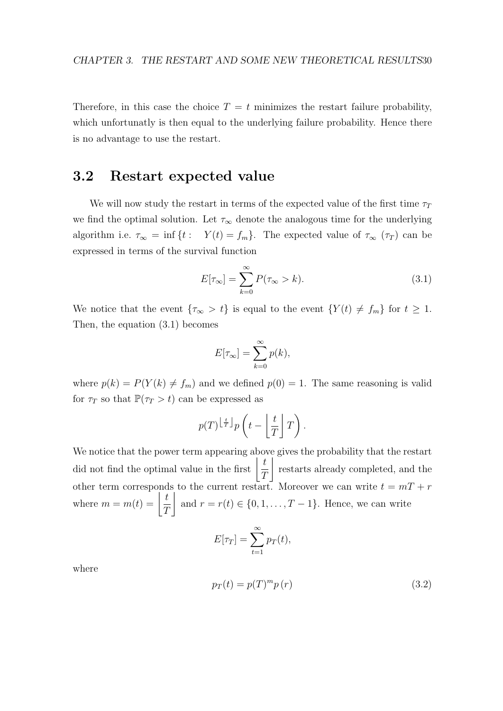Therefore, in this case the choice  $T = t$  minimizes the restart failure probability, which unfortunatly is then equal to the underlying failure probability. Hence there is no advantage to use the restart.

### 3.2 Restart expected value

We will now study the restart in terms of the expected value of the first time  $\tau_T$ we find the optimal solution. Let  $\tau_{\infty}$  denote the analogous time for the underlying algorithm i.e.  $\tau_{\infty} = \inf \{ t : Y(t) = f_m \}.$  The expected value of  $\tau_{\infty}(\tau_T)$  can be expressed in terms of the survival function

$$
E[\tau_{\infty}] = \sum_{k=0}^{\infty} P(\tau_{\infty} > k).
$$
 (3.1)

We notice that the event  $\{\tau_{\infty} > t\}$  is equal to the event  $\{Y(t) \neq f_m\}$  for  $t \geq 1$ . Then, the equation (3.1) becomes

$$
E[\tau_{\infty}] = \sum_{k=0}^{\infty} p(k),
$$

where  $p(k) = P(Y(k) \neq f_m)$  and we defined  $p(0) = 1$ . The same reasoning is valid for  $\tau_T$  so that  $\mathbb{P}(\tau_T > t)$  can be expressed as

$$
p(T)^{\left\lfloor \frac{t}{T} \right\rfloor} p\left(t - \left\lfloor \frac{t}{T} \right\rfloor T\right).
$$

We notice that the power term appearing above gives the probability that the restart did not find the optimal value in the first  $\frac{t}{a}$ T  $\overline{\phantom{a}}$ restarts already completed, and the other term corresponds to the current restart. Moreover we can write  $t = mT + r$ where  $m = m(t) = \frac{t}{\sigma}$ T  $\overline{\phantom{a}}$ and  $r = r(t) \in \{0, 1, \ldots, T-1\}$ . Hence, we can write

$$
E[\tau_T] = \sum_{t=1}^{\infty} p_T(t),
$$

where

$$
p_T(t) = p(T)^m p(r)
$$
\n(3.2)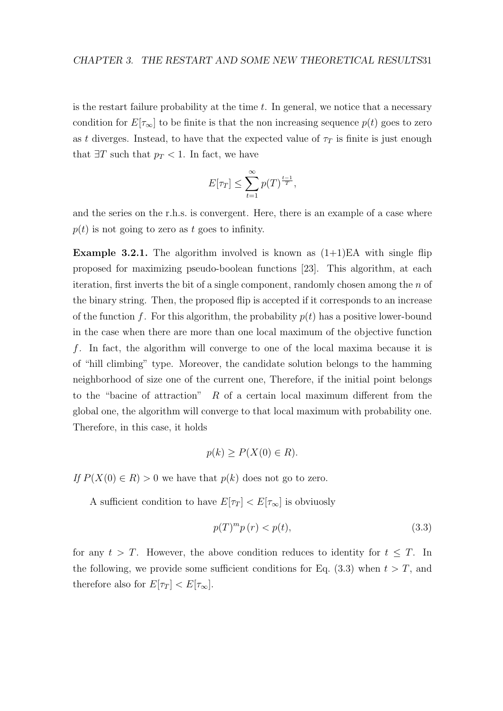is the restart failure probability at the time  $t$ . In general, we notice that a necessary condition for  $E[\tau_{\infty}]$  to be finite is that the non increasing sequence  $p(t)$  goes to zero as t diverges. Instead, to have that the expected value of  $\tau_T$  is finite is just enough that  $\exists T$  such that  $p_T < 1$ . In fact, we have

$$
E[\tau_T] \le \sum_{t=1}^{\infty} p(T)^{\frac{t-1}{T}},
$$

and the series on the r.h.s. is convergent. Here, there is an example of a case where  $p(t)$  is not going to zero as t goes to infinity.

**Example 3.2.1.** The algorithm involved is known as  $(1+1)EA$  with single flip proposed for maximizing pseudo-boolean functions [23]. This algorithm, at each iteration, first inverts the bit of a single component, randomly chosen among the  $n$  of the binary string. Then, the proposed flip is accepted if it corresponds to an increase of the function f. For this algorithm, the probability  $p(t)$  has a positive lower-bound in the case when there are more than one local maximum of the objective function f. In fact, the algorithm will converge to one of the local maxima because it is of "hill climbing" type. Moreover, the candidate solution belongs to the hamming neighborhood of size one of the current one, Therefore, if the initial point belongs to the "bacine of attraction"  $R$  of a certain local maximum different from the global one, the algorithm will converge to that local maximum with probability one. Therefore, in this case, it holds

$$
p(k) \ge P(X(0) \in R).
$$

If  $P(X(0) \in R) > 0$  we have that  $p(k)$  does not go to zero.

A sufficient condition to have  $E[\tau_T] < E[\tau_\infty]$  is obviuosly

$$
p(T)^{m}p(r) < p(t),\tag{3.3}
$$

for any  $t > T$ . However, the above condition reduces to identity for  $t \leq T$ . In the following, we provide some sufficient conditions for Eq.  $(3.3)$  when  $t > T$ , and therefore also for  $E[\tau_T] < E[\tau_\infty]$ .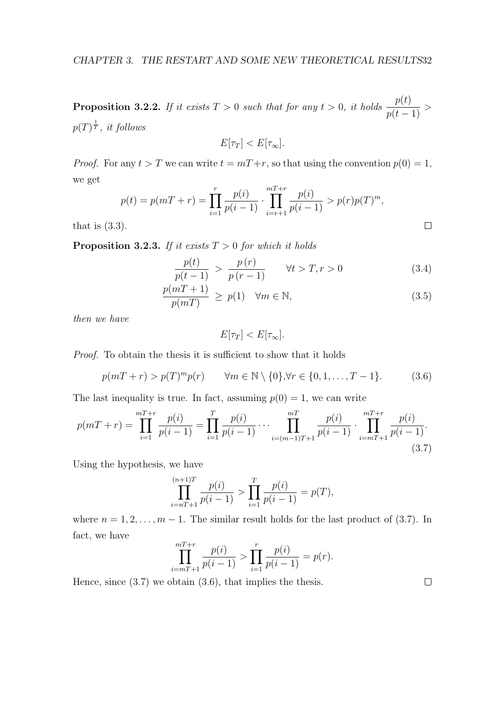**Proposition 3.2.2.** If it exists  $T > 0$  such that for any  $t > 0$ , it holds  $\frac{p(t)}{dt}$  $\frac{P(t)}{p(t-1)}$  >  $p(T)^{\frac{1}{T}}, \text{ } it \text{ } follows$ 

$$
E[\tau_T] < E[\tau_\infty].
$$

*Proof.* For any  $t > T$  we can write  $t = mT + r$ , so that using the convention  $p(0) = 1$ , we get  $\sigma$ 

$$
p(t) = p(mT + r) = \prod_{i=1}^{r} \frac{p(i)}{p(i-1)} \cdot \prod_{i=r+1}^{mT+r} \frac{p(i)}{p(i-1)} > p(r)p(T)^{m},
$$
  
.

that is  $(3.3)$ .

**Proposition 3.2.3.** If it exists  $T > 0$  for which it holds

$$
\frac{p(t)}{p(t-1)} > \frac{p(r)}{p(r-1)} \qquad \forall t > T, r > 0 \tag{3.4}
$$

$$
\frac{p(mT+1)}{p(mT)} \ge p(1) \quad \forall m \in \mathbb{N},\tag{3.5}
$$

then we have

$$
E[\tau_T] < E[\tau_\infty].
$$

Proof. To obtain the thesis it is sufficient to show that it holds

$$
p(mT + r) > p(T)^{m}p(r) \qquad \forall m \in \mathbb{N} \setminus \{0\}, \forall r \in \{0, 1, ..., T - 1\}.
$$
 (3.6)

The last inequality is true. In fact, assuming  $p(0) = 1$ , we can write

$$
p(mT+r) = \prod_{i=1}^{mT+r} \frac{p(i)}{p(i-1)} = \prod_{i=1}^{T} \frac{p(i)}{p(i-1)} \cdots \prod_{i=(m-1)T+1}^{mT} \frac{p(i)}{p(i-1)} \cdot \prod_{i=mT+1}^{mT+r} \frac{p(i)}{p(i-1)}.
$$
\n(3.7)

Using the hypothesis, we have

$$
\prod_{i=n+1}^{(n+1)T} \frac{p(i)}{p(i-1)} > \prod_{i=1}^{T} \frac{p(i)}{p(i-1)} = p(T),
$$

where  $n = 1, 2, \ldots, m - 1$ . The similar result holds for the last product of (3.7). In fact, we have

$$
\prod_{i=mT+1}^{mT+r} \frac{p(i)}{p(i-1)} > \prod_{i=1}^{r} \frac{p(i)}{p(i-1)} = p(r).
$$

Hence, since (3.7) we obtain (3.6), that implies the thesis.

 $\Box$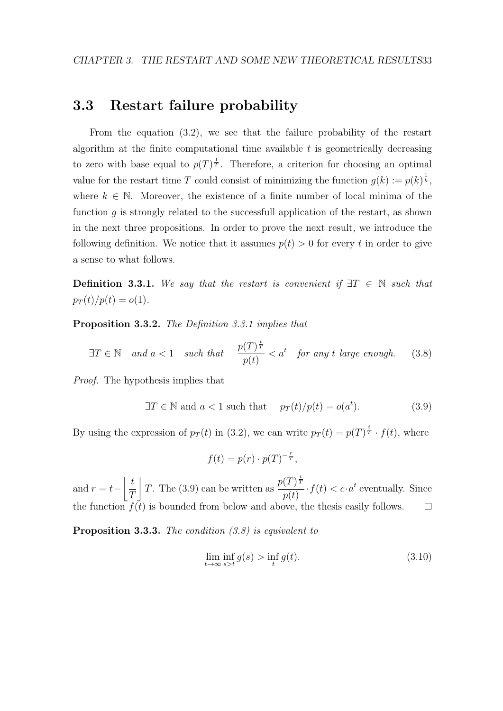#### 3.3 Restart failure probability

From the equation (3.2), we see that the failure probability of the restart algorithm at the finite computational time available  $t$  is geometrically decreasing to zero with base equal to  $p(T)^{\frac{1}{T}}$ . Therefore, a criterion for choosing an optimal value for the restart time T could consist of minimizing the function  $g(k) := p(k)^{\frac{1}{k}}$ , where  $k \in \mathbb{N}$ . Moreover, the existence of a finite number of local minima of the function  $g$  is strongly related to the successfull application of the restart, as shown in the next three propositions. In order to prove the next result, we introduce the following definition. We notice that it assumes  $p(t) > 0$  for every t in order to give a sense to what follows.

**Definition 3.3.1.** We say that the restart is convenient if  $\exists T \in \mathbb{N}$  such that  $p_T(t)/p(t) = o(1)$ .

Proposition 3.3.2. The Definition 3.3.1 implies that

$$
\exists T \in \mathbb{N} \quad and \ a < 1 \quad such \ that \quad \frac{p(T)^{\frac{t}{T}}}{p(t)} < a^t \quad \text{for any } t \ \text{large enough.} \tag{3.8}
$$

Proof. The hypothesis implies that

$$
\exists T \in \mathbb{N} \text{ and } a < 1 \text{ such that } p_T(t)/p(t) = o(a^t). \tag{3.9}
$$

By using the expression of  $p_T(t)$  in (3.2), we can write  $p_T(t) = p(T)^{\frac{t}{T}} \cdot f(t)$ , where

$$
f(t) = p(r) \cdot p(T)^{-\frac{r}{T}},
$$

T. The (3.9) can be written as  $\frac{p(T)^{\frac{t}{7}}}{\langle t \rangle}$  $\vert t$  $\cdot f(t) < c \cdot a^t$  eventually. Since and  $r = t-$ T  $p(t)$ the function  $f(t)$  is bounded from below and above, the thesis easily follows.  $\Box$ 

Proposition 3.3.3. The condition  $(3.8)$  is equivalent to

$$
\lim_{t \to \infty} \inf_{s > t} g(s) > \inf_{t} g(t). \tag{3.10}
$$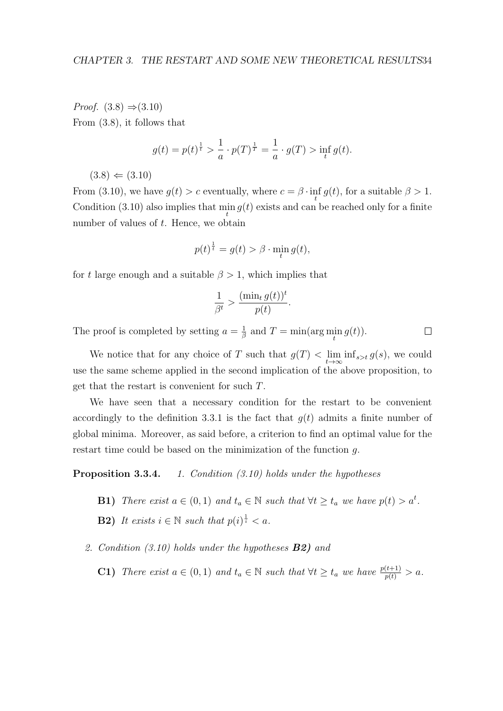*Proof.*  $(3.8) \Rightarrow (3.10)$ From (3.8), it follows that

$$
g(t) = p(t)^{\frac{1}{t}} > \frac{1}{a} \cdot p(T)^{\frac{1}{T}} = \frac{1}{a} \cdot g(T) > \inf_{t} g(t).
$$

 $(3.8) \Leftarrow (3.10)$ 

From (3.10), we have  $g(t) > c$  eventually, where  $c = \beta \cdot \inf_t g(t)$ , for a suitable  $\beta > 1$ . Condition (3.10) also implies that  $\min_t g(t)$  exists and can be reached only for a finite number of values of t. Hence, we obtain

$$
p(t)^{\frac{1}{t}} = g(t) > \beta \cdot \min_{t} g(t),
$$

for t large enough and a suitable  $\beta > 1$ , which implies that

$$
\frac{1}{\beta^t} > \frac{(\min_t g(t))^t}{p(t)}.
$$

The proof is completed by setting  $a = \frac{1}{6}$  $\frac{1}{\beta}$  and  $T = \min(\arg\min_t g(t)).$ 

We notice that for any choice of T such that  $g(T) < \lim_{t \to \infty} \inf_{s > t} g(s)$ , we could use the same scheme applied in the second implication of the above proposition, to get that the restart is convenient for such T.

We have seen that a necessary condition for the restart to be convenient accordingly to the definition 3.3.1 is the fact that  $q(t)$  admits a finite number of global minima. Moreover, as said before, a criterion to find an optimal value for the restart time could be based on the minimization of the function g.

Proposition 3.3.4. 1. Condition (3.10) holds under the hypotheses

- **B1)** There exist  $a \in (0,1)$  and  $t_a \in \mathbb{N}$  such that  $\forall t \geq t_a$  we have  $p(t) > a^t$ . **B2**) It exists  $i \in \mathbb{N}$  such that  $p(i)^{\frac{1}{i}} < a$ .
- 2. Condition (3.10) holds under the hypotheses B2) and
	- **C1)** There exist  $a \in (0,1)$  and  $t_a \in \mathbb{N}$  such that  $\forall t \geq t_a$  we have  $\frac{p(t+1)}{p(t)} > a$ .

 $\Box$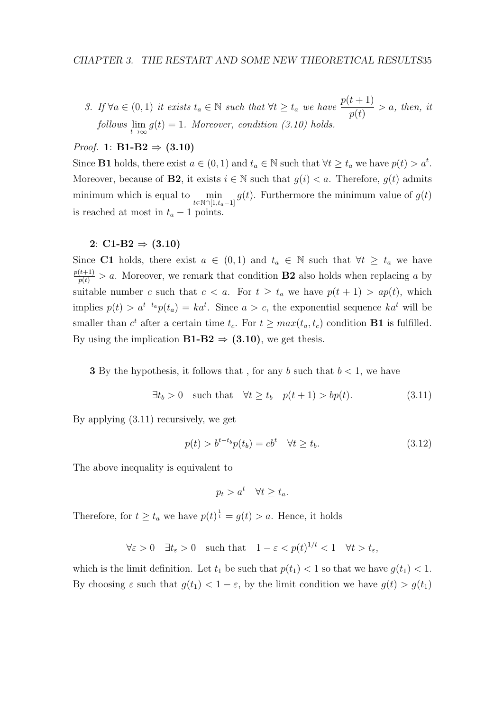3. If  $\forall a \in (0,1)$  it exists  $t_a \in \mathbb{N}$  such that  $\forall t \geq t_a$  we have  $\frac{p(t+1)}{p(t)}$  $> a$ , then, it  $\text{follows } \lim_{t \to \infty} g(t) = 1.$  Moreover, condition (3.10) holds.

#### *Proof.* 1:  $B1-B2 \Rightarrow (3.10)$

Since **B1** holds, there exist  $a \in (0,1)$  and  $t_a \in \mathbb{N}$  such that  $\forall t \geq t_a$  we have  $p(t) > a^t$ . Moreover, because of **B2**, it exists  $i \in \mathbb{N}$  such that  $g(i) < a$ . Therefore,  $g(t)$  admits minimum which is equal to  $\min_{t \in \mathbb{N} \cap [1, t_a - 1]} g(t)$ . Furthermore the minimum value of  $g(t)$ is reached at most in  $t_a - 1$  points.

#### 2:  $C1-B2 \Rightarrow (3.10)$

Since C1 holds, there exist  $a \in (0,1)$  and  $t_a \in \mathbb{N}$  such that  $\forall t \geq t_a$  we have  $\frac{p(t+1)}{p(t)} > a$ . Moreover, we remark that condition **B2** also holds when replacing a by suitable number c such that  $c < a$ . For  $t \geq t_a$  we have  $p(t + 1) > ap(t)$ , which implies  $p(t) > a^{t-t_a} p(t_a) = ka^t$ . Since  $a > c$ , the exponential sequence  $ka^t$  will be smaller than  $c^t$  after a certain time  $t_c$ . For  $t \geq max(t_a, t_c)$  condition **B1** is fulfilled. By using the implication  $B1-B2 \Rightarrow (3.10)$ , we get thesis.

**3** By the hypothesis, it follows that, for any b such that  $b < 1$ , we have

$$
\exists t_b > 0 \quad \text{such that} \quad \forall t \ge t_b \quad p(t+1) > bp(t). \tag{3.11}
$$

By applying (3.11) recursively, we get

$$
p(t) > b^{t-t_b} p(t_b) = cb^t \quad \forall t \ge t_b. \tag{3.12}
$$

The above inequality is equivalent to

$$
p_t > a^t \quad \forall t \ge t_a.
$$

Therefore, for  $t \geq t_a$  we have  $p(t)^{\frac{1}{t}} = g(t) > a$ . Hence, it holds

$$
\forall \varepsilon > 0 \quad \exists t_{\varepsilon} > 0 \quad \text{such that} \quad 1 - \varepsilon < p(t)^{1/t} < 1 \quad \forall t > t_{\varepsilon},
$$

which is the limit definition. Let  $t_1$  be such that  $p(t_1) < 1$  so that we have  $q(t_1) < 1$ . By choosing  $\varepsilon$  such that  $g(t_1) < 1 - \varepsilon$ , by the limit condition we have  $g(t) > g(t_1)$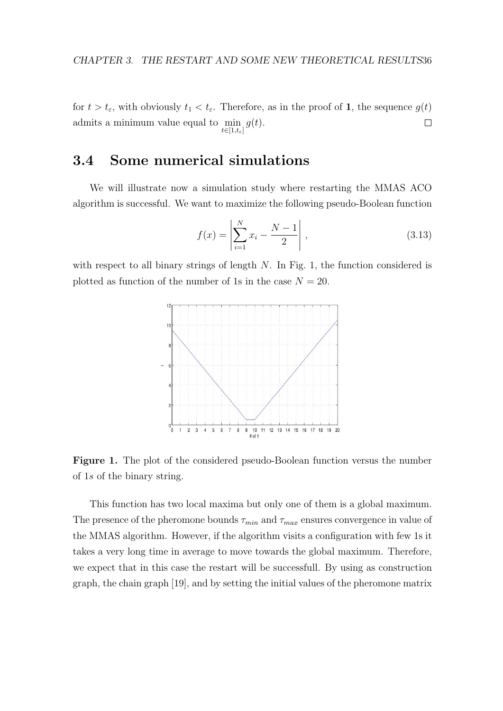for  $t > t_{\varepsilon}$ , with obviously  $t_1 < t_{\varepsilon}$ . Therefore, as in the proof of 1, the sequence  $g(t)$ admits a minimum value equal to min  $g(t)$ .  $\Box$  $t\in[1,t_{\varepsilon}]$ 

### 3.4 Some numerical simulations

We will illustrate now a simulation study where restarting the MMAS ACO algorithm is successful. We want to maximize the following pseudo-Boolean function

$$
f(x) = \left| \sum_{i=1}^{N} x_i - \frac{N-1}{2} \right|,
$$
\n(3.13)

with respect to all binary strings of length  $N$ . In Fig. 1, the function considered is plotted as function of the number of 1s in the case  $N = 20$ .



Figure 1. The plot of the considered pseudo-Boolean function versus the number of 1s of the binary string.

This function has two local maxima but only one of them is a global maximum. The presence of the pheromone bounds  $\tau_{min}$  and  $\tau_{max}$  ensures convergence in value of the MMAS algorithm. However, if the algorithm visits a configuration with few 1s it takes a very long time in average to move towards the global maximum. Therefore, we expect that in this case the restart will be successfull. By using as construction graph, the chain graph [19], and by setting the initial values of the pheromone matrix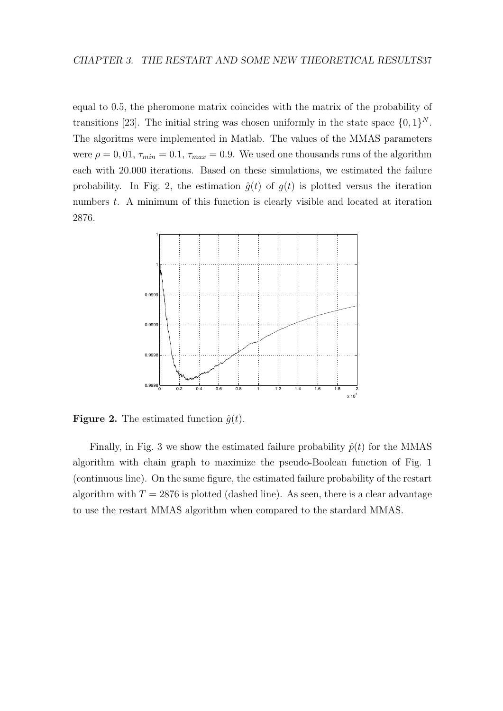equal to 0.5, the pheromone matrix coincides with the matrix of the probability of transitions [23]. The initial string was chosen uniformly in the state space  $\{0, 1\}^N$ . The algoritms were implemented in Matlab. The values of the MMAS parameters were  $\rho = 0.01$ ,  $\tau_{min} = 0.1$ ,  $\tau_{max} = 0.9$ . We used one thousands runs of the algorithm each with 20.000 iterations. Based on these simulations, we estimated the failure probability. In Fig. 2, the estimation  $\hat{g}(t)$  of  $g(t)$  is plotted versus the iteration numbers t. A minimum of this function is clearly visible and located at iteration 2876.



**Figure 2.** The estimated function  $\hat{q}(t)$ .

Finally, in Fig. 3 we show the estimated failure probability  $\hat{p}(t)$  for the MMAS algorithm with chain graph to maximize the pseudo-Boolean function of Fig. 1 (continuous line). On the same figure, the estimated failure probability of the restart algorithm with  $T = 2876$  is plotted (dashed line). As seen, there is a clear advantage to use the restart MMAS algorithm when compared to the stardard MMAS.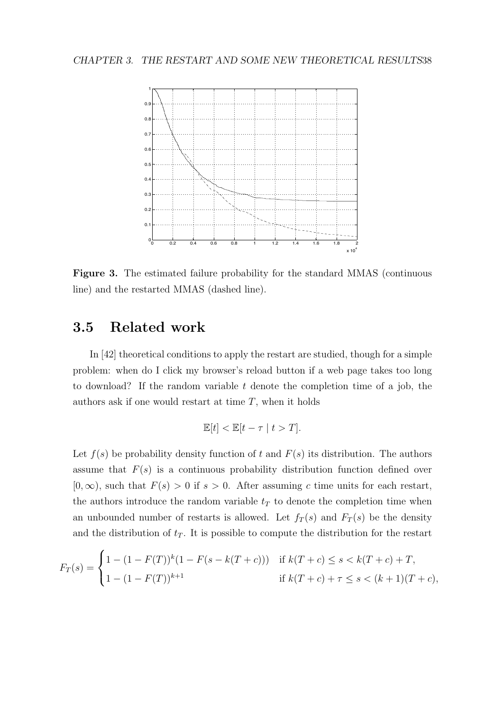#### CHAPTER 3. THE RESTART AND SOME NEW THEORETICAL RESULTS38



Figure 3. The estimated failure probability for the standard MMAS (continuous line) and the restarted MMAS (dashed line).

### 3.5 Related work

In [42] theoretical conditions to apply the restart are studied, though for a simple problem: when do I click my browser's reload button if a web page takes too long to download? If the random variable  $t$  denote the completion time of a job, the authors ask if one would restart at time  $T$ , when it holds

$$
\mathbb{E}[t] < \mathbb{E}[t - \tau \mid t > T].
$$

Let  $f(s)$  be probability density function of t and  $F(s)$  its distribution. The authors assume that  $F(s)$  is a continuous probability distribution function defined over  $[0, \infty)$ , such that  $F(s) > 0$  if  $s > 0$ . After assuming c time units for each restart, the authors introduce the random variable  $t_T$  to denote the completion time when an unbounded number of restarts is allowed. Let  $f_T(s)$  and  $F_T(s)$  be the density and the distribution of  $t<sub>T</sub>$ . It is possible to compute the distribution for the restart

$$
F_T(s) = \begin{cases} 1 - (1 - F(T))^k (1 - F(s - k(T + c))) & \text{if } k(T + c) \le s < k(T + c) + T, \\ 1 - (1 - F(T))^{k+1} & \text{if } k(T + c) + \tau \le s < (k+1)(T + c), \end{cases}
$$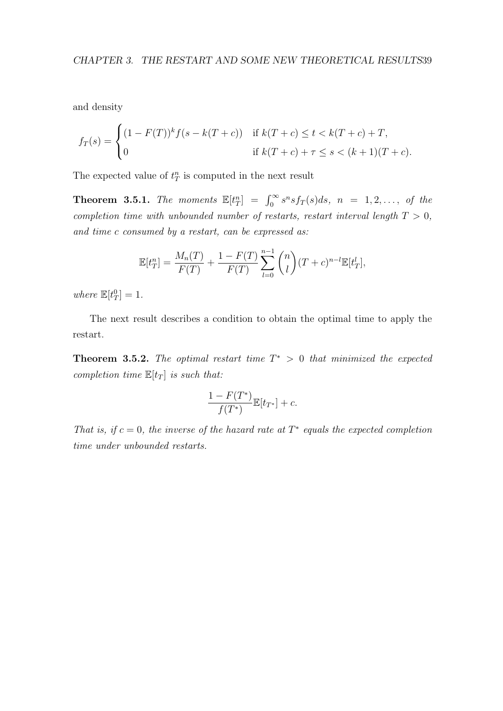and density

$$
f_T(s) = \begin{cases} (1 - F(T))^k f(s - k(T + c)) & \text{if } k(T + c) \le t < k(T + c) + T, \\ 0 & \text{if } k(T + c) + \tau \le s < (k + 1)(T + c). \end{cases}
$$

The expected value of  $t_T^n$  is computed in the next result

**Theorem 3.5.1.** The moments  $\mathbb{E}[t_T^n] = \int_0^\infty s^n s f_T(s) ds$ ,  $n = 1, 2, ...,$  of the completion time with unbounded number of restarts, restart interval length  $T > 0$ , and time c consumed by a restart, can be expressed as:

$$
\mathbb{E}[t_T^n] = \frac{M_n(T)}{F(T)} + \frac{1 - F(T)}{F(T)} \sum_{l=0}^{n-1} {n \choose l} (T + c)^{n-l} \mathbb{E}[t_T^l],
$$

where  $\mathbb{E}[t_T^0] = 1$ .

The next result describes a condition to obtain the optimal time to apply the restart.

**Theorem 3.5.2.** The optimal restart time  $T^* > 0$  that minimized the expected completion time  $\mathbb{E}[t_T]$  is such that:

$$
\frac{1 - F(T^*)}{f(T^*)} \mathbb{E}[t_{T^*}] + c.
$$

That is, if  $c = 0$ , the inverse of the hazard rate at  $T^*$  equals the expected completion time under unbounded restarts.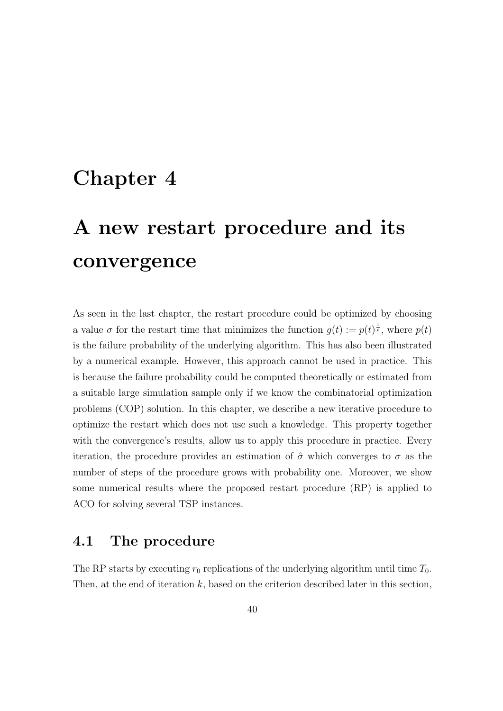## Chapter 4

# A new restart procedure and its convergence

As seen in the last chapter, the restart procedure could be optimized by choosing a value  $\sigma$  for the restart time that minimizes the function  $g(t) := p(t)^{\frac{1}{t}}$ , where  $p(t)$ is the failure probability of the underlying algorithm. This has also been illustrated by a numerical example. However, this approach cannot be used in practice. This is because the failure probability could be computed theoretically or estimated from a suitable large simulation sample only if we know the combinatorial optimization problems (COP) solution. In this chapter, we describe a new iterative procedure to optimize the restart which does not use such a knowledge. This property together with the convergence's results, allow us to apply this procedure in practice. Every iteration, the procedure provides an estimation of  $\hat{\sigma}$  which converges to  $\sigma$  as the number of steps of the procedure grows with probability one. Moreover, we show some numerical results where the proposed restart procedure (RP) is applied to ACO for solving several TSP instances.

### 4.1 The procedure

The RP starts by executing  $r_0$  replications of the underlying algorithm until time  $T_0$ . Then, at the end of iteration  $k$ , based on the criterion described later in this section,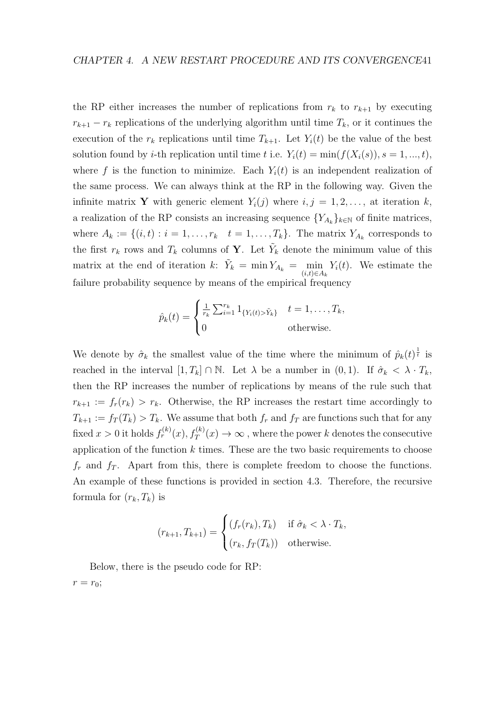the RP either increases the number of replications from  $r_k$  to  $r_{k+1}$  by executing  $r_{k+1} - r_k$  replications of the underlying algorithm until time  $T_k$ , or it continues the execution of the  $r_k$  replications until time  $T_{k+1}$ . Let  $Y_i(t)$  be the value of the best solution found by *i*-th replication until time t i.e.  $Y_i(t) = \min(f(X_i(s)), s = 1, ..., t)$ , where f is the function to minimize. Each  $Y_i(t)$  is an independent realization of the same process. We can always think at the RP in the following way. Given the infinite matrix Y with generic element  $Y_i(j)$  where  $i, j = 1, 2, \ldots$ , at iteration k, a realization of the RP consists an increasing sequence  $\{Y_{A_k}\}_{k\in\mathbb{N}}$  of finite matrices, where  $A_k := \{(i, t) : i = 1, \ldots, r_k \mid t = 1, \ldots, T_k\}$ . The matrix  $Y_{A_k}$  corresponds to the first  $r_k$  rows and  $T_k$  columns of **Y**. Let  $\tilde{Y}_k$  denote the minimum value of this matrix at the end of iteration k:  $\tilde{Y}_k = \min Y_{A_k} = \min_{(i,t) \in A_k} Y_i(t)$ . We estimate the failure probability sequence by means of the empirical frequency

$$
\hat{p}_k(t) = \begin{cases}\n\frac{1}{r_k} \sum_{i=1}^{r_k} 1_{\{Y_i(t) > \tilde{Y}_k\}} & t = 1, \dots, T_k, \\
0 & \text{otherwise.}\n\end{cases}
$$

We denote by  $\hat{\sigma}_k$  the smallest value of the time where the minimum of  $\hat{p}_k(t)^{\frac{1}{t}}$  is reached in the interval  $[1, T_k] \cap \mathbb{N}$ . Let  $\lambda$  be a number in  $(0, 1)$ . If  $\hat{\sigma}_k < \lambda \cdot T_k$ , then the RP increases the number of replications by means of the rule such that  $r_{k+1} := f_r(r_k) > r_k$ . Otherwise, the RP increases the restart time accordingly to  $T_{k+1} := f_T(T_k) > T_k$ . We assume that both  $f_r$  and  $f_T$  are functions such that for any fixed  $x > 0$  it holds  $f_r^{(k)}(x), f_T^{(k)}(x) \to \infty$  , where the power k denotes the consecutive application of the function  $k$  times. These are the two basic requirements to choose  $f<sub>r</sub>$  and  $f<sub>T</sub>$ . Apart from this, there is complete freedom to choose the functions. An example of these functions is provided in section 4.3. Therefore, the recursive formula for  $(r_k, T_k)$  is

$$
(r_{k+1}, T_{k+1}) = \begin{cases} (f_r(r_k), T_k) & \text{if } \hat{\sigma}_k < \lambda \cdot T_k, \\ (r_k, f_T(T_k)) & \text{otherwise.} \end{cases}
$$

Below, there is the pseudo code for RP:  $r = r_0;$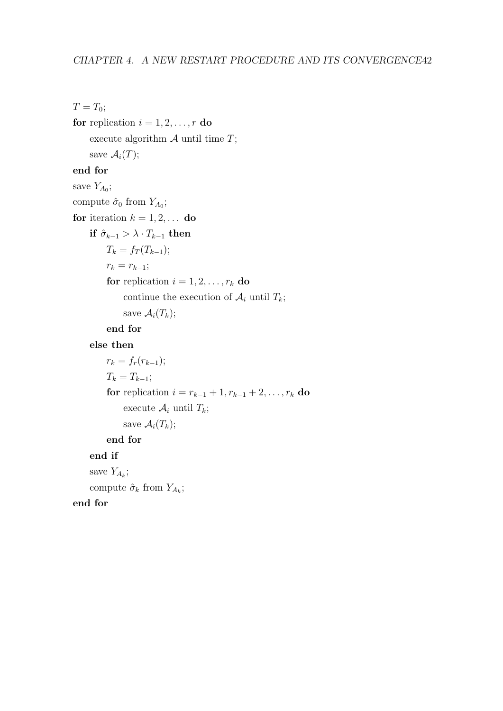$T=T_0;$ 

for replication  $i = 1, 2, \ldots, r$  do execute algorithm  $A$  until time  $T$ ; save  $\mathcal{A}_i(T)$ ; end for save  $Y_{A_0}$ ; compute  $\hat{\sigma}_0$  from  $Y_{A_0}$ ; for iteration  $k = 1, 2, \ldots$  do if  $\hat{\sigma}_{k-1} > \lambda \cdot T_{k-1}$  then  $T_k = f_T(T_{k-1});$  $r_k = r_{k-1};$ for replication  $i = 1, 2, \ldots, r_k$  do continue the execution of  $A_i$  until  $T_k$ ; save  $\mathcal{A}_i(T_k)$ ;

#### end for

else then

```
r_k = f_r(r_{k-1});T_k = T_{k-1};for replication i = r_{k-1} + 1, r_{k-1} + 2, \ldots, r_k do
     execute \mathcal{A}_i until T_k;
     save \mathcal{A}_i(T_k);
end for
```
#### end if

save  $Y_{A_k}$ ;

compute  $\hat{\sigma}_k$  from  $Y_{A_k}$ ;

end for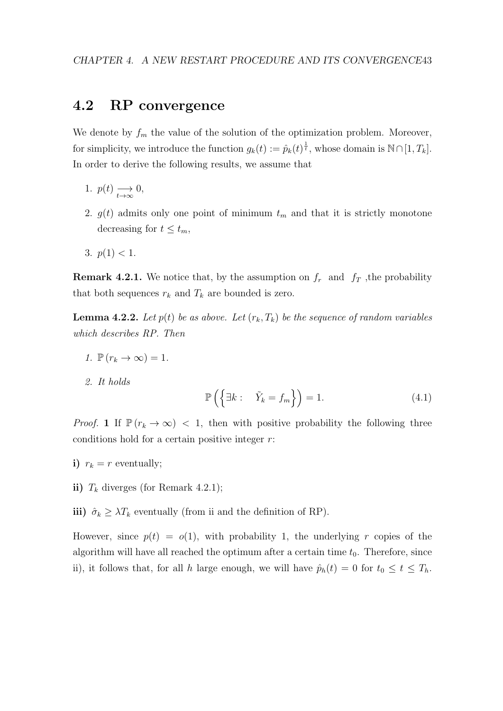### 4.2 RP convergence

We denote by  $f_m$  the value of the solution of the optimization problem. Moreover, for simplicity, we introduce the function  $g_k(t) := \hat{p}_k(t)^{\frac{1}{t}}$ , whose domain is  $\mathbb{N} \cap [1, T_k]$ . In order to derive the following results, we assume that

- 1.  $p(t) \longrightarrow_{t \to \infty} 0$ ,
- 2.  $g(t)$  admits only one point of minimum  $t_m$  and that it is strictly monotone decreasing for  $t \leq t_m$ ,
- 3.  $p(1) < 1$ .

**Remark 4.2.1.** We notice that, by the assumption on  $f_r$  and  $f_T$ , the probability that both sequences  $r_k$  and  $T_k$  are bounded is zero.

**Lemma 4.2.2.** Let  $p(t)$  be as above. Let  $(r_k, T_k)$  be the sequence of random variables which describes RP. Then

- 1.  $\mathbb{P}(r_k \to \infty) = 1$ .
- 2. It holds

$$
\mathbb{P}\left(\left\{\exists k:\quad \tilde{Y}_k = f_m\right\}\right) = 1.\tag{4.1}
$$

*Proof.* 1 If  $\mathbb{P}(r_k \to \infty)$  < 1, then with positive probability the following three conditions hold for a certain positive integer  $r$ :

- i)  $r_k = r$  eventually;
- ii)  $T_k$  diverges (for Remark 4.2.1);
- iii)  $\hat{\sigma}_k \geq \lambda T_k$  eventually (from ii and the definition of RP).

However, since  $p(t) = o(1)$ , with probability 1, the underlying r copies of the algorithm will have all reached the optimum after a certain time  $t_0$ . Therefore, since ii), it follows that, for all h large enough, we will have  $\hat{p}_h(t) = 0$  for  $t_0 \le t \le T_h$ .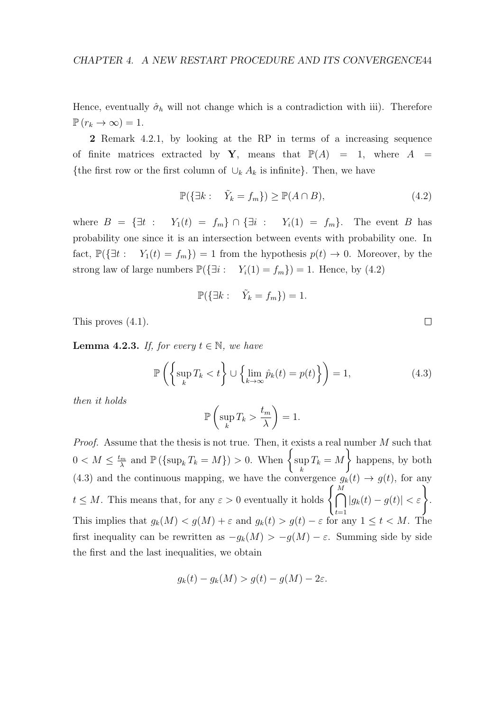Hence, eventually  $\hat{\sigma}_h$  will not change which is a contradiction with iii). Therefore  $\mathbb{P}(r_k \to \infty) = 1.$ 

2 Remark 4.2.1, by looking at the RP in terms of a increasing sequence of finite matrices extracted by Y, means that  $\mathbb{P}(A) = 1$ , where  $A =$ {the first row or the first column of  $\cup_k A_k$  is infinite}. Then, we have

$$
\mathbb{P}(\{\exists k:\quad \tilde{Y}_k = f_m\}) \ge \mathbb{P}(A \cap B),\tag{4.2}
$$

where  $B = {\exists t : Y_1(t) = f_m} \cap {\exists i : Y_i(1) = f_m}.$  The event B has probability one since it is an intersection between events with probability one. In fact,  $\mathbb{P}(\{\exists t : Y_1(t) = f_m\}) = 1$  from the hypothesis  $p(t) \to 0$ . Moreover, by the strong law of large numbers  $\mathbb{P}(\{\exists i : Y_i(1) = f_m\}) = 1$ . Hence, by (4.2)

$$
\mathbb{P}(\{\exists k:\quad \tilde{Y}_k = f_m\}) = 1.
$$

This proves (4.1).

**Lemma 4.2.3.** If, for every  $t \in \mathbb{N}$ , we have

$$
\mathbb{P}\left(\left\{\sup_{k} T_{k} < t\right\} \cup \left\{\lim_{k \to \infty} \hat{p}_{k}(t) = p(t)\right\}\right) = 1,\tag{4.3}
$$

then it holds

$$
\mathbb{P}\left(\sup_k T_k > \frac{t_m}{\lambda}\right) = 1.
$$

Proof. Assume that the thesis is not true. Then, it exists a real number M such that  $0 < M \leq \frac{t_m}{\lambda}$  $\lim_{\lambda}$  and  $\mathbb{P}(\{\sup_k T_k = M\}) > 0$ . When  $\begin{cases} \sup_k T_k = M \end{cases}$ k  $T_k = M$  $\mathcal{L}$ happens, by both (4.3) and the continuous mapping, we have the convergence  $g_k(t) \to g(t)$ , for any  $t \leq M$ . This means that, for any  $\varepsilon > 0$  eventually it holds  $\left\{ \bigcap_{i=1}^{M} \mathbb{R} \right\}$  $t=1$  $|g_k(t) - g(t)| < \varepsilon$ . This implies that  $g_k(M) < g(M) + \varepsilon$  and  $g_k(t) > g(t) - \varepsilon$  for any  $1 \le t < M$ . The first inequality can be rewritten as  $-g_k(M) > -g(M) - \varepsilon$ . Summing side by side the first and the last inequalities, we obtain

$$
g_k(t) - g_k(M) > g(t) - g(M) - 2\varepsilon.
$$

 $\Box$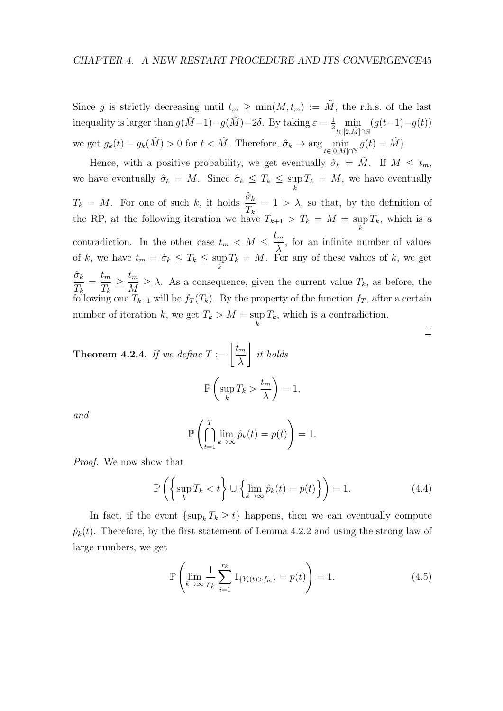Since g is strictly decreasing until  $t_m \geq \min(M, t_m) := \tilde{M}$ , the r.h.s. of the last inequality is larger than  $g(\tilde{M}-1)-g(\tilde{M})-2\delta$ . By taking  $\varepsilon = \frac{1}{2} \min_{t \in [2,\tilde{M}] \cap \mathbb{N}}$  $(g(t-1)-g(t))$ we get  $g_k(t) - g_k(\tilde{M}) > 0$  for  $t < \tilde{M}$ . Therefore,  $\hat{\sigma}_k \to \arg\min_{t \in [0,M] \cap \mathbb{N}} g(t) = \tilde{M}$ ).

Hence, with a positive probability, we get eventually  $\hat{\sigma}_k = \tilde{M}$ . If  $M \leq t_m$ , we have eventually  $\hat{\sigma}_k = M$ . Since  $\hat{\sigma}_k \leq T_k \leq \sup$ k  $T_k = M$ , we have eventually  $T_k = M$ . For one of such k, it holds  $\frac{\hat{\sigma}_k}{T_k}$  $T_k$  $= 1 > \lambda$ , so that, by the definition of the RP, at the following iteration we have  $T_{k+1} > T_k = M = \sup$ k  $T_k$ , which is a contradiction. In the other case  $t_m \leq M \leq \frac{t_m}{N}$ λ , for an infinite number of values of k, we have  $t_m = \hat{\sigma}_k \leq T_k \leq \sup$ k  $T_k = M$ . For any of these values of k, we get  $\hat{\sigma}_k$  $T_k$  $=\frac{t_m}{\pi}$  $T_k$  $\geq \frac{t_m}{\sqrt{t_m}}$  $\frac{\partial m}{\partial M} \geq \lambda$ . As a consequence, given the current value  $T_k$ , as before, the following one  $T_{k+1}$  will be  $f_T(T_k)$ . By the property of the function  $f_T$ , after a certain number of iteration k, we get  $T_k > M = \sup$ k  $T_k$ , which is a contradiction.

**Theorem 4.2.4.** If we define  $T := \frac{t_m}{t_m}$ λ  $\overline{\phantom{a}}$ it holds  $_{\mathbb{P}}$  ( sup k  $T_k >$  $t_m$ λ  $\setminus$  $= 1,$ 

and

$$
\mathbb{P}\left(\bigcap_{t=1}^T \lim_{k\to\infty} \hat{p}_k(t) = p(t)\right) = 1.
$$

Proof. We now show that

$$
\mathbb{P}\left(\left\{\sup_{k} T_{k} < t\right\} \cup \left\{\lim_{k \to \infty} \hat{p}_{k}(t) = p(t)\right\}\right) = 1. \tag{4.4}
$$

In fact, if the event  $\{\sup_k T_k \geq t\}$  happens, then we can eventually compute  $\hat{p}_k(t)$ . Therefore, by the first statement of Lemma 4.2.2 and using the strong law of large numbers, we get

$$
\mathbb{P}\left(\lim_{k\to\infty}\frac{1}{r_k}\sum_{i=1}^{r_k}1_{\{Y_i(t)>f_m\}}=p(t)\right)=1.
$$
\n(4.5)

 $\Box$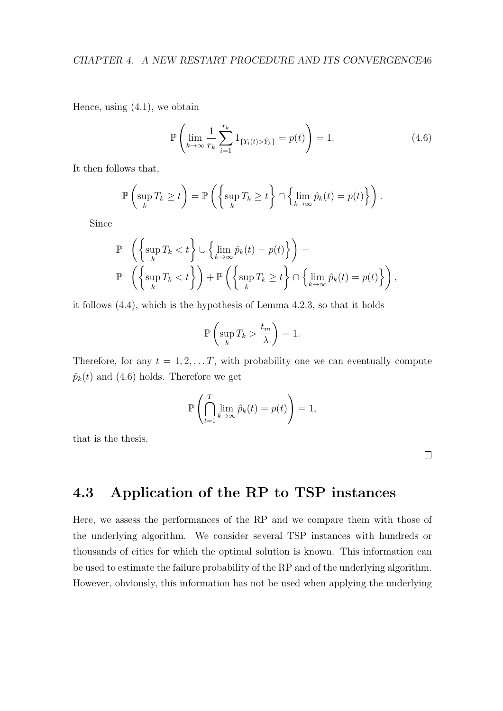Hence, using  $(4.1)$ , we obtain

$$
\mathbb{P}\left(\lim_{k\to\infty}\frac{1}{r_k}\sum_{i=1}^{r_k}1_{\{Y_i(t)>\tilde{Y}_k\}}=p(t)\right)=1.
$$
\n(4.6)

It then follows that,

$$
\mathbb{P}\left(\sup_{k} T_k \geq t\right) = \mathbb{P}\left(\left\{\sup_{k} T_k \geq t\right\} \cap \left\{\lim_{k \to \infty} \hat{p}_k(t) = p(t)\right\}\right).
$$

Since

$$
\mathbb{P}\left(\left\{\sup_{k} T_{k} < t\right\} \cup \left\{\lim_{k \to \infty} \hat{p}_{k}(t) = p(t)\right\}\right) = \n\mathbb{P}\left(\left\{\sup_{k} T_{k} < t\right\}\right) + \mathbb{P}\left(\left\{\sup_{k} T_{k} \geq t\right\} \cap \left\{\lim_{k \to \infty} \hat{p}_{k}(t) = p(t)\right\}\right),
$$

it follows (4.4), which is the hypothesis of Lemma 4.2.3, so that it holds

$$
\mathbb{P}\left(\sup_k T_k > \frac{t_m}{\lambda}\right) = 1.
$$

Therefore, for any  $t = 1, 2, \ldots T$ , with probability one we can eventually compute  $\hat{p}_k(t)$  and (4.6) holds. Therefore we get

$$
\mathbb{P}\left(\bigcap_{t=1}^T \lim_{k\to\infty} \hat{p}_k(t) = p(t)\right) = 1,
$$

that is the thesis.

 $\Box$ 

### 4.3 Application of the RP to TSP instances

Here, we assess the performances of the RP and we compare them with those of the underlying algorithm. We consider several TSP instances with hundreds or thousands of cities for which the optimal solution is known. This information can be used to estimate the failure probability of the RP and of the underlying algorithm. However, obviously, this information has not be used when applying the underlying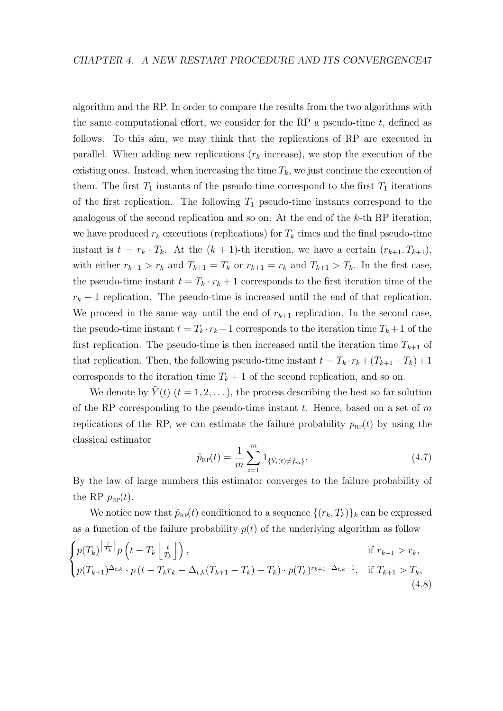algorithm and the RP. In order to compare the results from the two algorithms with the same computational effort, we consider for the RP a pseudo-time  $t$ , defined as follows. To this aim, we may think that the replications of RP are executed in parallel. When adding new replications  $(r_k$  increase), we stop the execution of the existing ones. Instead, when increasing the time  $T_k$ , we just continue the execution of them. The first  $T_1$  instants of the pseudo-time correspond to the first  $T_1$  iterations of the first replication. The following  $T_1$  pseudo-time instants correspond to the analogous of the second replication and so on. At the end of the k-th RP iteration, we have produced  $r_k$  executions (replications) for  $T_k$  times and the final pseudo-time instant is  $t = r_k \cdot T_k$ . At the  $(k + 1)$ -th iteration, we have a certain  $(r_{k+1}, T_{k+1})$ , with either  $r_{k+1} > r_k$  and  $T_{k+1} = T_k$  or  $r_{k+1} = r_k$  and  $T_{k+1} > T_k$ . In the first case, the pseudo-time instant  $t = T_k \cdot r_k + 1$  corresponds to the first iteration time of the  $r_k + 1$  replication. The pseudo-time is increased until the end of that replication. We proceed in the same way until the end of  $r_{k+1}$  replication. In the second case, the pseudo-time instant  $t = T_k \cdot r_k + 1$  corresponds to the iteration time  $T_k + 1$  of the first replication. The pseudo-time is then increased until the iteration time  $T_{k+1}$  of that replication. Then, the following pseudo-time instant  $t = T_k \cdot r_k + (T_{k+1} - T_k) + 1$ corresponds to the iteration time  $T_k + 1$  of the second replication, and so on.

We denote by  $\tilde{Y}(t)$   $(t = 1, 2, ...)$ , the process describing the best so far solution of the RP corresponding to the pseudo-time instant  $t$ . Hence, based on a set of  $m$ replications of the RP, we can estimate the failure probability  $p_{RP}(t)$  by using the classical estimator

$$
\hat{p}_{\rm RP}(t) = \frac{1}{m} \sum_{i=1}^{m} 1_{\{\tilde{Y}_i(t) \neq f_m\}}.
$$
\n(4.7)

By the law of large numbers this estimator converges to the failure probability of the RP  $p_{\text{RP}}(t)$ .

We notice now that  $\hat{p}_{RP}(t)$  conditioned to a sequence  $\{(r_k, T_k)\}_k$  can be expressed as a function of the failure probability  $p(t)$  of the underlying algorithm as follow

$$
\begin{cases}\np(T_k)^{\left\lfloor \frac{t}{T_k} \right\rfloor} p\left( t - T_k \left\lfloor \frac{t}{T_k} \right\rfloor \right), & \text{if } r_{k+1} > r_k, \\
p(T_{k+1})^{\Delta_{t,k}} \cdot p\left( t - T_k r_k - \Delta_{t,k} (T_{k+1} - T_k) + T_k \right) \cdot p(T_k)^{r_{k+1} - \Delta_{t,k} - 1}, & \text{if } T_{k+1} > T_k,\n\end{cases} \tag{4.8}
$$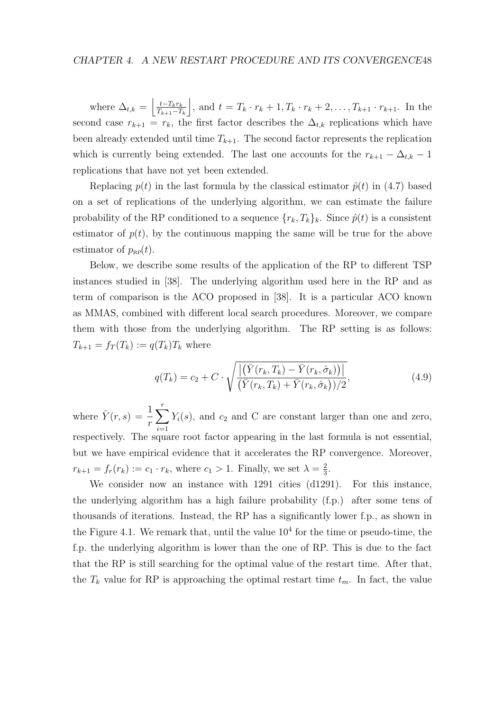where  $\Delta_{t,k} = \left| \frac{t - T_k r_k}{T_{k+1} - T_k} \right|$  $T_{k+1}-T_k$ , and  $t = T_k \cdot r_k + 1, T_k \cdot r_k + 2, \ldots, T_{k+1} \cdot r_{k+1}$ . In the second case  $r_{k+1} = r_k$ , the first factor describes the  $\Delta_{t,k}$  replications which have been already extended until time  $T_{k+1}$ . The second factor represents the replication which is currently being extended. The last one accounts for the  $r_{k+1} - \Delta_{t,k} - 1$ replications that have not yet been extended.

Replacing  $p(t)$  in the last formula by the classical estimator  $\hat{p}(t)$  in (4.7) based on a set of replications of the underlying algorithm, we can estimate the failure probability of the RP conditioned to a sequence  $\{r_k, T_k\}_k$ . Since  $\hat{p}(t)$  is a consistent estimator of  $p(t)$ , by the continuous mapping the same will be true for the above estimator of  $p_{\text{RP}}(t)$ .

Below, we describe some results of the application of the RP to different TSP instances studied in [38]. The underlying algorithm used here in the RP and as term of comparison is the ACO proposed in [38]. It is a particular ACO known as MMAS, combined with different local search procedures. Moreover, we compare them with those from the underlying algorithm. The RP setting is as follows:  $T_{k+1} = f_T(T_k) := q(T_k)T_k$  where

$$
q(T_k) = c_2 + C \cdot \sqrt{\frac{\left| \left( \bar{Y}(r_k, T_k) - \bar{Y}(r_k, \hat{\sigma}_k) \right) \right|}{\left( \bar{Y}(r_k, T_k) + \bar{Y}(r_k, \hat{\sigma}_k) \right) / 2}},
$$
\n(4.9)

where  $\bar{Y}(r, s) = \frac{1}{s}$ r  $\sum_{r}$  $i=1$  $Y_i(s)$ , and  $c_2$  and C are constant larger than one and zero, respectively. The square root factor appearing in the last formula is not essential, but we have empirical evidence that it accelerates the RP convergence. Moreover,  $r_{k+1} = f_r(r_k) := c_1 \cdot r_k$ , where  $c_1 > 1$ . Finally, we set  $\lambda = \frac{2}{3}$  $\frac{2}{3}$ .

We consider now an instance with 1291 cities (d1291). For this instance, the underlying algorithm has a high failure probability (f.p.) after some tens of thousands of iterations. Instead, the RP has a significantly lower f.p., as shown in the Figure 4.1. We remark that, until the value  $10<sup>4</sup>$  for the time or pseudo-time, the f.p. the underlying algorithm is lower than the one of RP. This is due to the fact that the RP is still searching for the optimal value of the restart time. After that, the  $T_k$  value for RP is approaching the optimal restart time  $t_m$ . In fact, the value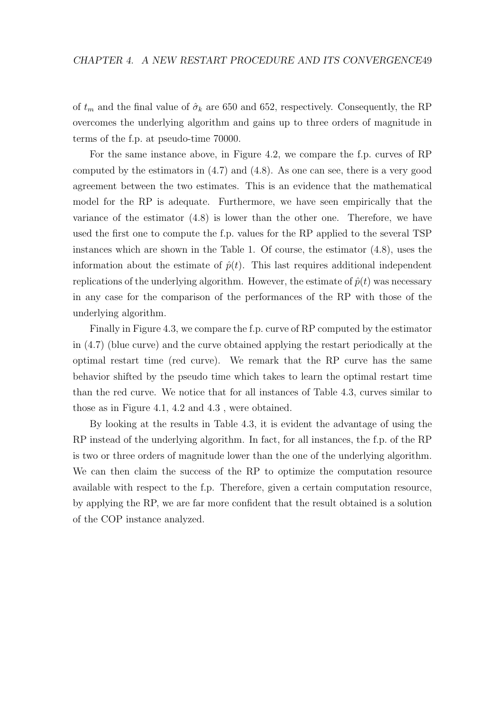of  $t_m$  and the final value of  $\hat{\sigma}_k$  are 650 and 652, respectively. Consequently, the RP overcomes the underlying algorithm and gains up to three orders of magnitude in terms of the f.p. at pseudo-time 70000.

For the same instance above, in Figure 4.2, we compare the f.p. curves of RP computed by the estimators in (4.7) and (4.8). As one can see, there is a very good agreement between the two estimates. This is an evidence that the mathematical model for the RP is adequate. Furthermore, we have seen empirically that the variance of the estimator (4.8) is lower than the other one. Therefore, we have used the first one to compute the f.p. values for the RP applied to the several TSP instances which are shown in the Table 1. Of course, the estimator (4.8), uses the information about the estimate of  $\hat{p}(t)$ . This last requires additional independent replications of the underlying algorithm. However, the estimate of  $\hat{p}(t)$  was necessary in any case for the comparison of the performances of the RP with those of the underlying algorithm.

Finally in Figure 4.3, we compare the f.p. curve of RP computed by the estimator in (4.7) (blue curve) and the curve obtained applying the restart periodically at the optimal restart time (red curve). We remark that the RP curve has the same behavior shifted by the pseudo time which takes to learn the optimal restart time than the red curve. We notice that for all instances of Table 4.3, curves similar to those as in Figure 4.1, 4.2 and 4.3 , were obtained.

By looking at the results in Table 4.3, it is evident the advantage of using the RP instead of the underlying algorithm. In fact, for all instances, the f.p. of the RP is two or three orders of magnitude lower than the one of the underlying algorithm. We can then claim the success of the RP to optimize the computation resource available with respect to the f.p. Therefore, given a certain computation resource, by applying the RP, we are far more confident that the result obtained is a solution of the COP instance analyzed.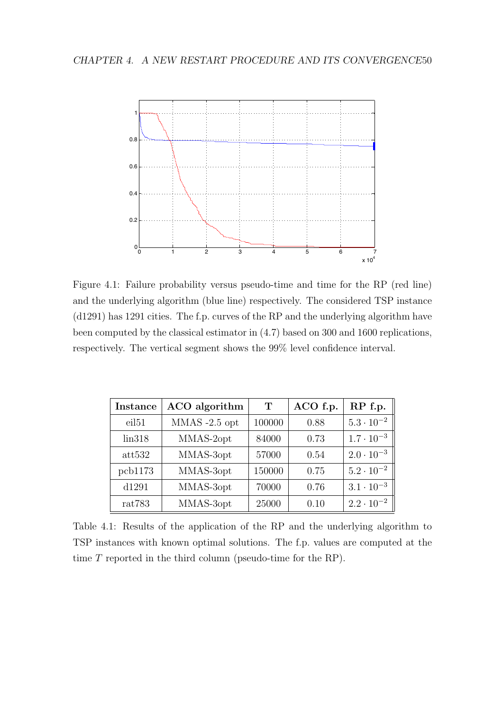

Figure 4.1: Failure probability versus pseudo-time and time for the RP (red line) and the underlying algorithm (blue line) respectively. The considered TSP instance (d1291) has 1291 cities. The f.p. curves of the RP and the underlying algorithm have been computed by the classical estimator in (4.7) based on 300 and 1600 replications, respectively. The vertical segment shows the 99% level confidence interval.

| <b>Instance</b>   | ACO algorithm   | T      | ACO f.p. | RP f.p.             |
|-------------------|-----------------|--------|----------|---------------------|
| eil <sub>51</sub> | $MMAS -2.5$ opt | 100000 | 0.88     | $5.3 \cdot 10^{-2}$ |
| lin318            | MMAS-2opt       | 84000  | 0.73     | $1.7 \cdot 10^{-3}$ |
| att532            | MMAS-3opt       | 57000  | 0.54     | $2.0 \cdot 10^{-3}$ |
| pcb1173           | MMAS-3opt       | 150000 | 0.75     | $5.2 \cdot 10^{-2}$ |
| d1291             | MMAS-3opt       | 70000  | 0.76     | $3.1 \cdot 10^{-3}$ |
| rat783            | MMAS-3opt       | 25000  | 0.10     | $2.2 \cdot 10^{-2}$ |

Table 4.1: Results of the application of the RP and the underlying algorithm to TSP instances with known optimal solutions. The f.p. values are computed at the time T reported in the third column (pseudo-time for the RP).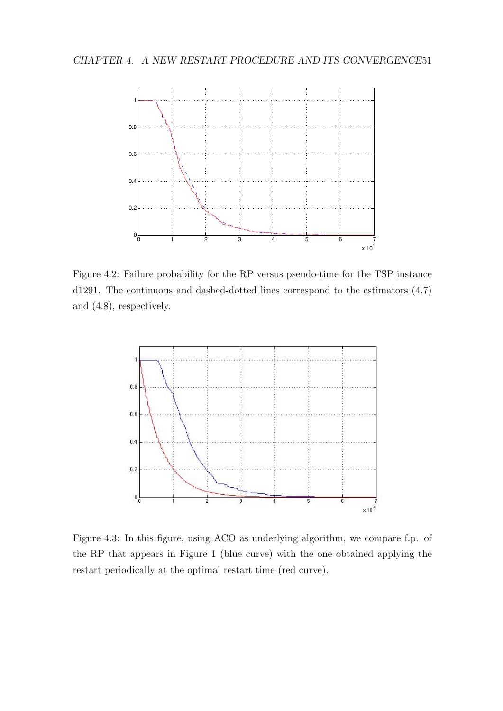#### CHAPTER 4. A NEW RESTART PROCEDURE AND ITS CONVERGENCE51



Figure 4.2: Failure probability for the RP versus pseudo-time for the TSP instance d1291. The continuous and dashed-dotted lines correspond to the estimators (4.7) and (4.8), respectively.



Figure 4.3: In this figure, using ACO as underlying algorithm, we compare f.p. of the RP that appears in Figure 1 (blue curve) with the one obtained applying the restart periodically at the optimal restart time (red curve).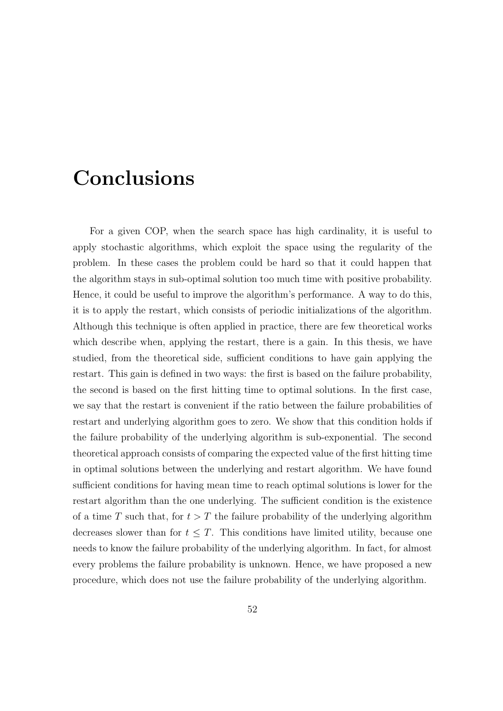# Conclusions

For a given COP, when the search space has high cardinality, it is useful to apply stochastic algorithms, which exploit the space using the regularity of the problem. In these cases the problem could be hard so that it could happen that the algorithm stays in sub-optimal solution too much time with positive probability. Hence, it could be useful to improve the algorithm's performance. A way to do this, it is to apply the restart, which consists of periodic initializations of the algorithm. Although this technique is often applied in practice, there are few theoretical works which describe when, applying the restart, there is a gain. In this thesis, we have studied, from the theoretical side, sufficient conditions to have gain applying the restart. This gain is defined in two ways: the first is based on the failure probability, the second is based on the first hitting time to optimal solutions. In the first case, we say that the restart is convenient if the ratio between the failure probabilities of restart and underlying algorithm goes to zero. We show that this condition holds if the failure probability of the underlying algorithm is sub-exponential. The second theoretical approach consists of comparing the expected value of the first hitting time in optimal solutions between the underlying and restart algorithm. We have found sufficient conditions for having mean time to reach optimal solutions is lower for the restart algorithm than the one underlying. The sufficient condition is the existence of a time T such that, for  $t > T$  the failure probability of the underlying algorithm decreases slower than for  $t \leq T$ . This conditions have limited utility, because one needs to know the failure probability of the underlying algorithm. In fact, for almost every problems the failure probability is unknown. Hence, we have proposed a new procedure, which does not use the failure probability of the underlying algorithm.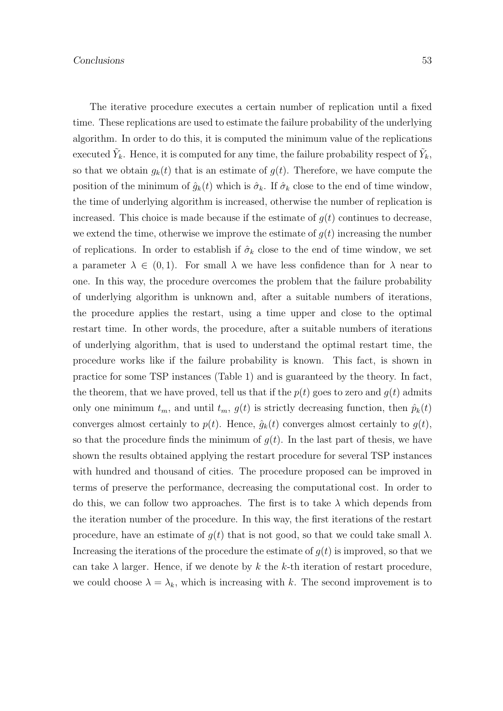The iterative procedure executes a certain number of replication until a fixed time. These replications are used to estimate the failure probability of the underlying algorithm. In order to do this, it is computed the minimum value of the replications executed  $\tilde{Y}_k$ . Hence, it is computed for any time, the failure probability respect of  $\tilde{Y}_k$ , so that we obtain  $g_k(t)$  that is an estimate of  $g(t)$ . Therefore, we have compute the position of the minimum of  $\hat{g}_k(t)$  which is  $\hat{\sigma}_k$ . If  $\hat{\sigma}_k$  close to the end of time window, the time of underlying algorithm is increased, otherwise the number of replication is increased. This choice is made because if the estimate of  $q(t)$  continues to decrease, we extend the time, otherwise we improve the estimate of  $g(t)$  increasing the number of replications. In order to establish if  $\hat{\sigma}_k$  close to the end of time window, we set a parameter  $\lambda \in (0,1)$ . For small  $\lambda$  we have less confidence than for  $\lambda$  near to one. In this way, the procedure overcomes the problem that the failure probability of underlying algorithm is unknown and, after a suitable numbers of iterations, the procedure applies the restart, using a time upper and close to the optimal restart time. In other words, the procedure, after a suitable numbers of iterations of underlying algorithm, that is used to understand the optimal restart time, the procedure works like if the failure probability is known. This fact, is shown in practice for some TSP instances (Table 1) and is guaranteed by the theory. In fact, the theorem, that we have proved, tell us that if the  $p(t)$  goes to zero and  $q(t)$  admits only one minimum  $t_m$ , and until  $t_m$ ,  $g(t)$  is strictly decreasing function, then  $\hat{p}_k(t)$ converges almost certainly to  $p(t)$ . Hence,  $\hat{g}_k(t)$  converges almost certainly to  $g(t)$ , so that the procedure finds the minimum of  $q(t)$ . In the last part of thesis, we have shown the results obtained applying the restart procedure for several TSP instances with hundred and thousand of cities. The procedure proposed can be improved in terms of preserve the performance, decreasing the computational cost. In order to do this, we can follow two approaches. The first is to take  $\lambda$  which depends from the iteration number of the procedure. In this way, the first iterations of the restart procedure, have an estimate of  $q(t)$  that is not good, so that we could take small  $\lambda$ . Increasing the iterations of the procedure the estimate of  $q(t)$  is improved, so that we can take  $\lambda$  larger. Hence, if we denote by k the k-th iteration of restart procedure, we could choose  $\lambda = \lambda_k$ , which is increasing with k. The second improvement is to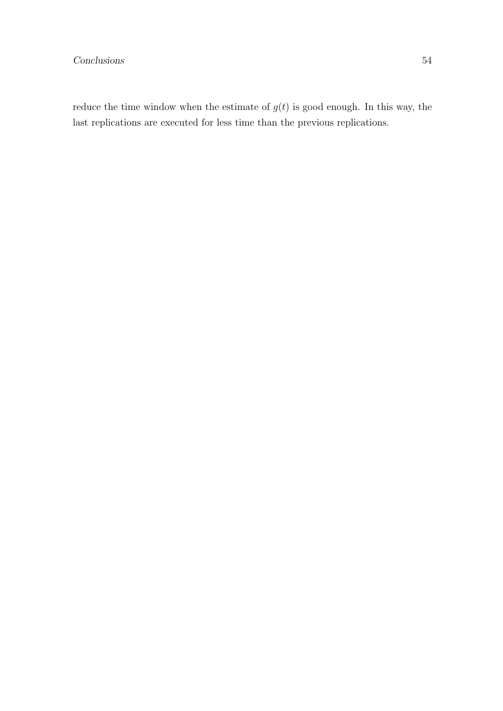reduce the time window when the estimate of  $g(t)$  is good enough. In this way, the last replications are executed for less time than the previous replications.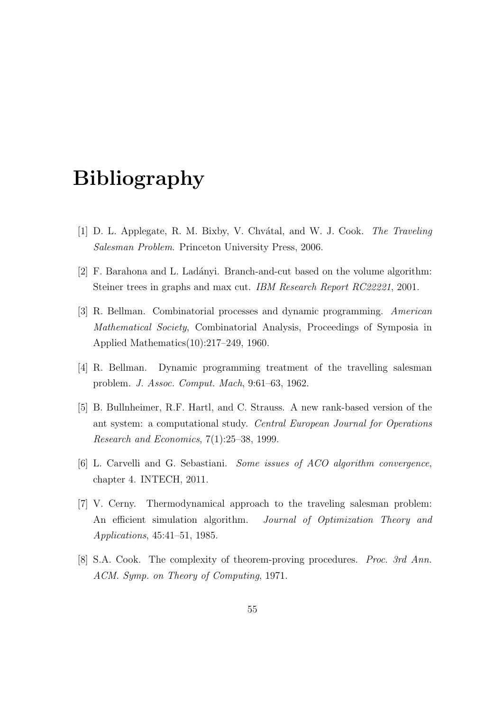# Bibliography

- [1] D. L. Applegate, R. M. Bixby, V. Chvátal, and W. J. Cook. The Traveling Salesman Problem. Princeton University Press, 2006.
- [2] F. Barahona and L. Lad´anyi. Branch-and-cut based on the volume algorithm: Steiner trees in graphs and max cut. IBM Research Report RC22221, 2001.
- [3] R. Bellman. Combinatorial processes and dynamic programming. American Mathematical Society, Combinatorial Analysis, Proceedings of Symposia in Applied Mathematics(10):217–249, 1960.
- [4] R. Bellman. Dynamic programming treatment of the travelling salesman problem. J. Assoc. Comput. Mach, 9:61–63, 1962.
- [5] B. Bullnheimer, R.F. Hartl, and C. Strauss. A new rank-based version of the ant system: a computational study. Central European Journal for Operations Research and Economics, 7(1):25–38, 1999.
- [6] L. Carvelli and G. Sebastiani. Some issues of ACO algorithm convergence, chapter 4. INTECH, 2011.
- [7] V. Cerny. Thermodynamical approach to the traveling salesman problem: An efficient simulation algorithm. *Journal of Optimization Theory and* Applications, 45:41–51, 1985.
- [8] S.A. Cook. The complexity of theorem-proving procedures. *Proc. 3rd Ann.* ACM. Symp. on Theory of Computing, 1971.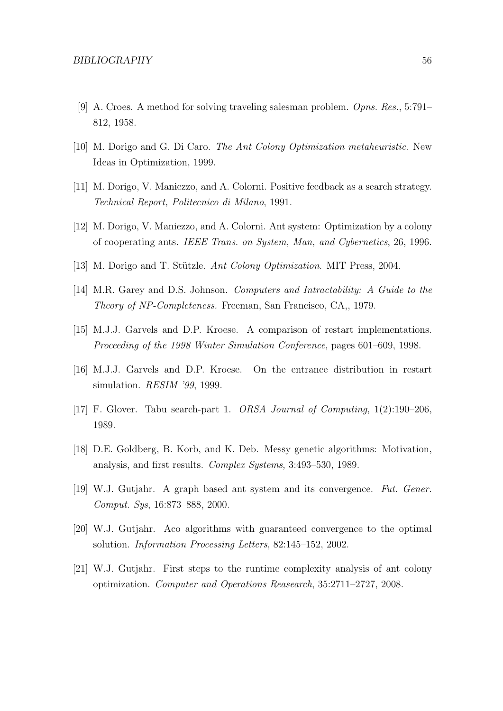- [9] A. Croes. A method for solving traveling salesman problem. Opns. Res., 5:791– 812, 1958.
- [10] M. Dorigo and G. Di Caro. The Ant Colony Optimization metaheuristic. New Ideas in Optimization, 1999.
- [11] M. Dorigo, V. Maniezzo, and A. Colorni. Positive feedback as a search strategy. Technical Report, Politecnico di Milano, 1991.
- [12] M. Dorigo, V. Maniezzo, and A. Colorni. Ant system: Optimization by a colony of cooperating ants. IEEE Trans. on System, Man, and Cybernetics, 26, 1996.
- [13] M. Dorigo and T. Stützle. Ant Colony Optimization. MIT Press, 2004.
- [14] M.R. Garey and D.S. Johnson. Computers and Intractability: A Guide to the Theory of NP-Completeness. Freeman, San Francisco, CA,, 1979.
- [15] M.J.J. Garvels and D.P. Kroese. A comparison of restart implementations. Proceeding of the 1998 Winter Simulation Conference, pages 601–609, 1998.
- [16] M.J.J. Garvels and D.P. Kroese. On the entrance distribution in restart simulation. *RESIM '99*, 1999.
- [17] F. Glover. Tabu search-part 1. ORSA Journal of Computing, 1(2):190–206, 1989.
- [18] D.E. Goldberg, B. Korb, and K. Deb. Messy genetic algorithms: Motivation, analysis, and first results. Complex Systems, 3:493–530, 1989.
- [19] W.J. Gutjahr. A graph based ant system and its convergence. Fut. Gener. Comput. Sys, 16:873–888, 2000.
- [20] W.J. Gutjahr. Aco algorithms with guaranteed convergence to the optimal solution. Information Processing Letters, 82:145–152, 2002.
- [21] W.J. Gutjahr. First steps to the runtime complexity analysis of ant colony optimization. Computer and Operations Reasearch, 35:2711–2727, 2008.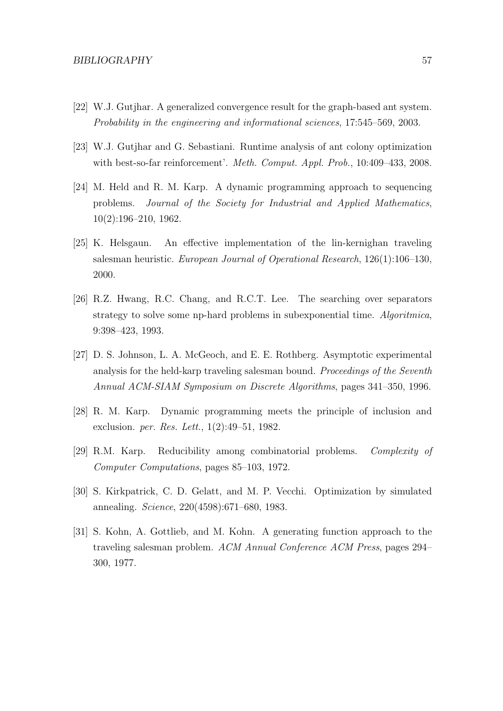- [22] W.J. Gutjhar. A generalized convergence result for the graph-based ant system. Probability in the engineering and informational sciences, 17:545–569, 2003.
- [23] W.J. Gutjhar and G. Sebastiani. Runtime analysis of ant colony optimization with best-so-far reinforcement'. Meth. Comput. Appl. Prob., 10:409-433, 2008.
- [24] M. Held and R. M. Karp. A dynamic programming approach to sequencing problems. Journal of the Society for Industrial and Applied Mathematics, 10(2):196–210, 1962.
- [25] K. Helsgaun. An effective implementation of the lin-kernighan traveling salesman heuristic. European Journal of Operational Research, 126(1):106–130, 2000.
- [26] R.Z. Hwang, R.C. Chang, and R.C.T. Lee. The searching over separators strategy to solve some np-hard problems in subexponential time. Algoritmica, 9:398–423, 1993.
- [27] D. S. Johnson, L. A. McGeoch, and E. E. Rothberg. Asymptotic experimental analysis for the held-karp traveling salesman bound. Proceedings of the Seventh Annual ACM-SIAM Symposium on Discrete Algorithms, pages 341–350, 1996.
- [28] R. M. Karp. Dynamic programming meets the principle of inclusion and exclusion. per. Res. Lett., 1(2):49–51, 1982.
- [29] R.M. Karp. Reducibility among combinatorial problems. Complexity of Computer Computations, pages 85–103, 1972.
- [30] S. Kirkpatrick, C. D. Gelatt, and M. P. Vecchi. Optimization by simulated annealing. Science, 220(4598):671–680, 1983.
- [31] S. Kohn, A. Gottlieb, and M. Kohn. A generating function approach to the traveling salesman problem. ACM Annual Conference ACM Press, pages 294– 300, 1977.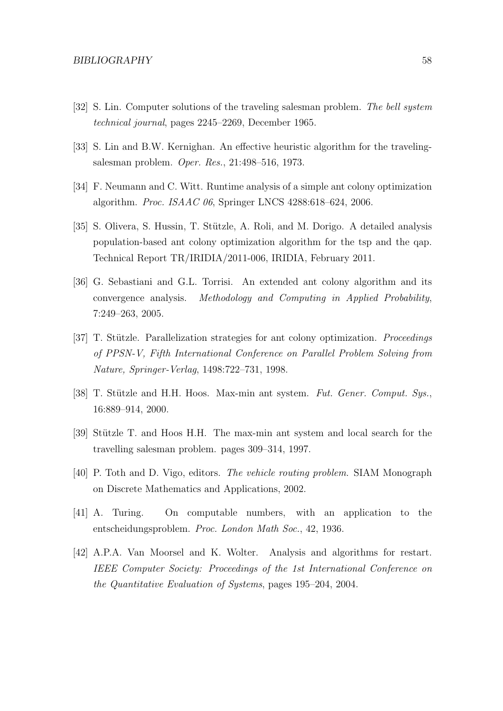- [32] S. Lin. Computer solutions of the traveling salesman problem. The bell system technical journal, pages 2245–2269, December 1965.
- [33] S. Lin and B.W. Kernighan. An effective heuristic algorithm for the travelingsalesman problem. Oper. Res., 21:498–516, 1973.
- [34] F. Neumann and C. Witt. Runtime analysis of a simple ant colony optimization algorithm. Proc. ISAAC 06, Springer LNCS 4288:618–624, 2006.
- [35] S. Olivera, S. Hussin, T. Stützle, A. Roli, and M. Dorigo. A detailed analysis population-based ant colony optimization algorithm for the tsp and the qap. Technical Report TR/IRIDIA/2011-006, IRIDIA, February 2011.
- [36] G. Sebastiani and G.L. Torrisi. An extended ant colony algorithm and its convergence analysis. Methodology and Computing in Applied Probability, 7:249–263, 2005.
- [37] T. Stützle. Parallelization strategies for ant colony optimization. *Proceedings* of PPSN-V, Fifth International Conference on Parallel Problem Solving from Nature, Springer-Verlag, 1498:722–731, 1998.
- [38] T. Stützle and H.H. Hoos. Max-min ant system. Fut. Gener. Comput. Sys., 16:889–914, 2000.
- [39] Stützle T. and Hoos H.H. The max-min ant system and local search for the travelling salesman problem. pages 309–314, 1997.
- [40] P. Toth and D. Vigo, editors. The vehicle routing problem. SIAM Monograph on Discrete Mathematics and Applications, 2002.
- [41] A. Turing. On computable numbers, with an application to the entscheidungsproblem. Proc. London Math Soc., 42, 1936.
- [42] A.P.A. Van Moorsel and K. Wolter. Analysis and algorithms for restart. IEEE Computer Society: Proceedings of the 1st International Conference on the Quantitative Evaluation of Systems, pages 195–204, 2004.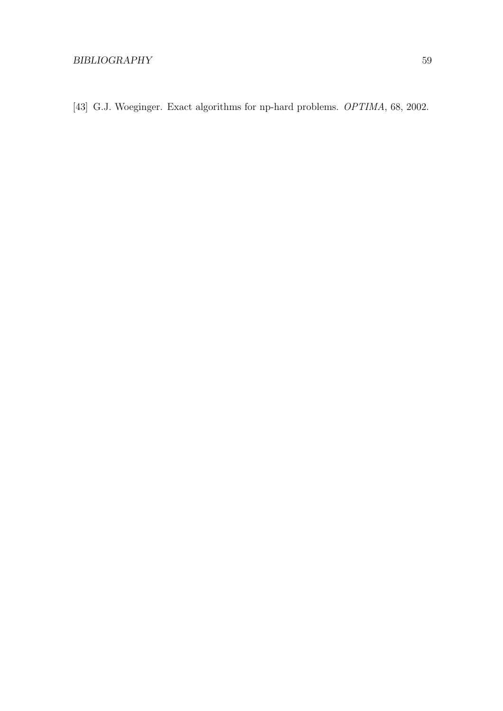[43] G.J. Woeginger. Exact algorithms for np-hard problems. *OPTIMA*, 68, 2002.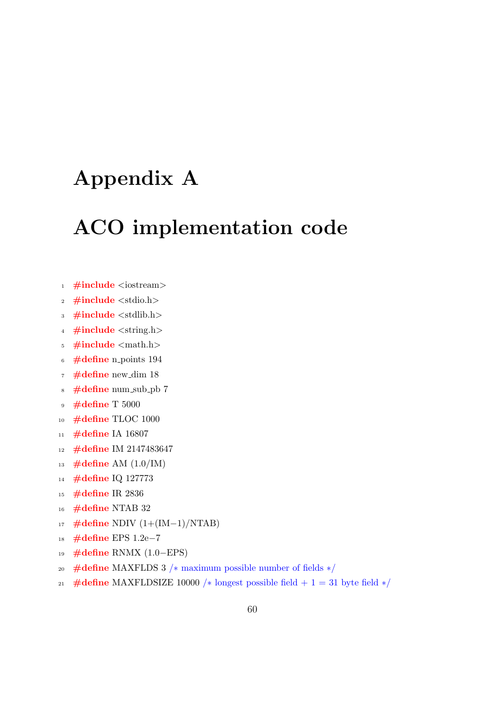# Appendix A

# ACO implementation code

- 1  $\#$ include <iostream>
- 2  $\#include$  <stdio.h>
- <sup>3</sup> #include <stdlib.h>
- 4 #include <string.h>
- <sup>5</sup> #include <math.h>
- <sup>6</sup> #define n points 194
- $\tau$  #define new\_dim 18
- <sup>8</sup> #define num sub pb 7
- <sup>9</sup> #define T 5000
- <sup>10</sup> #define TLOC 1000
- 11 #define IA 16807
- 12 #define IM 2147483647
- 13 #define AM  $(1.0/IM)$
- <sup>14</sup> #define IQ 127773
- <sup>15</sup> #define IR 2836
- 16 #define NTAB 32
- $17 \#$ define NDIV  $(1+(IM-1)/NTAB)$
- <sup>18</sup> #define EPS 1.2e−7
- <sup>19</sup> #define RNMX (1.0−EPS)
- <sup>20</sup> #define MAXFLDS 3 /∗ maximum possible number of fields ∗/
- 21 #define MAXFLDSIZE 10000 /\* longest possible field + 1 = 31 byte field  $*/$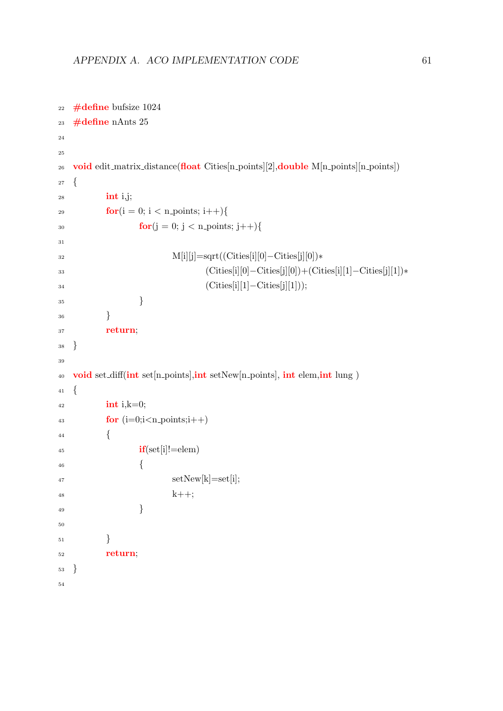```
<sup>22</sup> \#define bufsize 1024
_{23} #define nAnts 25
24
25
26 void edit matrix distance (float \text{ Cities}[n\text{-points}][2], double \text{ M}[n\text{-points}][n\text{-points}])27 \quad28 int i,j;
29 for(i = 0; i < n_points; i++){
30 for(j = 0; j < n-points; j + 1}
31
32 M[i][j]=sqrt((Cities[i][0]−Cities[j][0])∗
33 (Cities[i][0]−Cities[j][0])+(Cities[i][1]−Cities[j][1])∗
34 (Cities[i][1]−Cities[j][1]));
35 }
36 }
37 return;
38 }
39
40 void set diff(int set [n_points], int setNew[n_points], int elem, int lung )
41 {
_{42} int i, k=0;
43 for (i=0;i<n_points;i++44 \Big\{if(\text{set}[i]!=\text{elem})46 \left\{47 \quad \text{setNew}[k] = \text{set}[i];48 k++;49 }
50
\hspace{1.5cm} 51 \hspace{3.2cm} \Big \}52 return;
53 }
54
```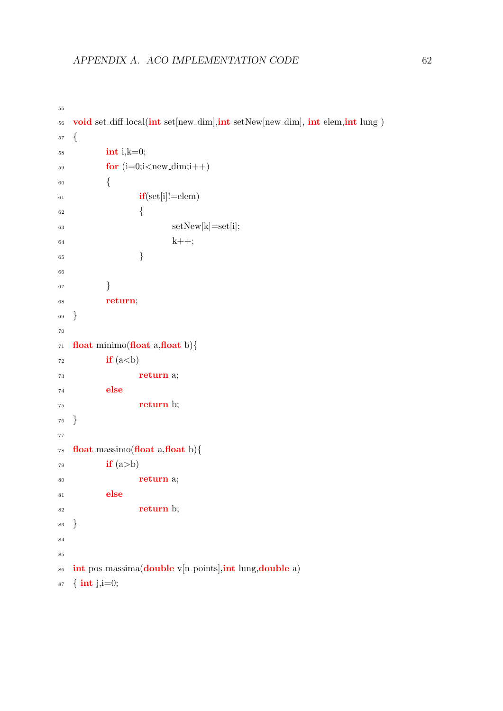```
55
56 void set diff local(int set[new_dim], int setNew[new_dim], int elem, int lung )
57 {
58 int i,k=0;
\mathbf{for} (i=0;i<new_dim;i++)
60 {
if(st[i]!=\text{elem})62 \qquad \qquad \left\{\text{63} setNew[k]=set[i];
64 k++;65 }
66
67 }
68 return;
69 }
70
71 float minimo(float a, float b){
\mathbf{r}_2 if (a<b)73 return a;
74 else
75 return b;
76 }
77
78 float massimo(float a, float b){
\mathbf{r}<sup>79</sup> if (a>b)
80 return a;
81 else
82 return b;
83 }
84
85
86 int pos_massima(double v[n_points],int lung,double a)
87 \quad {\bf{int}} \text{ } j, i = 0;
```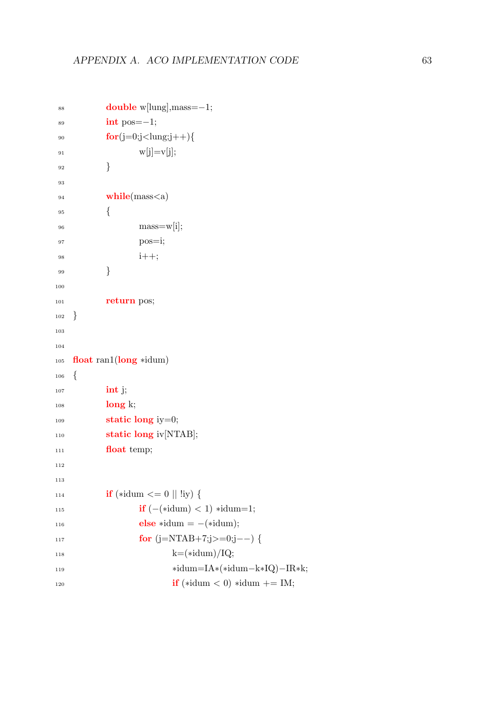```
88 double w[lung],mass=−1;
\frac{\sin t}{\cos t} = -1;
90 for(j=0;j<lung;j++){
91 w[j]=v[j];92 }
93
94 while(mass<a)
95 {
_{96} mass=w[i];
97 pos=i;
98 i++;99 }
100
101 return pos;
102 }
103
104
105 float ran1(long *idum)
106 {
107 int j;
108 long k;
109 static long iy=0;
110 static long iv[NTAB];
111 float temp;
112
113
114 if (*idum \leq 0 || !iy) {
115 if (-(*idum) < 1) *idum=1;116 else ∗idum = -(\ast idum);117 for (j=NTAB+7;j>=0;j-−) {
118 k=(\text{idum})/IQ;119 ∗idum=IA∗(∗idum−k∗IQ)−IR∗k;
120 if (*idum < 0) *idum += IM;
```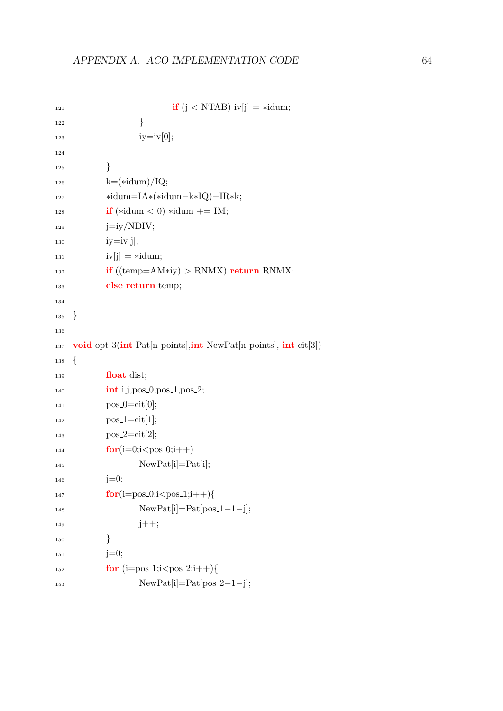```
121 if (j < NTAB) iv[j] = *idum;\left\{\n \begin{array}{ccc}\n 1 & 2 & \\
 2 & 3 & \\
 3 & 4 & \\
 4 & 5 & \\
 5 & 6 & \\
 6 & 7 & \\
 7 & 8 & \\
 8 & 9 & \\
 1 & 2 & \\
 1 & 3 & \\
 2 & 4 & \\
 3 & 6 & \\
 4 & 1 & \\
 5 & 1 & \\
 6 & 1 & \\
 7 & 1 & \\
 8 & 1 & \\
 9 & 1 & \\
 1 & 1 &amp123 123 123124
\begin{array}{c} \n 125 \n \end{array}k=(\ast idum)/IQ;127 ∗idum=IA∗(∗idum−k∗IQ)−IR∗k;
128 if (*idum < 0) *idum += IM;129 j=iy/NDIV;
130 iy=iv[j];
iv[j] = *idum;_{132} if ((temp=AM*iy) > RNMX) return RNMX;
133 else return temp;
134
135 }
136
137 void opt 3(int Pat[n_points], int NewPat[n_points], int cit[3])
138 {
139 float dist;
int i,j,pos_0,pos_1,pos_2;141 \qquad \qquad pos_0=cit[0];
_{142} pos_1 = cit[1];pos_2 = cit[2];144 for(i=0;i<pos_0;i++)
145 NewPat[i]=Pat[i];
146 j=0;
147 for(i=pos_0; i<pos_1; i++){
148 NewPat[i]=Pat[pos_1-1-j];
149 \t\t j++;\begin{matrix} 150 \end{matrix} \qquad \qquad \begin{matrix} \end{matrix}i=0; j=0;152 for (i = pos_1; i < pos_2; i++){
153 NewPat[i]=Pat[pos_2-1-j];
```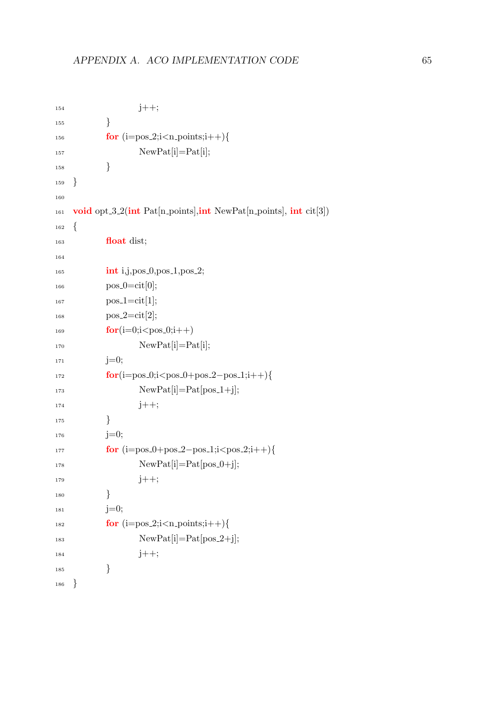```
154 j++;
155 }
156 for (i=pos_2; i < n_points;i++){
157 NewPat[i]=Pat[i];
\begin{matrix} 158 \end{matrix} \qquad \qquad \Big\}159 }
160
161 void opt 3.2(int Pat[n_points], int NewPat[n_points], int cit[3])
162 \quad \left\{163 float dist;
164
int i,j,pos_0,pos_1,pos_2;166 \qquad \qquad pos_0=cit[0];
167 \text{ pos.}1 = \text{cit}[1];168 \qquad \qquad pos_2=cit[2];
169 for(i=0;i<pos_0;i++)170 NewPat[i]=Pat[i];
i=0; i=0;172 for(i=pos_0;i<pos_0+pos_2-pos_1;i++){
173 NewPat[i]=Pat[pos_1+j];
174 j++;175 }
j=0;177 for (i = pos_0 + pos_2 - pos_1; i < pos_2; i++){
178 NewPat[i]=Pat[pos_0+j];
179 \quad j++);
\begin{matrix} 180 \end{matrix} \qquad \qquad \begin{matrix} \end{matrix}181 j=0;
182 for (i=pos_2; i < n_points; i++)183 NewPat[i]=Pat[pos_2+j];
184 j++;
\begin{matrix} 185 \end{matrix} \qquad \qquad \Big\}186 }
```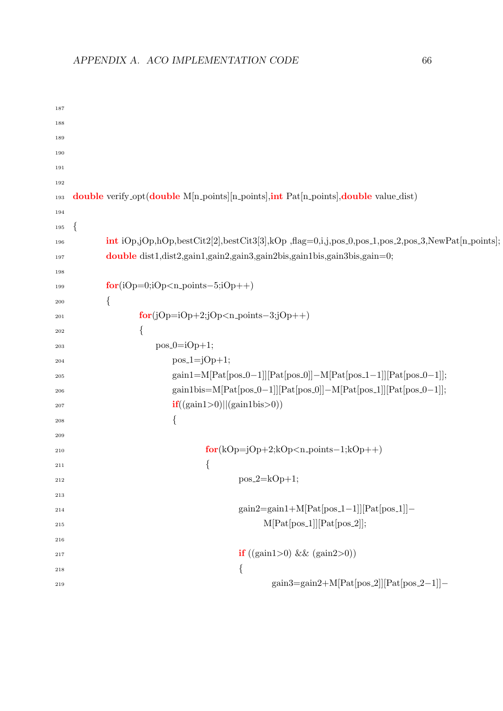```
187
188
189
190
191
192
193 double verify_opt(double M[n_points][n_points],int Pat[n_points],double value_dist)
194
195 {
196 int iOp,jOp,hOp,bestCit2[2],bestCit3[3],kOp ,flag=0,i,j,pos_0,pos_1,pos_2,pos_3,NewPat[n_points];
197 double dist1,dist2,gain1,gain2,gain3,gain2bis,gain1bis,gain3bis,gain=0;
198
199 for(iOp=0;iOp<n_points−5;iOp++)
200 {
201 for(jOp=iOp+2;jOp<n_points-3;jOp++)
202 \left\{ \begin{array}{c} 202 \end{array} \right.pos_0 = iOp + 1;_{204} pos_1 = jOp+1;\text{gain1}=\text{M}[\text{Pat}[\text{pos}_0-1][[\text{Pat}[\text{pos}_0]]]-\text{M}[\text{Pat}[\text{pos}_0-1]]][\text{Pat}[\text{pos}_0-1]]];206 gain1bis=M[Pat[pos_0-1]][Pat[pos_0]]–M[Pat[pos_1]][Pat[pos_0-1]];
if((gain1>0)||(gain1bis>0))208 \Big\{209
210 for(kOp=jOp+2;kOp\lt n\_points-1;kOp++)211 \left\{pos 2=kOp+1;
213
\text{gain2}=\text{gain1}+\text{M}[\text{Pat}[\text{pos}_-1-1][\text{Pat}[\text{pos}_-1]]]-M[Pat[pos_1]][Pat[pos_2]];216
\frac{1}{217} if ((\text{gain1}>0) \&\& (\text{gain2}>0))218 \Big\{\text{gain3} = \text{gain2} + \text{M}[\text{Pat}[\text{pos}_-2]] [\text{Pat}[\text{pos}_-2-1]] -
```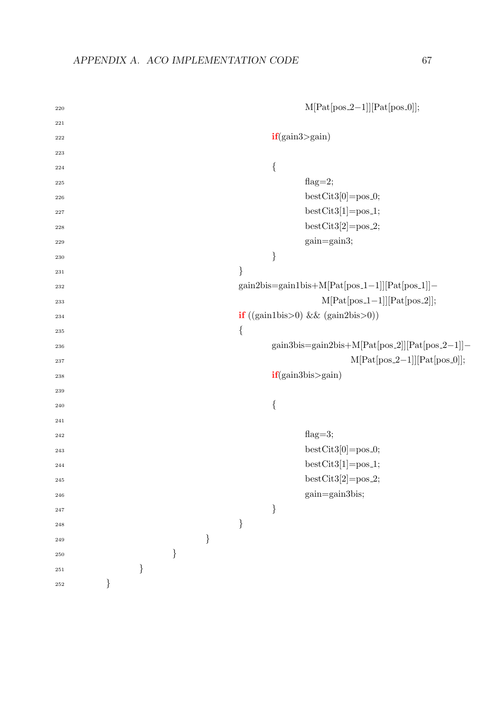| 220       |      |      |      |      |      |                | $M[Pat[pos_2-1]][Pat[pos_0]],$                                                                                                                                           |
|-----------|------|------|------|------|------|----------------|--------------------------------------------------------------------------------------------------------------------------------------------------------------------------|
| 221       |      |      |      |      |      |                |                                                                                                                                                                          |
| $222\,$   |      |      |      |      |      | if(gain3>gain) |                                                                                                                                                                          |
| 223       |      |      |      |      |      |                |                                                                                                                                                                          |
| 224       |      |      |      |      |      | $\{$           |                                                                                                                                                                          |
| 225       |      |      |      |      |      |                | flag= $2;$                                                                                                                                                               |
| 226       |      |      |      |      |      |                | $\texttt{bestCity}0]{=}\texttt{pos.0};$                                                                                                                                  |
| 227       |      |      |      |      |      |                | $bestCity[1] = pos_1;$                                                                                                                                                   |
| 228       |      |      |      |      |      |                | $bestCity[2] = pos2;$                                                                                                                                                    |
| 229       |      |      |      |      |      |                | gain=gain3;                                                                                                                                                              |
| 230       |      |      |      |      |      | $\}$           |                                                                                                                                                                          |
| 231       |      |      |      |      | $\}$ |                |                                                                                                                                                                          |
| 232       |      |      |      |      |      |                | $\texttt{gain2bis}\texttt{=}\texttt{gain1bis}\texttt{+}\texttt{M}[\texttt{Pat}[\texttt{pos}\texttt{\_1}\texttt{--1}]][\texttt{Pat}[\texttt{pos}\texttt{\_1}]]\texttt{-}$ |
| 233       |      |      |      |      |      |                | $M[Pat[pos_1-1]][Pat[pos_2]],$                                                                                                                                           |
| 234       |      |      |      |      |      |                | if $((gain1bis>0) \&& (gain2bis>0))$                                                                                                                                     |
| 235       |      |      |      |      | $\{$ |                |                                                                                                                                                                          |
| 236       |      |      |      |      |      |                | gain3bis=gain2bis+M[Pat[pos_2]][Pat[pos_2-1]]-                                                                                                                           |
| 237       |      |      |      |      |      |                | $M[Pat[pos_2-1]][Pat[pos_0]];$                                                                                                                                           |
| 238       |      |      |      |      |      |                | if(gain3bis>gain)                                                                                                                                                        |
| 239       |      |      |      |      |      |                |                                                                                                                                                                          |
| 240       |      |      |      |      |      | $\{$           |                                                                                                                                                                          |
| 241       |      |      |      |      |      |                |                                                                                                                                                                          |
| 242       |      |      |      |      |      |                | flag= $3;$                                                                                                                                                               |
| 243       |      |      |      |      |      |                | $bestCity[0] = pos_0;$                                                                                                                                                   |
| 244       |      |      |      |      |      |                | $bestCity[1] = pos_1;$                                                                                                                                                   |
| $\bf 245$ |      |      |      |      |      |                | $bestCity[2] = pos2;$                                                                                                                                                    |
| $\bf 246$ |      |      |      |      |      |                | gain=gain3bis;                                                                                                                                                           |
| $\bf 247$ |      |      |      |      |      | $\}$           |                                                                                                                                                                          |
| $\bf 248$ |      |      |      |      | $\}$ |                |                                                                                                                                                                          |
| 249       |      |      |      | $\}$ |      |                |                                                                                                                                                                          |
| 250       |      |      | $\}$ |      |      |                |                                                                                                                                                                          |
| 251       |      | $\}$ |      |      |      |                |                                                                                                                                                                          |
| $\bf 252$ | $\}$ |      |      |      |      |                |                                                                                                                                                                          |
|           |      |      |      |      |      |                |                                                                                                                                                                          |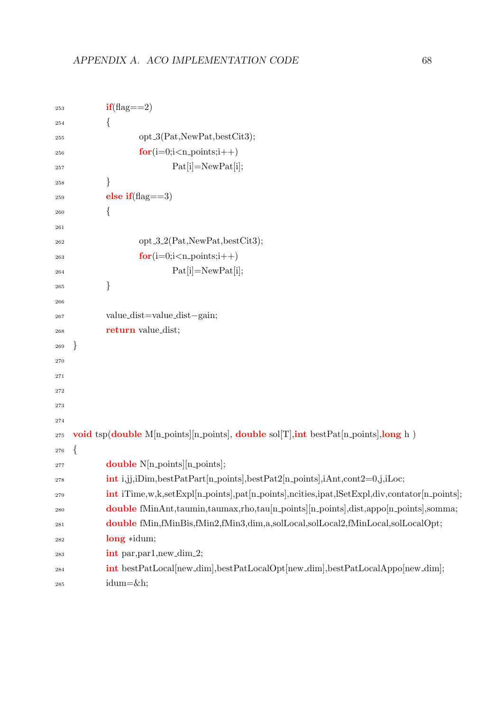```
if(\text{flag} == 2)254 {
255 opt 3(Pat,NewPat,bestCit3);
256 for (i=0; i < n points; i++)
Pat[i]=NewPat[i];258 }
259 else if(flag==3)
260 {
261
_{262} opt 3.2(Pat,NewPat,bestCit3);263 for (i=0;i< n_points;i++)
Pat[i]=NewPat[i];{\bf 265} \qquad \qquad {\bf \Big\}}266
267 value dist=value dist−gain;
268 return value dist;
269 }
270
271
272
273
274
275 void tsp(double M[n_points][n_points], double sol[T], int bestPat[n_points], long h )
276 {
277 double N[n\_points][n\_points];278 int i,jj,iDim,bestPatPart[n points],bestPat2[n points],iAnt,cont2=0,j,iLoc;
<sup>279</sup> int iTime,w,k,setExpl[n_points],pat[n_points],ncities,ipat,lSetExpl,div,contator[n_points];
<sup>280</sup> double fMinAnt,taumin,taumax,rho,tau[n_points][n_points],dist,appo[n_points],somma;
281 double fMin,fMinBis,fMin2,fMin3,dim,a,solLocal,solLocal2,fMinLocal,solLocalOpt;
282 long ∗idum;
<sup>283</sup> int par, par1, new_dim_2;
284 int bestPatLocal[new dim],bestPatLocalOpt[new dim],bestPatLocalAppo[new dim];
_{285} idum=\&h;
```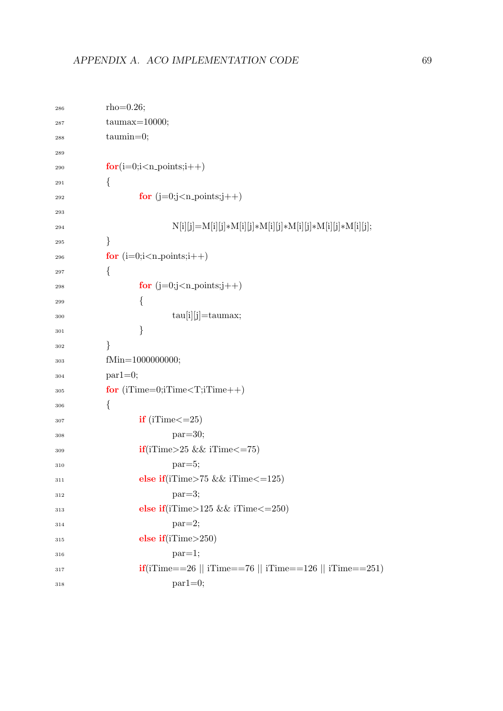| 286     | $rho=0.26;$                                                                                                                                     |
|---------|-------------------------------------------------------------------------------------------------------------------------------------------------|
| 287     | $taumax=10000;$                                                                                                                                 |
| 288     | $tammin=0;$                                                                                                                                     |
| 289     |                                                                                                                                                 |
| 290     | $for(i=0;i< n_$ points; $i++)$                                                                                                                  |
| 291     | {                                                                                                                                               |
| 292     | for $(j=0;j < n$ -points; $j++)$                                                                                                                |
| 293     |                                                                                                                                                 |
| 294     | $N[i][j]{=}M[i][j]{\ast}M[i][j]{\ast}M[i][j]{\ast}M[i][j]{\ast}M[i][j]{\ast}M[i][j]{\ast}M[i][j]{\ast}M[i][j];$                                 |
| 295     | }                                                                                                                                               |
| 296     | for $(i=0;i-points;i++)$                                                                                                                        |
| 297     | {                                                                                                                                               |
| 298     | for $(j=0; j < n$ -points; $j++)$                                                                                                               |
| $\,299$ | {                                                                                                                                               |
| 300     | $tau[i][j]=t{\text{aumax}};$                                                                                                                    |
| 301     | }                                                                                                                                               |
| 302     | }                                                                                                                                               |
| 303     | fMin=1000000000;                                                                                                                                |
| 304     | $par1=0;$                                                                                                                                       |
| 305     | for $(iTime=0; iTime$                                                                                                                           |
| 306     | {                                                                                                                                               |
| 307     | $if$ (iTime $\leq=25$ )                                                                                                                         |
| 308     | $par=30;$                                                                                                                                       |
| 309     | $if$ (iTime>25 && iTime<=75)                                                                                                                    |
| 310     | $par=5;$                                                                                                                                        |
| 311     | else if(iTime>75 && iTime<=125)                                                                                                                 |
| 312     | $par=3;$                                                                                                                                        |
| 313     | else if(iTime>125 && iTime<=250)                                                                                                                |
| 314     | $par=2;$                                                                                                                                        |
| 315     | else $if(iTime>250)$                                                                                                                            |
| 316     | $par=1;$                                                                                                                                        |
| 317     | $\textbf{if}(\text{if} \text{Time} == 26 \mid \text{if} \text{Time} == 76 \mid \text{if} \text{Time} == 126 \mid \text{if} \text{Time} == 251)$ |
| 318     | $par1=0;$                                                                                                                                       |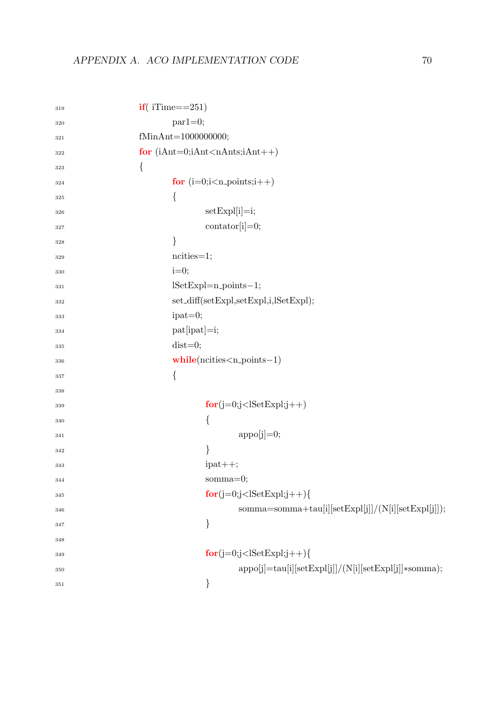| 319     | $if($ iTime==251)                                              |
|---------|----------------------------------------------------------------|
| 320     | $par1=0;$                                                      |
| 321     | fMinAnt=1000000000;                                            |
| 322     | for $(iAnt=0;iAnt< nAntsi; iAnt++)$                            |
| 323     | $\{$                                                           |
| 324     | for $(i=0;i-points;i++$                                        |
| 325     | $\{$                                                           |
| 326     | $setExp[i]=i;$                                                 |
| 327     | $contator[i]=0;$                                               |
| 328     | $\}$                                                           |
| 329     | $ncities=1;$                                                   |
| 330     | $i=0;$                                                         |
| 331     | $lSetExpl=n-points-1;$                                         |
| 332     | set_diff(setExpl,setExpl,i,lSetExpl);                          |
| 333     | $ipat=0;$                                                      |
| 334     | $pat[ipat]=i;$                                                 |
| 335     | $dist=0;$                                                      |
| 336     | $while(n cities < n-points-1)$                                 |
| 337     | $\{$                                                           |
| 338     |                                                                |
| 339     | $for(j=0;j$                                                    |
| 340     | {                                                              |
| 341     | $appo[j]=0;$                                                   |
| 342     | }                                                              |
| 343     | $ipat++;$                                                      |
| 344     | $somma=0;$                                                     |
| 345     | $for(j=0;j$                                                    |
| 346     | $\verb somma=somma+tau[i][setExpl[j]]/(N[i][setExpl[j]]);$     |
| 347     | }                                                              |
| 348     |                                                                |
| 349     | $for(j=0;j$                                                    |
| 350     | $appo[j] = \frac{tau[i][setExp[i]]}{N[i][setExp[i]]}$ *somma); |
| $351\,$ |                                                                |
|         |                                                                |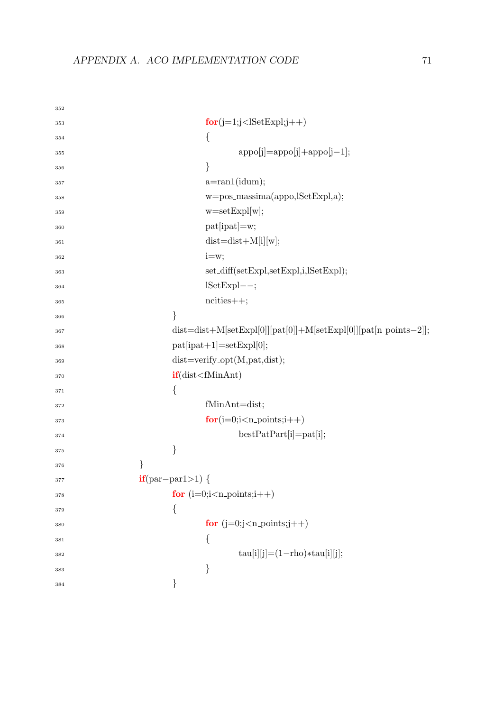| $for(j=1;j353{354appo[j]=appo[j]+appo[j-1];355\}356a = \text{ran1}(\text{idum});357w=pos_massima(appo,lSetExpl,a);358w = setExp[w];359pat[ipat]=w;360dist=dist+M[i][w];361i = w;362set_diff(setExpl,setExpl,i,lSetExpl);363lSetExpl--;364ncities++;365\}366367pat[ipat+1]=setExp1[0];368dist = verify\_opt(M, pat, dist);369if(dist370{371fMinAnt=dist;372for(i=0;i< n_points;i++)373bestPatPart[i]=pat[i];374\}375}376if(par-par1>1) {377for (i=0; i < n-points;i++)378\{379for (j=0;j< n_points;j++)380{381tau[i][j] = (1 - rho) * tau[i][j];382}383$ | 352 |                                                                   |
|---------------------------------------------------------------------------------------------------------------------------------------------------------------------------------------------------------------------------------------------------------------------------------------------------------------------------------------------------------------------------------------------------------------------------------------------------------------------------------------------------------------------------------------------------------|-----|-------------------------------------------------------------------|
|                                                                                                                                                                                                                                                                                                                                                                                                                                                                                                                                                         |     |                                                                   |
|                                                                                                                                                                                                                                                                                                                                                                                                                                                                                                                                                         |     |                                                                   |
|                                                                                                                                                                                                                                                                                                                                                                                                                                                                                                                                                         |     |                                                                   |
|                                                                                                                                                                                                                                                                                                                                                                                                                                                                                                                                                         |     |                                                                   |
|                                                                                                                                                                                                                                                                                                                                                                                                                                                                                                                                                         |     |                                                                   |
|                                                                                                                                                                                                                                                                                                                                                                                                                                                                                                                                                         |     |                                                                   |
|                                                                                                                                                                                                                                                                                                                                                                                                                                                                                                                                                         |     |                                                                   |
|                                                                                                                                                                                                                                                                                                                                                                                                                                                                                                                                                         |     |                                                                   |
|                                                                                                                                                                                                                                                                                                                                                                                                                                                                                                                                                         |     |                                                                   |
|                                                                                                                                                                                                                                                                                                                                                                                                                                                                                                                                                         |     |                                                                   |
|                                                                                                                                                                                                                                                                                                                                                                                                                                                                                                                                                         |     |                                                                   |
|                                                                                                                                                                                                                                                                                                                                                                                                                                                                                                                                                         |     |                                                                   |
|                                                                                                                                                                                                                                                                                                                                                                                                                                                                                                                                                         |     |                                                                   |
|                                                                                                                                                                                                                                                                                                                                                                                                                                                                                                                                                         |     |                                                                   |
|                                                                                                                                                                                                                                                                                                                                                                                                                                                                                                                                                         |     | $dist=dist+M[setExp1[0]][pat[0]]+M[setExp1[0]][pat[n-points-2]];$ |
|                                                                                                                                                                                                                                                                                                                                                                                                                                                                                                                                                         |     |                                                                   |
|                                                                                                                                                                                                                                                                                                                                                                                                                                                                                                                                                         |     |                                                                   |
|                                                                                                                                                                                                                                                                                                                                                                                                                                                                                                                                                         |     |                                                                   |
|                                                                                                                                                                                                                                                                                                                                                                                                                                                                                                                                                         |     |                                                                   |
|                                                                                                                                                                                                                                                                                                                                                                                                                                                                                                                                                         |     |                                                                   |
|                                                                                                                                                                                                                                                                                                                                                                                                                                                                                                                                                         |     |                                                                   |
|                                                                                                                                                                                                                                                                                                                                                                                                                                                                                                                                                         |     |                                                                   |
|                                                                                                                                                                                                                                                                                                                                                                                                                                                                                                                                                         |     |                                                                   |
|                                                                                                                                                                                                                                                                                                                                                                                                                                                                                                                                                         |     |                                                                   |
|                                                                                                                                                                                                                                                                                                                                                                                                                                                                                                                                                         |     |                                                                   |
|                                                                                                                                                                                                                                                                                                                                                                                                                                                                                                                                                         |     |                                                                   |
|                                                                                                                                                                                                                                                                                                                                                                                                                                                                                                                                                         |     |                                                                   |
|                                                                                                                                                                                                                                                                                                                                                                                                                                                                                                                                                         |     |                                                                   |
|                                                                                                                                                                                                                                                                                                                                                                                                                                                                                                                                                         |     |                                                                   |
|                                                                                                                                                                                                                                                                                                                                                                                                                                                                                                                                                         |     |                                                                   |
|                                                                                                                                                                                                                                                                                                                                                                                                                                                                                                                                                         |     |                                                                   |
|                                                                                                                                                                                                                                                                                                                                                                                                                                                                                                                                                         | 384 | $\big\}$                                                          |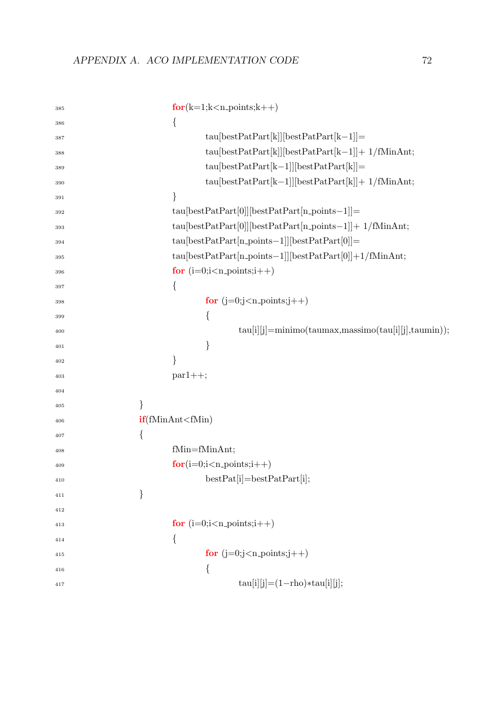| 385     | $for(k=1; k < n_{\text{-points}}; k++)$                                                           |
|---------|---------------------------------------------------------------------------------------------------|
| 386     | {                                                                                                 |
| 387     | $tau[ketPart[kl]]bestPatPart[k-1]]=$                                                              |
| 388     | $tau[bestPart[k]][bestPatPart[k-1]] + 1/fMinAnt;$                                                 |
| 389     | $tau[letPart[kt-1]][bestPatPart[k]]]=$                                                            |
| 390     | $\text{tau}[\text{bestPatPart}[k-1]][\text{bestPatPart}[k]] + 1/\text{fMinAnt};$                  |
| 391     | }                                                                                                 |
| 392     | $tau[0]][bestPatPart[0]][bestPatPart[n-points-1]]=$                                               |
| 393     | $\text{tau}[\text{bestPatPart}[0]] [\text{bestPatPart}[n\_\text{points}-1]] + \text{ 1/fMinAnt};$ |
| 394     | $\text{tau}[\text{bestPatPart}[n\_\text{points}-1]][\text{bestPatPart}[0]]\text{=}$               |
| 395     | $tau[0]] + 1/fMinAnt;$                                                                            |
| 396     | for $(i=0; i < n$ -points; $i++$ )                                                                |
| 397     | {                                                                                                 |
| 398     | for $(j=0; j < n$ -points; $j++$ )                                                                |
| 399     | {                                                                                                 |
| 400     | $tau[i][j] = minimo(taumas, massimo(tau[i][j], taumin));$                                         |
| 401     | }                                                                                                 |
| 402     | }                                                                                                 |
| 403     | $par1++;$                                                                                         |
| 404     |                                                                                                   |
| 405     | }                                                                                                 |
| 406     | if(fMinAnt < fMin)                                                                                |
| 407     | {                                                                                                 |
| 408     | fMin=fMinAnt;                                                                                     |
| 409     | $for(i=0;i-points;i++)$                                                                           |
| $410\,$ | $bestPat[i] = bestPatPart[i];$                                                                    |
| 411     | $\}$                                                                                              |
| 412     |                                                                                                   |
| 413     | for $(i=0;i-points;i++$                                                                           |
| 414     | $\{$                                                                                              |
| 415     | for $(j=0; j < n$ -points; $j++$ )                                                                |
| 416     | $\{$                                                                                              |
| 417     | $tau[i][j] = (1 - rho) * tau[i][j];$                                                              |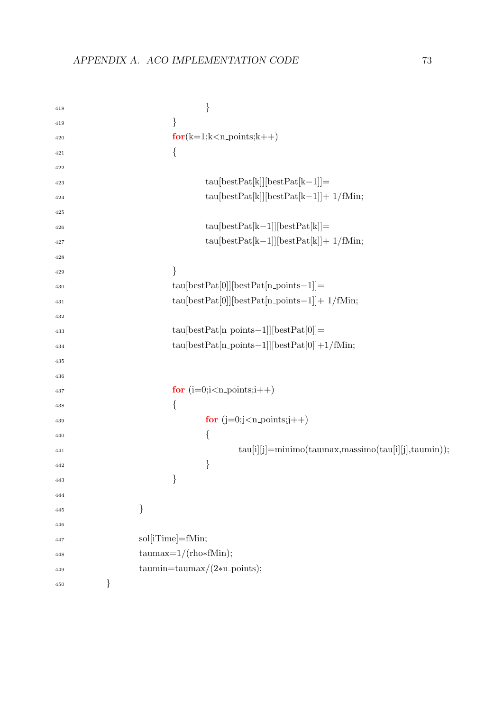| 418 |   | $\}$                                                                                  |
|-----|---|---------------------------------------------------------------------------------------|
| 419 |   | $\}$                                                                                  |
| 420 |   | $for(k=1; k < n_$ -points; $k++)$                                                     |
| 421 |   | $\{$                                                                                  |
| 422 |   |                                                                                       |
| 423 |   | $tau[letPat[k]][bestPat[k-1]]=$                                                       |
| 424 |   | $tau[kstPat[k]][bestPat[k-1]] + 1/fMin;$                                              |
| 425 |   |                                                                                       |
| 426 |   | $tau[letPat[k-1]][bestPat[k]] =$                                                      |
| 427 |   | $tau[kstPat[k-1]][bestPat[k]] + 1/fMin;$                                              |
| 428 |   |                                                                                       |
| 429 |   | }                                                                                     |
| 430 |   | $tau[0]][bestPat[n.points-1]]=$                                                       |
| 431 |   | $\text{tau}[\text{bestPat}[0]] [\text{bestPat}[n\text{-points}-1]] + \text{ 1/fMin};$ |
| 432 |   |                                                                                       |
| 433 |   | $tau[bestPat[n\_points-1]][bestPat[0]] =$                                             |
| 434 |   | $tau[bestPat[n\_points-1]][bestPat[0]]+1/fMin;$                                       |
| 435 |   |                                                                                       |
| 436 |   |                                                                                       |
| 437 |   | for $(i=0;i < n$ -points; $i++$ )                                                     |
| 438 |   | $\{$                                                                                  |
| 439 |   | for $(j=0;j< n_$ points; $j++)$                                                       |
| 440 |   | {                                                                                     |
| 441 |   | $tau[i][j] = minimo(taumas, massimo(tau[i][j], taumin));$                             |
| 442 |   | $\}$                                                                                  |
| 443 |   | $\}$                                                                                  |
| 444 |   |                                                                                       |
| 445 |   | }                                                                                     |
| 446 |   |                                                                                       |
| 447 |   | sol[iTime]=fMin;                                                                      |
| 448 |   | $taumax=1/(rho*fMin);$                                                                |
| 449 |   | $\text{taumin}=\text{taumax}/(2*n\text{-points});$                                    |
| 450 | } |                                                                                       |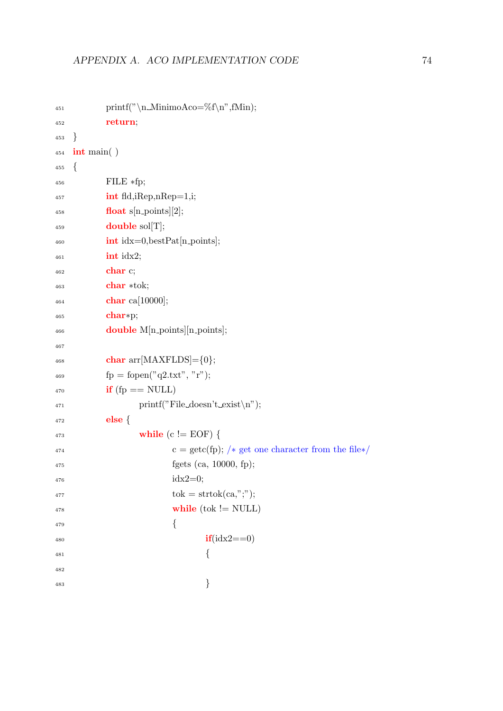```
451 printf("\n_MinimoAco=%f\n",fMin);
452 return;
453 }
454 int main( )
455 {
456 FILE *fp;
\text{int } \text{fid}, \text{iRep}, \text{nRep}=1, \text{i};458 float s[n_points][2];
459 double sol[T];
\text{int } \text{idx}=0, \text{bestPat}[\text{n} \text{ points}];461 int idx2;
462 char c;
463 char ∗tok;
464 char ca[10000];
465 char∗p;
466 double M[n_points][n_points];
467
468 char arr[MAXFLDS] = \{0\};469 f_p = f^{\prime}(q2.txt", "r");_{470} if (fp == NULL)
1^{471} printf("File_doesn't_exist\n");
472 else {
473 while (c != EOF) {
c = \text{getc(fp)}; /* get one character from the file*/
475 fgets (ca, 10000, fp);
idx2=0;\text{tok} = \text{strtok}(\text{ca}, ";");478 while (tok != NULL)
479 \left\{i\mathbf{f}(\text{idx}2 == 0)481 \left\{482
483 }
```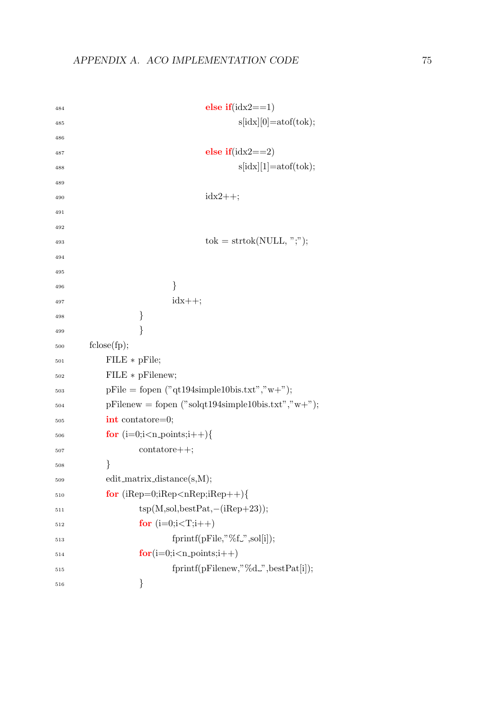```
484 else if (idx2 == 1)s[idx][0]=atof(tok);486
487 else if(idx2==2)
s[idx][1]=atof(tok);489
idx2++;491
492
_{493} tok = strtok(NULL, ";");
494
495
496 }
\frac{1}{497} idx++;
498 }
499 }
500 fclose(fp);
501 FILE ∗ pFile;
502 FILE ∗ pFilenew;
_{503} pFile = fopen ("qt194simple10bis.txt","w+");
_{504} pFilenew = fopen ("solqt194simple10bis.txt","w+");
505 int contatore=0;
506 for (i=0; i < n-points;i++){
507 contatore++;
508 }
509 edit matrix distance(s,M);
_{510} for (iRep=0;iRep<nRep;iRep++){
tsp(M, sol, bestPat,-(iRep+23));512 for (i=0;i<T;i++)513 fprintf(pFile,"%f.",sol[i]);
\mathbf{for}(i=0;i\leq n\text{-points};i++)515 fprintf(pFilenew,"%d ",bestPat[i]);
516 }
```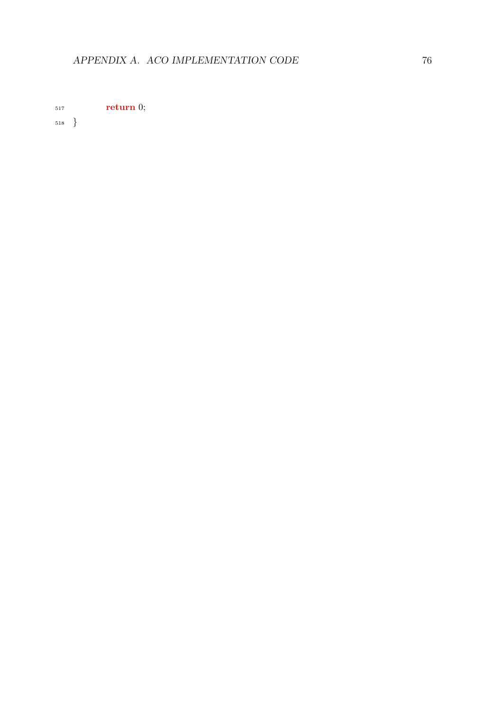return 0;

}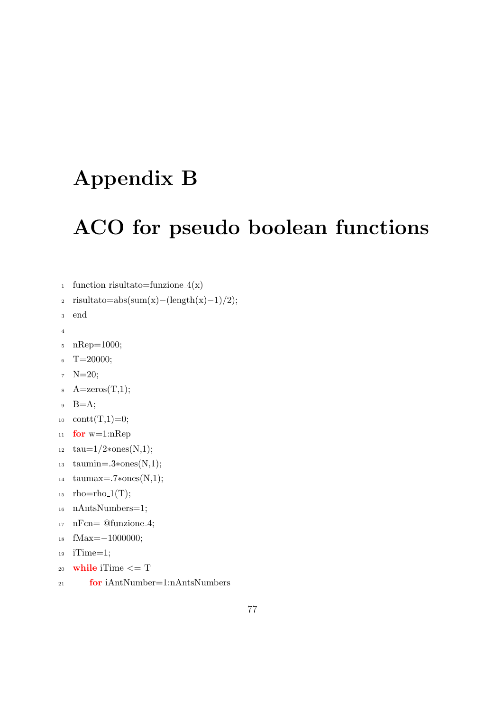## Appendix B

## ACO for pseudo boolean functions

```
1 function risultato=funzione_4(x)
```

```
\frac{1}{2} risultato=abs(sum(x)–(length(x)–1)/2);
```

```
3 end
```

```
4
```

```
5 nRep=1000;
```

```
- 6 T=20000;
```

```
7 \quad N=20;
```

```
A = zeros(T,1);
```

```
9 B=A;
```

```
10 \text{cont}(T,1)=0;
```

```
11 for w=1:nRep
```

```
12 tau=1/2*ones(N,1);
```

```
13 taumin=.3∗ones(N,1);
```

```
14 taumax=.7∗ones(N,1);
```

```
_{15} rho=rho_1(T);
```

```
16 nAntsNumbers=1;
```

```
17 nFcn= @funzione 4;
```

```
18 fMax=−1000000;
```

```
19 iTime=1;
```

```
20 while iTime \leq T
```
<sup>21</sup> for iAntNumber=1:nAntsNumbers